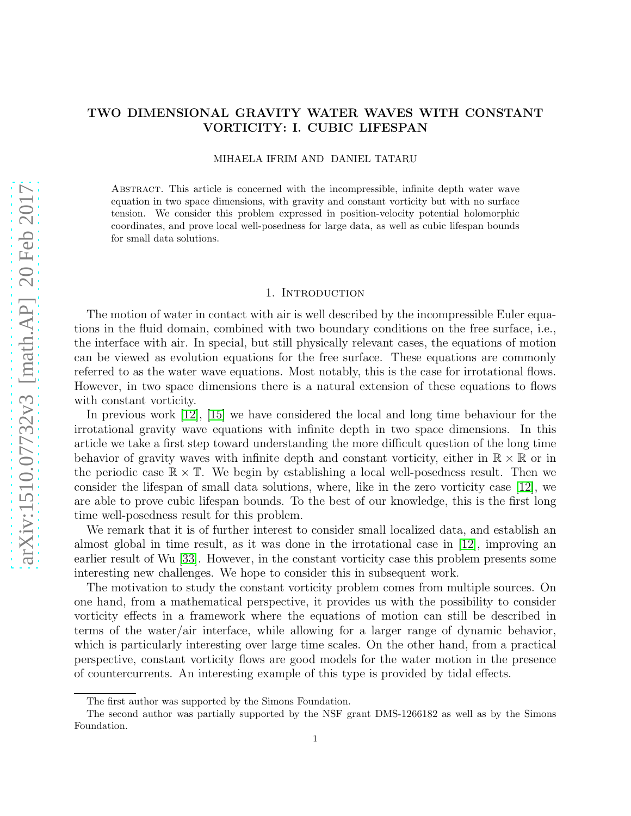# TWO DIMENSIONAL GRAVITY WATER WAVES WITH CONSTANT VORTICITY: I. CUBIC LIFESPAN

### MIHAELA IFRIM AND DANIEL TATARU

Abstract. This article is concerned with the incompressible, infinite depth water wave equation in two space dimensions, with gravity and constant vorticity but with no surface tension. We consider this problem expressed in position-velocity potential holomorphic coordinates, and prove local well-posedness for large data, as well as cubic lifespan bounds for small data solutions.

#### 1. INTRODUCTION

The motion of water in contact with air is well described by the incompressible Euler equations in the fluid domain, combined with two boundary conditions on the free surface, i.e., the interface with air. In special, but still physically relevant cases, the equations of motion can be viewed as evolution equations for the free surface. These equations are commonly referred to as the water wave equations. Most notably, this is the case for irrotational flows. However, in two space dimensions there is a natural extension of these equations to flows with constant vorticity.

In previous work [\[12\]](#page-62-0), [\[15\]](#page-62-1) we have considered the local and long time behaviour for the irrotational gravity wave equations with infinite depth in two space dimensions. In this article we take a first step toward understanding the more difficult question of the long time behavior of gravity waves with infinite depth and constant vorticity, either in  $\mathbb{R} \times \mathbb{R}$  or in the periodic case  $\mathbb{R} \times \mathbb{T}$ . We begin by establishing a local well-posedness result. Then we consider the lifespan of small data solutions, where, like in the zero vorticity case [\[12\]](#page-62-0), we are able to prove cubic lifespan bounds. To the best of our knowledge, this is the first long time well-posedness result for this problem.

We remark that it is of further interest to consider small localized data, and establish an almost global in time result, as it was done in the irrotational case in [\[12\]](#page-62-0), improving an earlier result of Wu [\[33\]](#page-63-0). However, in the constant vorticity case this problem presents some interesting new challenges. We hope to consider this in subsequent work.

The motivation to study the constant vorticity problem comes from multiple sources. On one hand, from a mathematical perspective, it provides us with the possibility to consider vorticity effects in a framework where the equations of motion can still be described in terms of the water/air interface, while allowing for a larger range of dynamic behavior, which is particularly interesting over large time scales. On the other hand, from a practical perspective, constant vorticity flows are good models for the water motion in the presence of countercurrents. An interesting example of this type is provided by tidal effects.

The first author was supported by the Simons Foundation.

The second author was partially supported by the NSF grant DMS-1266182 as well as by the Simons Foundation.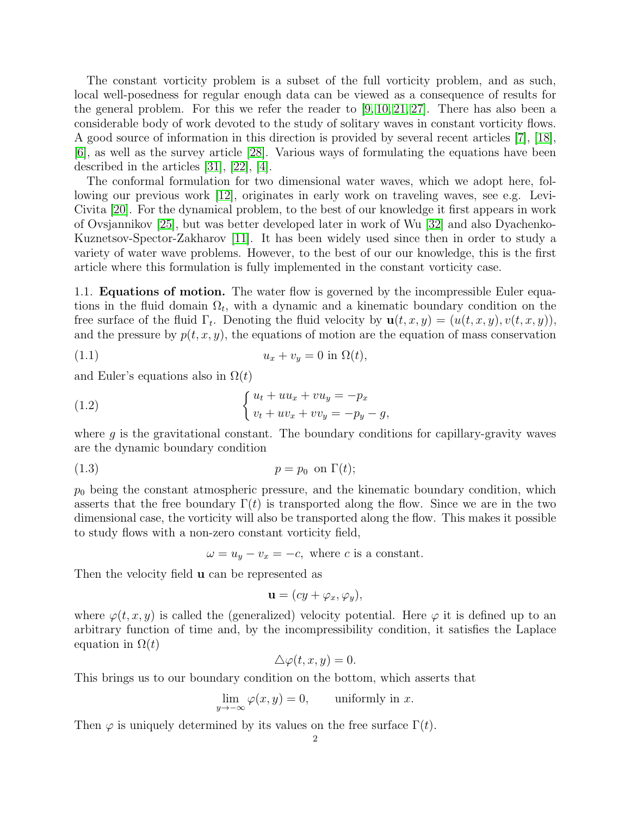The constant vorticity problem is a subset of the full vorticity problem, and as such, local well-posedness for regular enough data can be viewed as a consequence of results for the general problem. For this we refer the reader to  $[9, 10, 21, 27]$  $[9, 10, 21, 27]$  $[9, 10, 21, 27]$  $[9, 10, 21, 27]$ . There has also been a considerable body of work devoted to the study of solitary waves in constant vorticity flows. A good source of information in this direction is provided by several recent articles [\[7\]](#page-62-5), [\[18\]](#page-62-6), [\[6\]](#page-62-7), as well as the survey article [\[28\]](#page-63-2). Various ways of formulating the equations have been described in the articles [\[31\]](#page-63-3), [\[22\]](#page-63-4), [\[4\]](#page-62-8).

The conformal formulation for two dimensional water waves, which we adopt here, following our previous work [\[12\]](#page-62-0), originates in early work on traveling waves, see e.g. Levi-Civita [\[20\]](#page-62-9). For the dynamical problem, to the best of our knowledge it first appears in work of Ovsjannikov [\[25\]](#page-63-5), but was better developed later in work of Wu [\[32\]](#page-63-6) and also Dyachenko-Kuznetsov-Spector-Zakharov [\[11\]](#page-62-10). It has been widely used since then in order to study a variety of water wave problems. However, to the best of our our knowledge, this is the first article where this formulation is fully implemented in the constant vorticity case.

1.1. Equations of motion. The water flow is governed by the incompressible Euler equations in the fluid domain  $\Omega_t$ , with a dynamic and a kinematic boundary condition on the free surface of the fluid  $\Gamma_t$ . Denoting the fluid velocity by  $\mathbf{u}(t, x, y) = (u(t, x, y), v(t, x, y)),$ and the pressure by  $p(t, x, y)$ , the equations of motion are the equation of mass conservation

$$
(1.1) \t\t\t u_x + v_y = 0 \text{ in } \Omega(t),
$$

and Euler's equations also in  $\Omega(t)$ 

(1.2) 
$$
\begin{cases} u_t + uu_x + vu_y = -p_x \\ v_t + uv_x + vv_y = -p_y - g, \end{cases}
$$

where  $q$  is the gravitational constant. The boundary conditions for capillary-gravity waves are the dynamic boundary condition

(1.3) p = p<sup>0</sup> on Γ(t);

 $p_0$  being the constant atmospheric pressure, and the kinematic boundary condition, which asserts that the free boundary  $\Gamma(t)$  is transported along the flow. Since we are in the two dimensional case, the vorticity will also be transported along the flow. This makes it possible to study flows with a non-zero constant vorticity field,

<span id="page-1-0"></span>
$$
\omega = u_y - v_x = -c
$$
, where *c* is a constant.

Then the velocity field **u** can be represented as

$$
\mathbf{u}=(cy+\varphi_x,\varphi_y),
$$

where  $\varphi(t, x, y)$  is called the (generalized) velocity potential. Here  $\varphi$  it is defined up to an arbitrary function of time and, by the incompressibility condition, it satisfies the Laplace equation in  $\Omega(t)$ 

$$
\Delta \varphi(t, x, y) = 0.
$$

This brings us to our boundary condition on the bottom, which asserts that

$$
\lim_{y \to -\infty} \varphi(x, y) = 0, \qquad \text{uniformly in } x.
$$

Then  $\varphi$  is uniquely determined by its values on the free surface  $\Gamma(t)$ .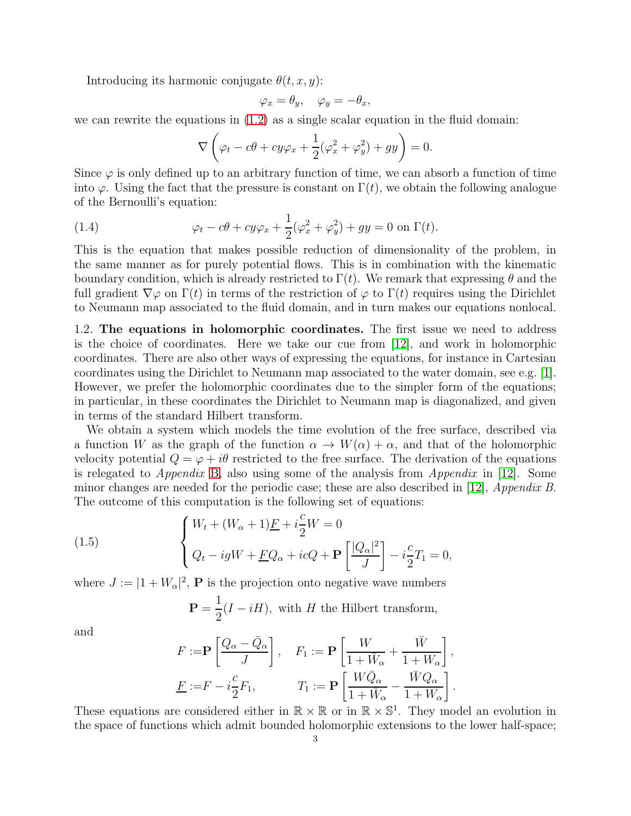Introducing its harmonic conjugate  $\theta(t, x, y)$ :

$$
\varphi_x = \theta_y, \quad \varphi_y = -\theta_x,
$$

we can rewrite the equations in  $(1.2)$  as a single scalar equation in the fluid domain:

<span id="page-2-1"></span>
$$
\nabla \left( \varphi_t - c\theta + cy\varphi_x + \frac{1}{2}(\varphi_x^2 + \varphi_y^2) + gy \right) = 0.
$$

Since  $\varphi$  is only defined up to an arbitrary function of time, we can absorb a function of time into  $\varphi$ . Using the fact that the pressure is constant on  $\Gamma(t)$ , we obtain the following analogue of the Bernoulli's equation:

(1.4) 
$$
\varphi_t - c\theta + cy\varphi_x + \frac{1}{2}(\varphi_x^2 + \varphi_y^2) + gy = 0 \text{ on } \Gamma(t).
$$

This is the equation that makes possible reduction of dimensionality of the problem, in the same manner as for purely potential flows. This is in combination with the kinematic boundary condition, which is already restricted to  $\Gamma(t)$ . We remark that expressing  $\theta$  and the full gradient  $\nabla\varphi$  on  $\Gamma(t)$  in terms of the restriction of  $\varphi$  to  $\Gamma(t)$  requires using the Dirichlet to Neumann map associated to the fluid domain, and in turn makes our equations nonlocal.

1.2. The equations in holomorphic coordinates. The first issue we need to address is the choice of coordinates. Here we take our cue from [\[12\]](#page-62-0), and work in holomorphic coordinates. There are also other ways of expressing the equations, for instance in Cartesian coordinates using the Dirichlet to Neumann map associated to the water domain, see e.g. [\[1\]](#page-62-11). However, we prefer the holomorphic coordinates due to the simpler form of the equations; in particular, in these coordinates the Dirichlet to Neumann map is diagonalized, and given in terms of the standard Hilbert transform.

We obtain a system which models the time evolution of the free surface, described via a function W as the graph of the function  $\alpha \to W(\alpha) + \alpha$ , and that of the holomorphic velocity potential  $Q = \varphi + i\theta$  restricted to the free surface. The derivation of the equations is relegated to *Appendix* [B,](#page-56-0) also using some of the analysis from *Appendix* in [\[12\]](#page-62-0). Some minor changes are needed for the periodic case; these are also described in [\[12\]](#page-62-0), Appendix B. The outcome of this computation is the following set of equations:

(1.5) 
$$
\begin{cases} W_t + (W_\alpha + 1)\underline{F} + i\frac{c}{2}W = 0\\ Q_t - igW + \underline{F}Q_\alpha + icQ + \mathbf{P}\left[\frac{|Q_\alpha|^2}{J}\right] - i\frac{c}{2}T_1 = 0, \end{cases}
$$

where  $J := |1 + W_{\alpha}|^2$ , **P** is the projection onto negative wave numbers

<span id="page-2-0"></span>
$$
\mathbf{P} = \frac{1}{2}(I - iH)
$$
, with *H* the Hilbert transform,

and

$$
F := \mathbf{P}\left[\frac{Q_{\alpha} - \bar{Q}_{\alpha}}{J}\right], \quad F_1 := \mathbf{P}\left[\frac{W}{1 + \bar{W}_{\alpha}} + \frac{\bar{W}}{1 + W_{\alpha}}\right],
$$

$$
\underline{F} := F - i\frac{c}{2}F_1, \qquad T_1 := \mathbf{P}\left[\frac{W\bar{Q}_{\alpha}}{1 + \bar{W}_{\alpha}} - \frac{\bar{W}Q_{\alpha}}{1 + W_{\alpha}}\right].
$$

These equations are considered either in  $\mathbb{R} \times \mathbb{R}$  or in  $\mathbb{R} \times \mathbb{S}^1$ . They model an evolution in the space of functions which admit bounded holomorphic extensions to the lower half-space;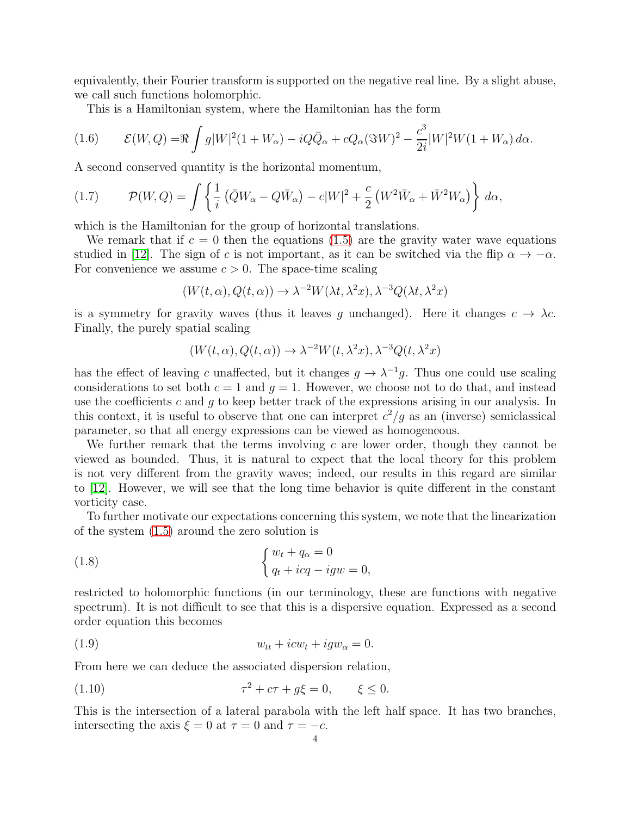equivalently, their Fourier transform is supported on the negative real line. By a slight abuse, we call such functions holomorphic.

This is a Hamiltonian system, where the Hamiltonian has the form

$$
(1.6) \qquad \mathcal{E}(W,Q) = \Re \int g|W|^2 (1+W_\alpha) - iQ\bar{Q}_\alpha + cQ_\alpha(\Im W)^2 - \frac{c^3}{2i}|W|^2 W(1+W_\alpha) d\alpha.
$$

A second conserved quantity is the horizontal momentum,

$$
(1.7) \qquad \mathcal{P}(W,Q) = \int \left\{ \frac{1}{i} \left( \bar{Q}W_{\alpha} - Q\bar{W}_{\alpha} \right) - c|W|^2 + \frac{c}{2} \left( W^2 \bar{W}_{\alpha} + \bar{W}^2 W_{\alpha} \right) \right\} d\alpha,
$$

which is the Hamiltonian for the group of horizontal translations.

We remark that if  $c = 0$  then the equations [\(1.5\)](#page-2-0) are the gravity water wave equations studied in [\[12\]](#page-62-0). The sign of c is not important, as it can be switched via the flip  $\alpha \to -\alpha$ . For convenience we assume  $c > 0$ . The space-time scaling

$$
(W(t, \alpha), Q(t, \alpha)) \to \lambda^{-2} W(\lambda t, \lambda^2 x), \lambda^{-3} Q(\lambda t, \lambda^2 x)
$$

is a symmetry for gravity waves (thus it leaves g unchanged). Here it changes  $c \to \lambda c$ . Finally, the purely spatial scaling

$$
(W(t, \alpha), Q(t, \alpha)) \to \lambda^{-2} W(t, \lambda^{2} x), \lambda^{-3} Q(t, \lambda^{2} x)
$$

has the effect of leaving c unaffected, but it changes  $g \to \lambda^{-1}g$ . Thus one could use scaling considerations to set both  $c = 1$  and  $g = 1$ . However, we choose not to do that, and instead use the coefficients c and g to keep better track of the expressions arising in our analysis. In this context, it is useful to observe that one can interpret  $c^2/g$  as an (inverse) semiclassical parameter, so that all energy expressions can be viewed as homogeneous.

We further remark that the terms involving c are lower order, though they cannot be viewed as bounded. Thus, it is natural to expect that the local theory for this problem is not very different from the gravity waves; indeed, our results in this regard are similar to [\[12\]](#page-62-0). However, we will see that the long time behavior is quite different in the constant vorticity case.

To further motivate our expectations concerning this system, we note that the linearization of the system [\(1.5\)](#page-2-0) around the zero solution is

<span id="page-3-0"></span>(1.8) 
$$
\begin{cases} w_t + q_\alpha = 0 \\ q_t + icq - igw = 0, \end{cases}
$$

restricted to holomorphic functions (in our terminology, these are functions with negative spectrum). It is not difficult to see that this is a dispersive equation. Expressed as a second order equation this becomes

$$
(1.9) \t\t\t w_{tt} + i c w_t + i g w_\alpha = 0.
$$

From here we can deduce the associated dispersion relation,

<span id="page-3-1"></span>(1.10) 
$$
\tau^2 + c\tau + g\xi = 0, \qquad \xi \le 0.
$$

This is the intersection of a lateral parabola with the left half space. It has two branches, intersecting the axis  $\xi = 0$  at  $\tau = 0$  and  $\tau = -c$ .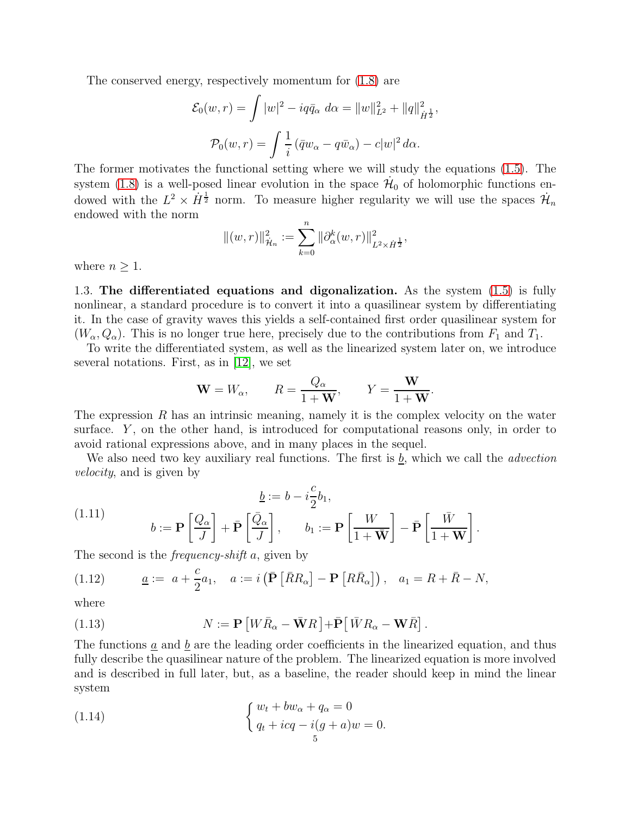The conserved energy, respectively momentum for [\(1.8\)](#page-3-0) are

$$
\mathcal{E}_0(w,r) = \int |w|^2 - iq\bar{q}_{\alpha} d\alpha = ||w||_{L^2}^2 + ||q||_{\dot{H}^{\frac{1}{2}}}^2,
$$

$$
\mathcal{P}_0(w,r) = \int \frac{1}{i} \left(\bar{q}w_{\alpha} - q\bar{w}_{\alpha}\right) - c|w|^2 d\alpha.
$$

The former motivates the functional setting where we will study the equations [\(1.5\)](#page-2-0). The system [\(1.8\)](#page-3-0) is a well-posed linear evolution in the space  $\dot{\mathcal{H}}_0$  of holomorphic functions endowed with the  $L^2 \times \dot{H}^{\frac{1}{2}}$  norm. To measure higher regularity we will use the spaces  $\dot{\mathcal{H}}_n$ endowed with the norm

$$
\|(w,r)\|_{\dot{\mathcal{H}}_n}^2 := \sum_{k=0}^n \|\partial_{\alpha}^k(w,r)\|_{L^2 \times \dot{H}^{\frac{1}{2}}}^2,
$$

where  $n \geq 1$ .

1.3. The differentiated equations and digonalization. As the system [\(1.5\)](#page-2-0) is fully nonlinear, a standard procedure is to convert it into a quasilinear system by differentiating it. In the case of gravity waves this yields a self-contained first order quasilinear system for  $(W_{\alpha}, Q_{\alpha})$ . This is no longer true here, precisely due to the contributions from  $F_1$  and  $T_1$ .

To write the differentiated system, as well as the linearized system later on, we introduce several notations. First, as in [\[12\]](#page-62-0), we set

$$
\mathbf{W} = W_{\alpha}, \qquad R = \frac{Q_{\alpha}}{1 + \mathbf{W}}, \qquad Y = \frac{\mathbf{W}}{1 + \mathbf{W}}.
$$

The expression  $R$  has an intrinsic meaning, namely it is the complex velocity on the water surface.  $Y$ , on the other hand, is introduced for computational reasons only, in order to avoid rational expressions above, and in many places in the sequel.

We also need two key auxiliary real functions. The first is  $\underline{b}$ , which we call the *advection* velocity, and is given by

(1.11) 
$$
\underline{b} := b - i \frac{c}{2} b_1,
$$

$$
b := \mathbf{P} \left[ \frac{Q_{\alpha}}{J} \right] + \bar{\mathbf{P}} \left[ \frac{\bar{Q}_{\alpha}}{J} \right], \qquad b_1 := \mathbf{P} \left[ \frac{W}{1 + \bar{W}} \right] - \bar{\mathbf{P}} \left[ \frac{\bar{W}}{1 + \bar{W}} \right].
$$

The second is the *frequency-shift a*, given by

<span id="page-4-0"></span>(1.12) 
$$
\underline{a} := a + \frac{c}{2} a_1, \quad a := i \left( \bar{\mathbf{P}} \left[ \bar{R} R_{\alpha} \right] - \mathbf{P} \left[ R \bar{R}_{\alpha} \right] \right), \quad a_1 = R + \bar{R} - N,
$$

where

<span id="page-4-1"></span>(1.13) 
$$
N := \mathbf{P}\left[W\bar{R}_{\alpha} - \bar{\mathbf{W}}R\right] + \bar{\mathbf{P}}\left[\bar{W}R_{\alpha} - \bar{\mathbf{W}}\bar{R}\right].
$$

The functions  $\underline{a}$  and  $\underline{b}$  are the leading order coefficients in the linearized equation, and thus fully describe the quasilinear nature of the problem. The linearized equation is more involved and is described in full later, but, as a baseline, the reader should keep in mind the linear system

(1.14) 
$$
\begin{cases} w_t + bw_\alpha + q_\alpha = 0 \\ q_t + icq - i(g + a)w = 0. \end{cases}
$$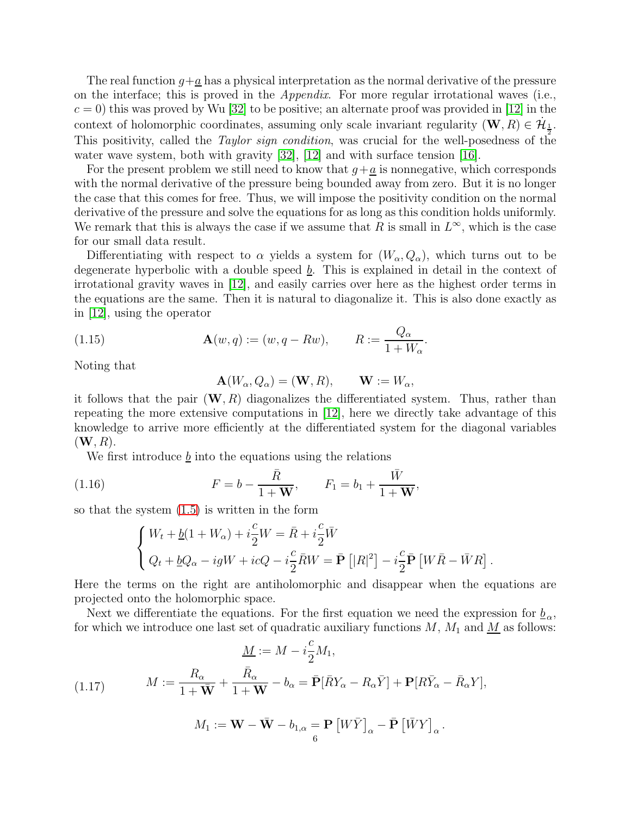The real function  $q+a$  has a physical interpretation as the normal derivative of the pressure on the interface; this is proved in the Appendix. For more regular irrotational waves (i.e.,  $c = 0$ ) this was proved by Wu [\[32\]](#page-63-6) to be positive; an alternate proof was provided in [\[12\]](#page-62-0) in the context of holomorphic coordinates, assuming only scale invariant regularity  $(\mathbf{W}, R) \in \mathcal{H}_{\frac{1}{2}}$ . This positivity, called the Taylor sign condition, was crucial for the well-posedness of the water wave system, both with gravity [\[32\]](#page-63-6), [\[12\]](#page-62-0) and with surface tension [\[16\]](#page-62-12).

For the present problem we still need to know that  $q + a$  is nonnegative, which corresponds with the normal derivative of the pressure being bounded away from zero. But it is no longer the case that this comes for free. Thus, we will impose the positivity condition on the normal derivative of the pressure and solve the equations for as long as this condition holds uniformly. We remark that this is always the case if we assume that R is small in  $L^{\infty}$ , which is the case for our small data result.

Differentiating with respect to  $\alpha$  yields a system for  $(W_{\alpha}, Q_{\alpha})$ , which turns out to be degenerate hyperbolic with a double speed  $\underline{b}$ . This is explained in detail in the context of irrotational gravity waves in [\[12\]](#page-62-0), and easily carries over here as the highest order terms in the equations are the same. Then it is natural to diagonalize it. This is also done exactly as in [\[12\]](#page-62-0), using the operator

(1.15) 
$$
\mathbf{A}(w,q) := (w, q - Rw), \qquad R := \frac{Q_{\alpha}}{1 + W_{\alpha}}
$$

Noting that

$$
\mathbf{A}(W_{\alpha}, Q_{\alpha}) = (\mathbf{W}, R), \qquad \mathbf{W} := W_{\alpha},
$$

.

.

it follows that the pair  $(\mathbf{W}, R)$  diagonalizes the differentiated system. Thus, rather than repeating the more extensive computations in [\[12\]](#page-62-0), here we directly take advantage of this knowledge to arrive more efficiently at the differentiated system for the diagonal variables  $(W, R)$ .

We first introduce  $\underline{b}$  into the equations using the relations

(1.16) 
$$
F = b - \frac{\bar{R}}{1 + \mathbf{W}}, \qquad F_1 = b_1 + \frac{\bar{W}}{1 + \mathbf{W}},
$$

so that the system [\(1.5\)](#page-2-0) is written in the form

<span id="page-5-0"></span>
$$
\begin{cases} W_t + \underline{b}(1 + W_\alpha) + i\frac{c}{2}W = \bar{R} + i\frac{c}{2}\bar{W} \\ Q_t + \underline{b}Q_\alpha - igW + icQ - i\frac{c}{2}\bar{R}W = \bar{P}\left[|R|^2\right] - i\frac{c}{2}\bar{P}\left[ W\bar{R} - \bar{W}R \right]. \end{cases}
$$

Here the terms on the right are antiholomorphic and disappear when the equations are projected onto the holomorphic space.

Next we differentiate the equations. For the first equation we need the expression for  $\underline{b}_{\alpha}$ , for which we introduce one last set of quadratic auxiliary functions  $M$ ,  $M_1$  and  $\underline{M}$  as follows:

$$
\underline{M} := M - i\frac{c}{2}M_1,
$$
  
(1.17) 
$$
M := \frac{R_{\alpha}}{1 + \bar{W}} + \frac{\bar{R}_{\alpha}}{1 + W} - b_{\alpha} = \bar{P}[\bar{R}Y_{\alpha} - R_{\alpha}\bar{Y}] + P[R\bar{Y}_{\alpha} - \bar{R}_{\alpha}Y],
$$

<span id="page-5-1"></span>
$$
M_1:=\mathbf{W}-\bar{\mathbf{W}}-b_{1,\alpha}=\mathbf{P}\left[W\bar{Y}\right]_\alpha-\bar{\mathbf{P}}\left[\bar{W}Y\right]_\alpha
$$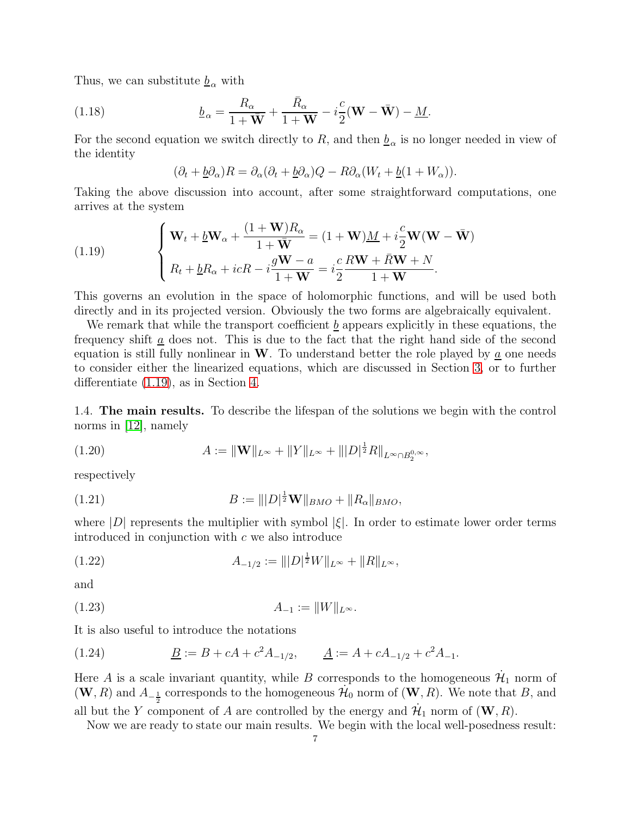Thus, we can substitute  $b_{\alpha}$  with

(1.18) 
$$
\underline{b}_{\alpha} = \frac{R_{\alpha}}{1 + \bar{\mathbf{W}}} + \frac{\bar{R}_{\alpha}}{1 + \mathbf{W}} - i\frac{c}{2}(\mathbf{W} - \bar{\mathbf{W}}) - \underline{M}.
$$

For the second equation we switch directly to R, and then  $\underline{b}_{\alpha}$  is no longer needed in view of the identity

<span id="page-6-4"></span><span id="page-6-0"></span>
$$
(\partial_t + \underline{b}\partial_\alpha)R = \partial_\alpha(\partial_t + \underline{b}\partial_\alpha)Q - R\partial_\alpha(W_t + \underline{b}(1 + W_\alpha)).
$$

Taking the above discussion into account, after some straightforward computations, one arrives at the system

(1.19) 
$$
\begin{cases} \mathbf{W}_t + \underline{b} \mathbf{W}_{\alpha} + \frac{(1 + \mathbf{W})R_{\alpha}}{1 + \bar{\mathbf{W}}} = (1 + \mathbf{W}) \underline{M} + i \frac{c}{2} \mathbf{W} (\mathbf{W} - \bar{\mathbf{W}}) \\ R_t + \underline{b} R_{\alpha} + icR - i \frac{g \mathbf{W} - a}{1 + \mathbf{W}} = i \frac{c}{2} \frac{R \mathbf{W} + \bar{R} \mathbf{W} + N}{1 + \mathbf{W}}. \end{cases}
$$

This governs an evolution in the space of holomorphic functions, and will be used both directly and in its projected version. Obviously the two forms are algebraically equivalent.

We remark that while the transport coefficient  $b$  appears explicitly in these equations, the frequency shift  $\underline{a}$  does not. This is due to the fact that the right hand side of the second equation is still fully nonlinear in W. To understand better the role played by  $\underline{a}$  one needs to consider either the linearized equations, which are discussed in Section [3,](#page-16-0) or to further differentiate [\(1.19\)](#page-6-0), as in Section [4.](#page-29-0)

1.4. The main results. To describe the lifespan of the solutions we begin with the control norms in [\[12\]](#page-62-0), namely

<span id="page-6-2"></span>(1.20) 
$$
A := \|\mathbf{W}\|_{L^{\infty}} + \|Y\|_{L^{\infty}} + \|D|^{\frac{1}{2}}R\|_{L^{\infty} \cap B_2^{0,\infty}},
$$

respectively

<span id="page-6-3"></span>(1.21) 
$$
B := |||D|^{\frac{1}{2}} \mathbf{W}||_{BMO} + ||R_{\alpha}||_{BMO},
$$

where  $|D|$  represents the multiplier with symbol  $|\xi|$ . In order to estimate lower order terms introduced in conjunction with  $c$  we also introduce

<span id="page-6-1"></span>(1.22) 
$$
A_{-1/2} := |||D|^{\frac{1}{2}}W||_{L^{\infty}} + ||R||_{L^{\infty}},
$$

and

$$
(1.23) \t\t A_{-1} := ||W||_{L^{\infty}}.
$$

It is also useful to introduce the notations

(1.24) 
$$
\underline{B} := B + cA + c^2 A_{-1/2}, \qquad \underline{A} := A + cA_{-1/2} + c^2 A_{-1}.
$$

Here A is a scale invariant quantity, while B corresponds to the homogeneous  $\dot{\mathcal{H}}_1$  norm of  $(W, R)$  and  $A_{-\frac{1}{2}}$  corresponds to the homogeneous  $\mathcal{H}_0$  norm of  $(W, R)$ . We note that B, and

all but the Y component of A are controlled by the energy and  $\dot{\mathcal{H}}_1$  norm of  $(\mathbf{W}, R)$ .

Now we are ready to state our main results. We begin with the local well-posedness result: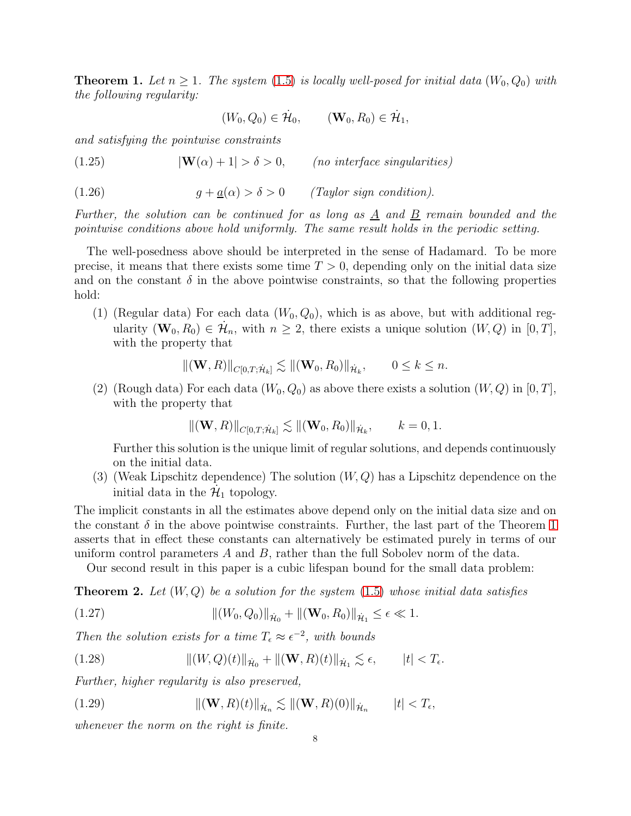<span id="page-7-0"></span>**Theorem 1.** Let  $n \geq 1$ . The system [\(1.5\)](#page-2-0) is locally well-posed for initial data  $(W_0, Q_0)$  with the following regularity:

<span id="page-7-3"></span><span id="page-7-1"></span>
$$
(W_0, Q_0) \in \mathcal{H}_0, \qquad (\mathbf{W}_0, R_0) \in \mathcal{H}_1,
$$

and satisfying the pointwise constraints

(1.25)  $|\mathbf{W}(\alpha) + 1| > \delta > 0$ , (no interface singularities)

(1.26)  $g + \underline{a}(\alpha) > \delta > 0$  (Taylor sign condition).

Further, the solution can be continued for as long as  $\underline{A}$  and  $\underline{B}$  remain bounded and the pointwise conditions above hold uniformly. The same result holds in the periodic setting.

The well-posedness above should be interpreted in the sense of Hadamard. To be more precise, it means that there exists some time  $T > 0$ , depending only on the initial data size and on the constant  $\delta$  in the above pointwise constraints, so that the following properties hold:

(1) (Regular data) For each data  $(W_0, Q_0)$ , which is as above, but with additional regularity  $(\mathbf{W}_0, R_0) \in \mathcal{H}_n$ , with  $n \geq 2$ , there exists a unique solution  $(W, Q)$  in  $[0, T]$ , with the property that

$$
\|(\mathbf{W}, R)\|_{C[0,T;\dot{\mathcal{H}}_k]} \lesssim \|(\mathbf{W}_0, R_0)\|_{\dot{\mathcal{H}}_k}, \qquad 0 \le k \le n.
$$

(2) (Rough data) For each data  $(W_0, Q_0)$  as above there exists a solution  $(W, Q)$  in  $[0, T]$ , with the property that

$$
\|(\mathbf{W}, R)\|_{C[0,T; \dot{\mathcal{H}}_k]} \lesssim \|(\mathbf{W}_0, R_0)\|_{\dot{\mathcal{H}}_k}, \qquad k = 0, 1.
$$

Further this solution is the unique limit of regular solutions, and depends continuously on the initial data.

(3) (Weak Lipschitz dependence) The solution  $(W, Q)$  has a Lipschitz dependence on the initial data in the  $\dot{\mathcal{H}}_1$  topology.

The implicit constants in all the estimates above depend only on the initial data size and on the constant  $\delta$  in the above pointwise constraints. Further, the last part of the Theorem [1](#page-7-0) asserts that in effect these constants can alternatively be estimated purely in terms of our uniform control parameters A and B, rather than the full Sobolev norm of the data.

Our second result in this paper is a cubic lifespan bound for the small data problem:

<span id="page-7-2"></span>**Theorem 2.** Let  $(W,Q)$  be a solution for the system  $(1.5)$  whose initial data satisfies

$$
||(W_0, Q_0)||_{\dot{\mathcal{H}}_0} + ||(\mathbf{W}_0, R_0)||_{\dot{\mathcal{H}}_1} \le \epsilon \ll 1.
$$

Then the solution exists for a time  $T_{\epsilon} \approx \epsilon^{-2}$ , with bounds

(1.28) 
$$
\|(W,Q)(t)\|_{\dot{\mathcal{H}}_0} + \|(\mathbf{W},R)(t)\|_{\dot{\mathcal{H}}_1} \lesssim \epsilon, \qquad |t| < T_{\epsilon}.
$$

Further, higher regularity is also preserved,

(1.29)  $\|(W, R)(t)\|_{\dot{\mathcal{H}}_n} \lesssim \|(W, R)(0)\|_{\dot{\mathcal{H}}_n} \quad |t| < T_{\epsilon},$ 

whenever the norm on the right is finite.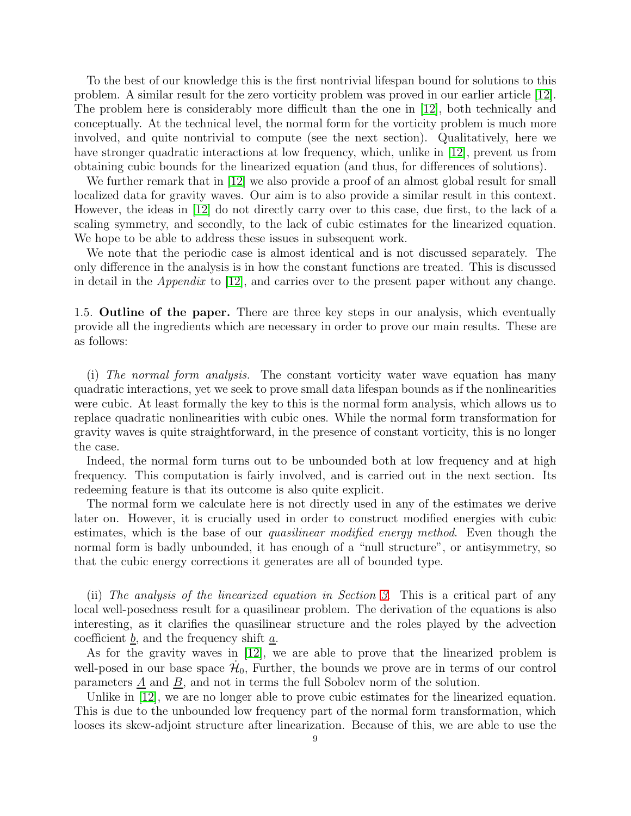To the best of our knowledge this is the first nontrivial lifespan bound for solutions to this problem. A similar result for the zero vorticity problem was proved in our earlier article [\[12\]](#page-62-0). The problem here is considerably more difficult than the one in [\[12\]](#page-62-0), both technically and conceptually. At the technical level, the normal form for the vorticity problem is much more involved, and quite nontrivial to compute (see the next section). Qualitatively, here we have stronger quadratic interactions at low frequency, which, unlike in [\[12\]](#page-62-0), prevent us from obtaining cubic bounds for the linearized equation (and thus, for differences of solutions).

We further remark that in [\[12\]](#page-62-0) we also provide a proof of an almost global result for small localized data for gravity waves. Our aim is to also provide a similar result in this context. However, the ideas in [\[12\]](#page-62-0) do not directly carry over to this case, due first, to the lack of a scaling symmetry, and secondly, to the lack of cubic estimates for the linearized equation. We hope to be able to address these issues in subsequent work.

We note that the periodic case is almost identical and is not discussed separately. The only difference in the analysis is in how the constant functions are treated. This is discussed in detail in the *Appendix* to  $[12]$ , and carries over to the present paper without any change.

1.5. **Outline of the paper.** There are three key steps in our analysis, which eventually provide all the ingredients which are necessary in order to prove our main results. These are as follows:

(i) The normal form analysis. The constant vorticity water wave equation has many quadratic interactions, yet we seek to prove small data lifespan bounds as if the nonlinearities were cubic. At least formally the key to this is the normal form analysis, which allows us to replace quadratic nonlinearities with cubic ones. While the normal form transformation for gravity waves is quite straightforward, in the presence of constant vorticity, this is no longer the case.

Indeed, the normal form turns out to be unbounded both at low frequency and at high frequency. This computation is fairly involved, and is carried out in the next section. Its redeeming feature is that its outcome is also quite explicit.

The normal form we calculate here is not directly used in any of the estimates we derive later on. However, it is crucially used in order to construct modified energies with cubic estimates, which is the base of our *quasilinear modified energy method*. Even though the normal form is badly unbounded, it has enough of a "null structure", or antisymmetry, so that the cubic energy corrections it generates are all of bounded type.

(ii) The analysis of the linearized equation in Section [3](#page-16-0). This is a critical part of any local well-posedness result for a quasilinear problem. The derivation of the equations is also interesting, as it clarifies the quasilinear structure and the roles played by the advection coefficient  $\underline{b}$ , and the frequency shift  $\underline{a}$ .

As for the gravity waves in [\[12\]](#page-62-0), we are able to prove that the linearized problem is well-posed in our base space  $\dot{\mathcal{H}}_0$ , Further, the bounds we prove are in terms of our control parameters A and B, and not in terms the full Sobolev norm of the solution.

Unlike in [\[12\]](#page-62-0), we are no longer able to prove cubic estimates for the linearized equation. This is due to the unbounded low frequency part of the normal form transformation, which looses its skew-adjoint structure after linearization. Because of this, we are able to use the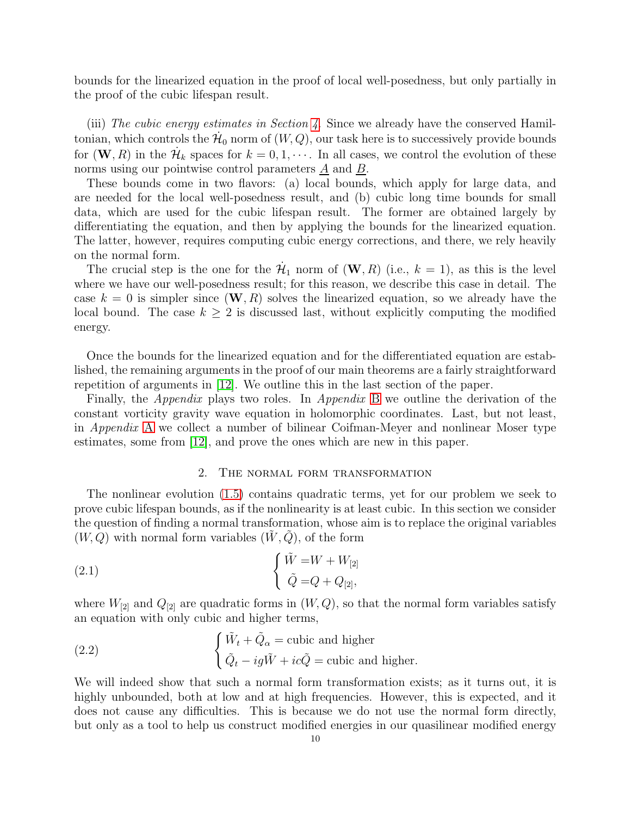bounds for the linearized equation in the proof of local well-posedness, but only partially in the proof of the cubic lifespan result.

(iii) The cubic energy estimates in Section [4](#page-29-0). Since we already have the conserved Hamiltonian, which controls the  $\dot{\mathcal{H}}_0$  norm of  $(W,Q),$  our task here is to successively provide bounds for  $(\mathbf{W}, R)$  in the  $\dot{\mathcal{H}}_k$  spaces for  $k = 0, 1, \cdots$ . In all cases, we control the evolution of these norms using our pointwise control parameters  $\underline{A}$  and  $\underline{B}$ .

These bounds come in two flavors: (a) local bounds, which apply for large data, and are needed for the local well-posedness result, and (b) cubic long time bounds for small data, which are used for the cubic lifespan result. The former are obtained largely by differentiating the equation, and then by applying the bounds for the linearized equation. The latter, however, requires computing cubic energy corrections, and there, we rely heavily on the normal form.

The crucial step is the one for the  $\mathcal{H}_1$  norm of  $(\mathbf{W}, R)$  (i.e.,  $k = 1$ ), as this is the level where we have our well-posedness result; for this reason, we describe this case in detail. The case  $k = 0$  is simpler since  $(\mathbf{W}, R)$  solves the linearized equation, so we already have the local bound. The case  $k \geq 2$  is discussed last, without explicitly computing the modified energy.

Once the bounds for the linearized equation and for the differentiated equation are established, the remaining arguments in the proof of our main theorems are a fairly straightforward repetition of arguments in [\[12\]](#page-62-0). We outline this in the last section of the paper.

Finally, the Appendix plays two roles. In Appendix [B](#page-56-0) we outline the derivation of the constant vorticity gravity wave equation in holomorphic coordinates. Last, but not least, in Appendix [A](#page-54-0) we collect a number of bilinear Coifman-Meyer and nonlinear Moser type estimates, some from [\[12\]](#page-62-0), and prove the ones which are new in this paper.

## <span id="page-9-0"></span>2. The normal form transformation

<span id="page-9-1"></span>The nonlinear evolution [\(1.5\)](#page-2-0) contains quadratic terms, yet for our problem we seek to prove cubic lifespan bounds, as if the nonlinearity is at least cubic. In this section we consider the question of finding a normal transformation, whose aim is to replace the original variables  $(W, Q)$  with normal form variables  $(W, Q)$ , of the form

(2.1) 
$$
\begin{cases} \tilde{W} = W + W_{[2]} \\ \tilde{Q} = Q + Q_{[2]}, \end{cases}
$$

where  $W_{[2]}$  and  $Q_{[2]}$  are quadratic forms in  $(W, Q)$ , so that the normal form variables satisfy an equation with only cubic and higher terms,

(2.2) 
$$
\begin{cases} \tilde{W}_t + \tilde{Q}_\alpha = \text{cubic and higher} \\ \tilde{Q}_t - ig\tilde{W} + ic\tilde{Q} = \text{cubic and higher.} \end{cases}
$$

We will indeed show that such a normal form transformation exists; as it turns out, it is highly unbounded, both at low and at high frequencies. However, this is expected, and it does not cause any difficulties. This is because we do not use the normal form directly, but only as a tool to help us construct modified energies in our quasilinear modified energy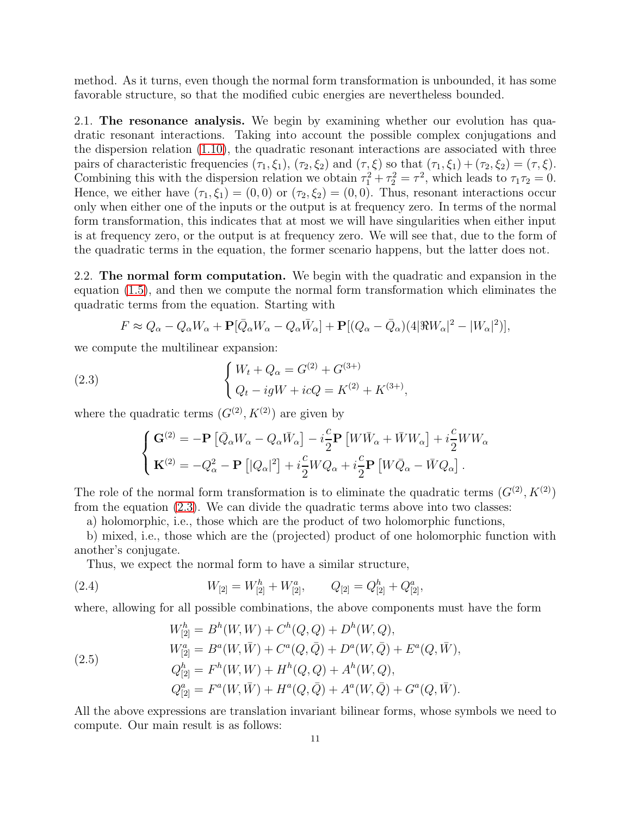method. As it turns, even though the normal form transformation is unbounded, it has some favorable structure, so that the modified cubic energies are nevertheless bounded.

2.1. The resonance analysis. We begin by examining whether our evolution has quadratic resonant interactions. Taking into account the possible complex conjugations and the dispersion relation [\(1.10\)](#page-3-1), the quadratic resonant interactions are associated with three pairs of characteristic frequencies  $(\tau_1, \xi_1), (\tau_2, \xi_2)$  and  $(\tau, \xi)$  so that  $(\tau_1, \xi_1) + (\tau_2, \xi_2) = (\tau, \xi)$ . Combining this with the dispersion relation we obtain  $\tau_1^2 + \tau_2^2 = \tau^2$ , which leads to  $\tau_1 \tau_2 = 0$ . Hence, we either have  $(\tau_1, \xi_1) = (0, 0)$  or  $(\tau_2, \xi_2) = (0, 0)$ . Thus, resonant interactions occur only when either one of the inputs or the output is at frequency zero. In terms of the normal form transformation, this indicates that at most we will have singularities when either input is at frequency zero, or the output is at frequency zero. We will see that, due to the form of the quadratic terms in the equation, the former scenario happens, but the latter does not.

2.2. The normal form computation. We begin with the quadratic and expansion in the equation [\(1.5\)](#page-2-0), and then we compute the normal form transformation which eliminates the quadratic terms from the equation. Starting with

$$
F \approx Q_{\alpha} - Q_{\alpha}W_{\alpha} + \mathbf{P}[\bar{Q}_{\alpha}W_{\alpha} - Q_{\alpha}\bar{W}_{\alpha}] + \mathbf{P}[(Q_{\alpha} - \bar{Q}_{\alpha})(4|\Re W_{\alpha}|^{2} - |W_{\alpha}|^{2})],
$$

we compute the multilinear expansion:

(2.3) 
$$
\begin{cases} W_t + Q_\alpha = G^{(2)} + G^{(3+)} \\ Q_t - igW + icQ = K^{(2)} + K^{(3+)}, \end{cases}
$$

where the quadratic terms  $(G^{(2)}, K^{(2)})$  are given by

<span id="page-10-0"></span>
$$
\left\{ \begin{aligned} \mathbf{G}^{(2)} &= -\mathbf{P} \left[ \bar{Q}_{\alpha} W_{\alpha} - Q_{\alpha} \bar{W}_{\alpha} \right] - i \frac{c}{2} \mathbf{P} \left[ W \bar{W}_{\alpha} + \bar{W} W_{\alpha} \right] + i \frac{c}{2} W W_{\alpha} \\ \mathbf{K}^{(2)} &= - Q_{\alpha}^2 - \mathbf{P} \left[ |Q_{\alpha}|^2 \right] + i \frac{c}{2} W Q_{\alpha} + i \frac{c}{2} \mathbf{P} \left[ W \bar{Q}_{\alpha} - \bar{W} Q_{\alpha} \right]. \end{aligned} \right.
$$

The role of the normal form transformation is to eliminate the quadratic terms  $(G^{(2)}, K^{(2)})$ from the equation [\(2.3\)](#page-10-0). We can divide the quadratic terms above into two classes:

a) holomorphic, i.e., those which are the product of two holomorphic functions,

b) mixed, i.e., those which are the (projected) product of one holomorphic function with another's conjugate.

<span id="page-10-1"></span>Thus, we expect the normal form to have a similar structure,

(2.4) 
$$
W_{[2]} = W_{[2]}^h + W_{[2]}^a, \qquad Q_{[2]} = Q_{[2]}^h + Q_{[2]}^a,
$$

where, allowing for all possible combinations, the above components must have the form

<span id="page-10-2"></span>(2.5)  
\n
$$
W_{[2]}^{h} = B^{h}(W, W) + C^{h}(Q, Q) + D^{h}(W, Q),
$$
\n
$$
W_{[2]}^{a} = B^{a}(W, \bar{W}) + C^{a}(Q, \bar{Q}) + D^{a}(W, \bar{Q}) + E^{a}(Q, \bar{W}),
$$
\n
$$
Q_{[2]}^{h} = F^{h}(W, W) + H^{h}(Q, Q) + A^{h}(W, Q),
$$
\n
$$
Q_{[2]}^{a} = F^{a}(W, \bar{W}) + H^{a}(Q, \bar{Q}) + A^{a}(W, \bar{Q}) + G^{a}(Q, \bar{W}).
$$

All the above expressions are translation invariant bilinear forms, whose symbols we need to compute. Our main result is as follows: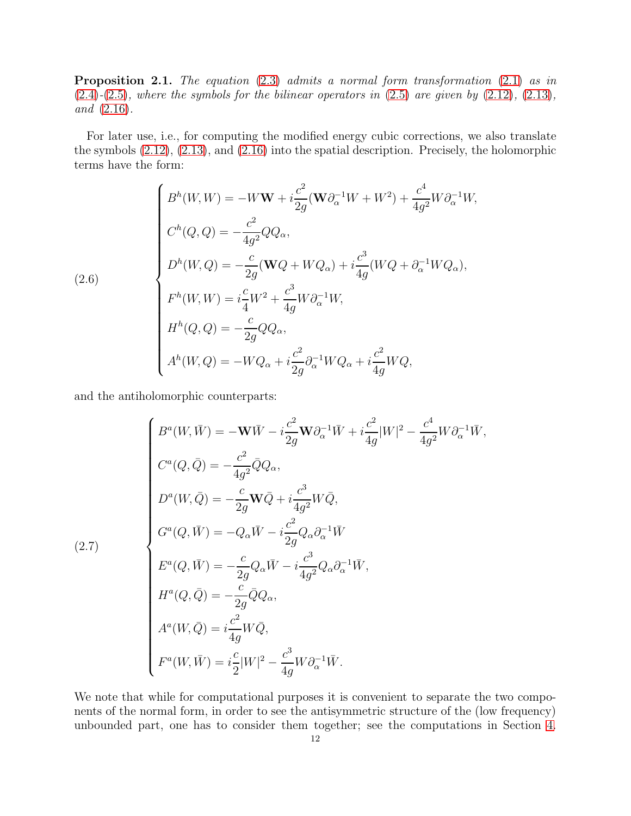Proposition 2.1. The equation [\(2.3\)](#page-10-0) admits a normal form transformation [\(2.1\)](#page-9-0) as in  $(2.4)-(2.5)$  $(2.4)-(2.5)$  $(2.4)-(2.5)$ , where the symbols for the bilinear operators in  $(2.5)$  are given by  $(2.12)$ ,  $(2.13)$ , and [\(2.16\)](#page-16-1).

For later use, i.e., for computing the modified energy cubic corrections, we also translate the symbols [\(2.12\)](#page-14-0), [\(2.13\)](#page-15-0), and [\(2.16\)](#page-16-1) into the spatial description. Precisely, the holomorphic terms have the form:

(2.6)  
\n
$$
\begin{cases}\nB^h(W, W) = -W\mathbf{W} + i\frac{c^2}{2g}(\mathbf{W}\partial_{\alpha}^{-1}W + W^2) + \frac{c^4}{4g^2}W\partial_{\alpha}^{-1}W, \\
C^h(Q, Q) = -\frac{c^2}{4g^2}QQ_{\alpha}, \\
D^h(W, Q) = -\frac{c}{2g}(\mathbf{W}Q + WQ_{\alpha}) + i\frac{c^3}{4g}(WQ + \partial_{\alpha}^{-1}WQ_{\alpha}), \\
F^h(W, W) = i\frac{c}{4}W^2 + \frac{c^3}{4g}W\partial_{\alpha}^{-1}W, \\
H^h(Q, Q) = -\frac{c}{2g}QQ_{\alpha}, \\
A^h(W, Q) = -WQ_{\alpha} + i\frac{c^2}{2g}\partial_{\alpha}^{-1}WQ_{\alpha} + i\frac{c^2}{4g}WQ,\n\end{cases}
$$

and the antiholomorphic counterparts:

$$
\begin{cases}\nB^{a}(W,\bar{W}) = -\mathbf{W}\bar{W} - i\frac{c^{2}}{2g}\mathbf{W}\partial_{\alpha}^{-1}\bar{W} + i\frac{c^{2}}{4g}|W|^{2} - \frac{c^{4}}{4g^{2}}W\partial_{\alpha}^{-1}\bar{W}, \\
C^{a}(Q,\bar{Q}) = -\frac{c^{2}}{4g^{2}}\bar{Q}Q_{\alpha}, \\
D^{a}(W,\bar{Q}) = -\frac{c}{2g}\mathbf{W}\bar{Q} + i\frac{c^{3}}{4g^{2}}W\bar{Q}, \\
G^{a}(Q,\bar{W}) = -Q_{\alpha}\bar{W} - i\frac{c^{2}}{2g}Q_{\alpha}\partial_{\alpha}^{-1}\bar{W}, \\
E^{a}(Q,\bar{W}) = -\frac{c}{2g}Q_{\alpha}\bar{W} - i\frac{c^{3}}{4g^{2}}Q_{\alpha}\partial_{\alpha}^{-1}\bar{W}, \\
H^{a}(Q,\bar{Q}) = -\frac{c}{2g}\bar{Q}Q_{\alpha}, \\
A^{a}(W,\bar{Q}) = i\frac{c^{2}}{4g}W\bar{Q}, \\
F^{a}(W,\bar{W}) = i\frac{c}{2}|W|^{2} - \frac{c^{3}}{4g}W\partial_{\alpha}^{-1}\bar{W}.\n\end{cases}
$$

We note that while for computational purposes it is convenient to separate the two components of the normal form, in order to see the antisymmetric structure of the (low frequency) unbounded part, one has to consider them together; see the computations in Section [4.](#page-29-0)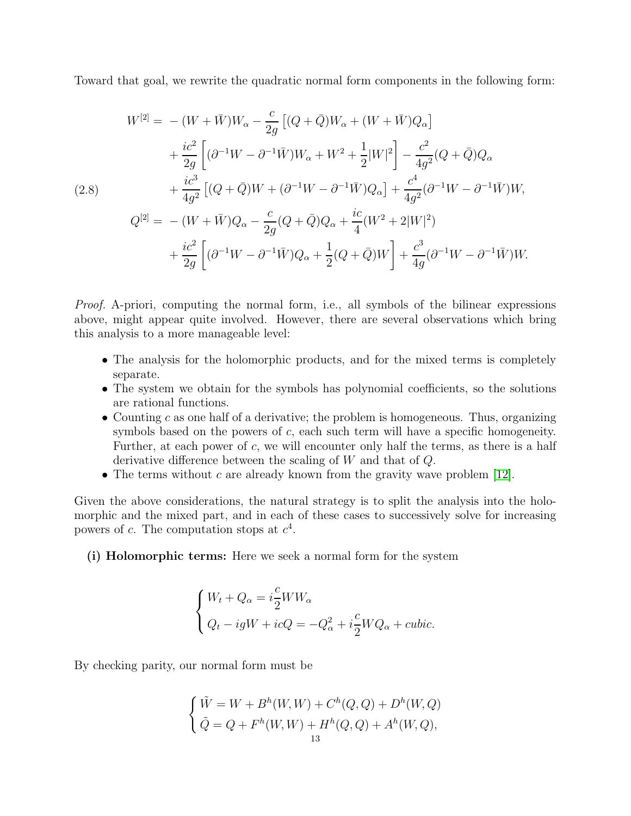Toward that goal, we rewrite the quadratic normal form components in the following form:

<span id="page-12-0"></span>
$$
W^{[2]} = -(W + \bar{W})W_{\alpha} - \frac{c}{2g} \left[ (Q + \bar{Q})W_{\alpha} + (W + \bar{W})Q_{\alpha} \right]
$$
  
+ 
$$
\frac{ic^{2}}{2g} \left[ (\partial^{-1}W - \partial^{-1}\bar{W})W_{\alpha} + W^{2} + \frac{1}{2}|W|^{2} \right] - \frac{c^{2}}{4g^{2}}(Q + \bar{Q})Q_{\alpha}
$$
  
(2.8)
$$
+ \frac{ic^{3}}{4g^{2}} \left[ (Q + \bar{Q})W + (\partial^{-1}W - \partial^{-1}\bar{W})Q_{\alpha} \right] + \frac{c^{4}}{4g^{2}}(\partial^{-1}W - \partial^{-1}\bar{W})W,
$$

$$
Q^{[2]} = -(W + \bar{W})Q_{\alpha} - \frac{c}{2g}(Q + \bar{Q})Q_{\alpha} + \frac{ic}{4}(W^{2} + 2|W|^{2})
$$

$$
+\frac{ic^2}{2g}\left[ (\partial^{-1}W - \partial^{-1}\bar{W})Q_\alpha + \frac{1}{2}(Q+\bar{Q})W \right] + \frac{c^3}{4g}(\partial^{-1}W - \partial^{-1}\bar{W})W.
$$

Proof. A-priori, computing the normal form, i.e., all symbols of the bilinear expressions above, might appear quite involved. However, there are several observations which bring this analysis to a more manageable level:

- The analysis for the holomorphic products, and for the mixed terms is completely separate.
- The system we obtain for the symbols has polynomial coefficients, so the solutions are rational functions.
- Counting  $c$  as one half of a derivative; the problem is homogeneous. Thus, organizing symbols based on the powers of  $c$ , each such term will have a specific homogeneity. Further, at each power of c, we will encounter only half the terms, as there is a half derivative difference between the scaling of W and that of Q.
- The terms without c are already known from the gravity wave problem  $[12]$ .

Given the above considerations, the natural strategy is to split the analysis into the holomorphic and the mixed part, and in each of these cases to successively solve for increasing powers of c. The computation stops at  $c<sup>4</sup>$ .

(i) Holomorphic terms: Here we seek a normal form for the system

$$
\begin{cases} W_t + Q_\alpha = i\frac{c}{2}WW_\alpha \\ Q_t - igW + icQ = -Q_\alpha^2 + i\frac{c}{2}WQ_\alpha + cubic. \end{cases}
$$

By checking parity, our normal form must be

$$
\begin{cases} \tilde{W} = W + B^h(W, W) + C^h(Q, Q) + D^h(W, Q) \\ \tilde{Q} = Q + F^h(W, W) + H^h(Q, Q) + A^h(W, Q), \\ 13 \end{cases}
$$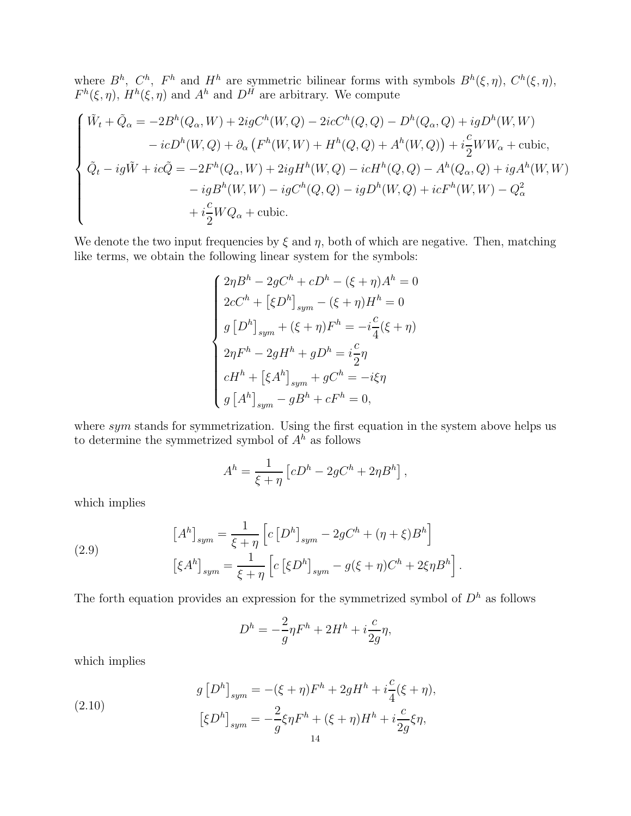where  $B^h$ ,  $C^h$ ,  $F^h$  and  $H^h$  are symmetric bilinear forms with symbols  $B^h(\xi, \eta)$ ,  $C^h(\xi, \eta)$ ,  $F^h(\xi,\eta), H^h(\xi,\eta)$  and  $A^h$  and  $D^H$  are arbitrary. We compute

$$
\begin{cases} \tilde{W}_t + \tilde{Q}_\alpha = -2B^h(Q_\alpha, W) + 2igC^h(W, Q) - 2icC^h(Q, Q) - D^h(Q_\alpha, Q) + igD^h(W, W) \\ \qquad - icD^h(W, Q) + \partial_\alpha \left( F^h(W, W) + H^h(Q, Q) + A^h(W, Q) \right) + i\frac{c}{2}WW_\alpha + \text{cubic}, \\ \tilde{Q}_t - ig\tilde{W} + ic\tilde{Q} = -2F^h(Q_\alpha, W) + 2igH^h(W, Q) - icH^h(Q, Q) - A^h(Q_\alpha, Q) + igA^h(W, W) \\ \qquad - igB^h(W, W) - igC^h(Q, Q) - igD^h(W, Q) + icF^h(W, W) - Q_\alpha^2 \\ \qquad + i\frac{c}{2}WQ_\alpha + \text{cubic}. \end{cases}
$$

We denote the two input frequencies by  $\xi$  and  $\eta$ , both of which are negative. Then, matching like terms, we obtain the following linear system for the symbols:

$$
\begin{cases}\n2\eta B^h - 2gC^h + cD^h - (\xi + \eta)A^h = 0 \\
2cC^h + [\xi D^h]_{sym} - (\xi + \eta)H^h = 0 \\
g [D^h]_{sym} + (\xi + \eta)F^h = -i\frac{c}{4}(\xi + \eta) \\
2\eta F^h - 2gH^h + gD^h = i\frac{c}{2}\eta \\
cH^h + [\xi A^h]_{sym} + gC^h = -i\xi\eta \\
g [A^h]_{sym} - gB^h + cF^h = 0,\n\end{cases}
$$

where sym stands for symmetrization. Using the first equation in the system above helps us to determine the symmetrized symbol of  $A^h$  as follows

$$
A^{h} = \frac{1}{\xi + \eta} \left[ cD^{h} - 2gC^{h} + 2\eta B^{h} \right],
$$

which implies

<span id="page-13-1"></span>(2.9)  
\n
$$
[A^{h}]_{sym} = \frac{1}{\xi + \eta} \left[ c \left[ D^{h} \right]_{sym} - 2gC^{h} + (\eta + \xi)B^{h} \right]
$$
\n
$$
[\xi A^{h}]_{sym} = \frac{1}{\xi + \eta} \left[ c \left[ \xi D^{h} \right]_{sym} - g(\xi + \eta)C^{h} + 2\xi\eta B^{h} \right]
$$

The forth equation provides an expression for the symmetrized symbol of  $D<sup>h</sup>$  as follows

<span id="page-13-0"></span>
$$
D^h = -\frac{2}{g}\eta F^h + 2H^h + i\frac{c}{2g}\eta,
$$

.

which implies

(2.10) 
$$
g[D^h]_{sym} = -(\xi + \eta)F^h + 2gH^h + i\frac{c}{4}(\xi + \eta),
$$

$$
[\xi D^h]_{sym} = -\frac{2}{g}\xi\eta F^h + (\xi + \eta)H^h + i\frac{c}{2g}\xi\eta,
$$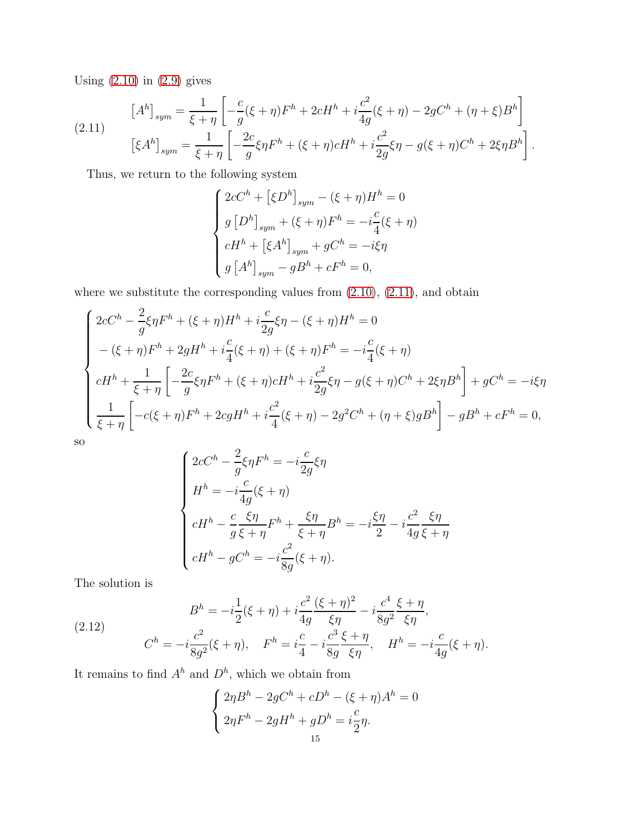Using  $(2.10)$  in  $(2.9)$  gives

<span id="page-14-1"></span>(2.11) 
$$
[A^{h}]_{sym} = \frac{1}{\xi + \eta} \left[ -\frac{c}{g}(\xi + \eta)F^{h} + 2cH^{h} + i\frac{c^{2}}{4g}(\xi + \eta) - 2gC^{h} + (\eta + \xi)B^{h} \right]
$$

$$
[\xi A^{h}]_{sym} = \frac{1}{\xi + \eta} \left[ -\frac{2c}{g}\xi\eta F^{h} + (\xi + \eta)cH^{h} + i\frac{c^{2}}{2g}\xi\eta - g(\xi + \eta)C^{h} + 2\xi\eta B^{h} \right].
$$

Thus, we return to the following system

$$
\begin{cases}\n2cC^h + \left[\xi D^h\right]_{sym} - (\xi + \eta)H^h = 0 \\
g \left[D^h\right]_{sym} + (\xi + \eta)F^h = -i\frac{c}{4}(\xi + \eta) \\
cH^h + \left[\xi A^h\right]_{sym} + gC^h = -i\xi\eta \\
g \left[A^h\right]_{sym} - gB^h + cF^h = 0,\n\end{cases}
$$

where we substitute the corresponding values from  $(2.10)$ ,  $(2.11)$ , and obtain

$$
\begin{cases}\n2cC^{h} - \frac{2}{g}\xi\eta F^{h} + (\xi + \eta)H^{h} + i\frac{c}{2g}\xi\eta - (\xi + \eta)H^{h} = 0 \\
-(\xi + \eta)F^{h} + 2gH^{h} + i\frac{c}{4}(\xi + \eta) + (\xi + \eta)F^{h} = -i\frac{c}{4}(\xi + \eta) \\
cH^{h} + \frac{1}{\xi + \eta} \left[ -\frac{2c}{g}\xi\eta F^{h} + (\xi + \eta)cH^{h} + i\frac{c^{2}}{2g}\xi\eta - g(\xi + \eta)C^{h} + 2\xi\eta B^{h} \right] + gC^{h} = -i\xi\eta \\
\frac{1}{\xi + \eta} \left[ -c(\xi + \eta)F^{h} + 2cgH^{h} + i\frac{c^{2}}{4}(\xi + \eta) - 2g^{2}C^{h} + (\eta + \xi)gB^{h} \right] - gB^{h} + cF^{h} = 0,\n\end{cases}
$$

so

$$
\begin{cases}\n2cC^h - \frac{2}{g}\xi\eta F^h = -i\frac{c}{2g}\xi\eta \\
H^h = -i\frac{c}{4g}(\xi + \eta) \\
cH^h - \frac{c}{g}\frac{\xi\eta}{\xi + \eta}F^h + \frac{\xi\eta}{\xi + \eta}B^h = -i\frac{\xi\eta}{2} - i\frac{c^2}{4g}\frac{\xi\eta}{\xi + \eta} \\
cH^h - gC^h = -i\frac{c^2}{8g}(\xi + \eta).\n\end{cases}
$$

The solution is

<span id="page-14-0"></span>(2.12) 
$$
B^{h} = -i\frac{1}{2}(\xi + \eta) + i\frac{c^{2}}{4g}\frac{(\xi + \eta)^{2}}{\xi\eta} - i\frac{c^{4}}{8g^{2}}\frac{\xi + \eta}{\xi\eta},
$$

$$
C^{h} = -i\frac{c^{2}}{8g^{2}}(\xi + \eta), \quad F^{h} = i\frac{c}{4} - i\frac{c^{3}}{8g}\frac{\xi + \eta}{\xi\eta}, \quad H^{h} = -i\frac{c}{4g}(\xi + \eta).
$$

It remains to find  $A<sup>h</sup>$  and  $D<sup>h</sup>$ , which we obtain from

$$
\begin{cases} 2\eta B^h - 2gC^h + cD^h - (\xi + \eta)A^h = 0\\ 2\eta F^h - 2gH^h + gD^h = i\frac{c}{2}\eta. \end{cases}
$$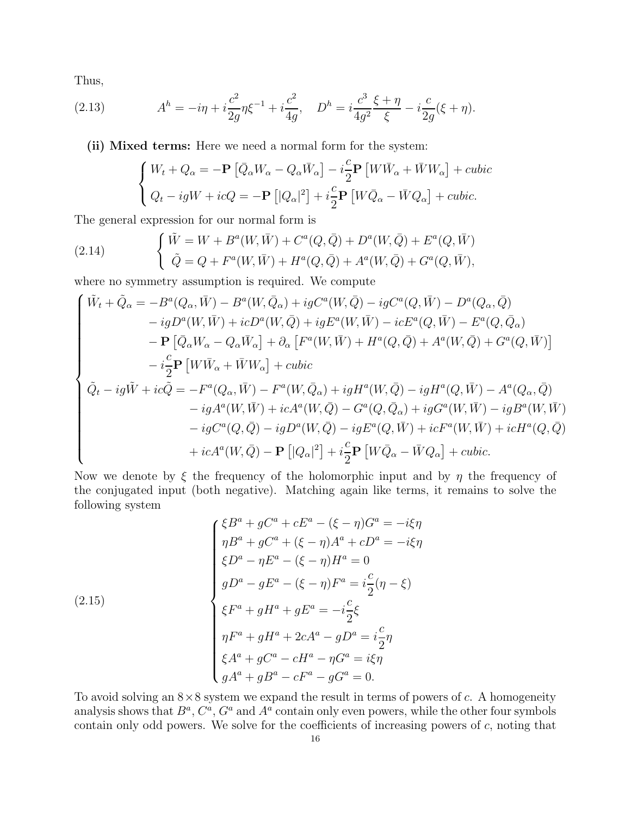Thus,

(2.13) 
$$
A^{h} = -i\eta + i\frac{c^{2}}{2g}\eta\xi^{-1} + i\frac{c^{2}}{4g}, \quad D^{h} = i\frac{c^{3}}{4g^{2}}\frac{\xi + \eta}{\xi} - i\frac{c}{2g}(\xi + \eta).
$$

(ii) Mixed terms: Here we need a normal form for the system:

<span id="page-15-0"></span>
$$
\begin{cases} W_t + Q_\alpha = -\mathbf{P} \left[ \bar{Q}_\alpha W_\alpha - Q_\alpha \bar{W}_\alpha \right] - i\frac{c}{2} \mathbf{P} \left[ W \bar{W}_\alpha + \bar{W} W_\alpha \right] + cubic \\ Q_t - igW + icQ = -\mathbf{P} \left[ |Q_\alpha|^2 \right] + i\frac{c}{2} \mathbf{P} \left[ W \bar{Q}_\alpha - \bar{W} Q_\alpha \right] + cubic. \end{cases}
$$

The general expression for our normal form is

(2.14) 
$$
\begin{cases} \tilde{W} = W + B^a(W, \bar{W}) + C^a(Q, \bar{Q}) + D^a(W, \bar{Q}) + E^a(Q, \bar{W}) \\ \tilde{Q} = Q + F^a(W, \bar{W}) + H^a(Q, \bar{Q}) + A^a(W, \bar{Q}) + G^a(Q, \bar{W}), \end{cases}
$$

where no symmetry assumption is required. We compute

$$
\begin{cases}\n\tilde{W}_t + \tilde{Q}_\alpha = -B^a(Q_\alpha, \bar{W}) - B^a(W, \bar{Q}_\alpha) + igC^a(W, \bar{Q}) - igC^a(Q, \bar{W}) - D^a(Q_\alpha, \bar{Q}) \\
- igD^a(W, \bar{W}) + icD^a(W, \bar{Q}) + igE^a(W, \bar{W}) - icE^a(Q, \bar{W}) - E^a(Q, \bar{Q}_\alpha) \\
-\mathbf{P} [\bar{Q}_\alpha W_\alpha - Q_\alpha \bar{W}_\alpha] + \partial_\alpha [F^a(W, \bar{W}) + H^a(Q, \bar{Q}) + A^a(W, \bar{Q}) + G^a(Q, \bar{W})] \\
-i\frac{c}{2}\mathbf{P} [W\bar{W}_\alpha + \bar{W}W_\alpha] + cubic \\
\tilde{Q}_t - ig\tilde{W} + ic\tilde{Q} = -F^a(Q_\alpha, \bar{W}) - F^a(W, \bar{Q}_\alpha) + igH^a(W, \bar{Q}) - igH^a(Q, \bar{W}) - A^a(Q_\alpha, \bar{Q}) \\
-i gA^a(W, \bar{W}) + icA^a(W, \bar{Q}) - G^a(Q, \bar{Q}_\alpha) + igG^a(W, \bar{W}) - igB^a(W, \bar{W}) \\
-i gC^a(Q, \bar{Q}) - igD^a(W, \bar{Q}) - igE^a(Q, \bar{W}) + icF^a(W, \bar{W}) + icH^a(Q, \bar{Q}) \\
+i cA^a(W, \bar{Q}) - \mathbf{P} [|Q_\alpha|^2] + i\frac{c}{2}\mathbf{P} [W\bar{Q}_\alpha - \bar{W}Q_\alpha] + cubic.\n\end{cases}
$$

Now we denote by  $\xi$  the frequency of the holomorphic input and by  $\eta$  the frequency of the conjugated input (both negative). Matching again like terms, it remains to solve the following system

(2.15)  
\n
$$
\begin{cases}\n\xi B^{a} + gC^{a} + cE^{a} - (\xi - \eta)G^{a} = -i\xi\eta \\
\eta B^{a} + gC^{a} + (\xi - \eta)A^{a} + cD^{a} = -i\xi\eta \\
\xi D^{a} - \eta E^{a} - (\xi - \eta)H^{a} = 0\n\end{cases}
$$
\n
$$
gD^{a} - gE^{a} - (\xi - \eta)F^{a} = i\frac{c}{2}(\eta - \xi)
$$
\n
$$
\xi F^{a} + gH^{a} + gE^{a} = -i\frac{c}{2}\xi
$$
\n
$$
\eta F^{a} + gH^{a} + 2cA^{a} - gD^{a} = i\frac{c}{2}\eta
$$
\n
$$
\xi A^{a} + gC^{a} - cH^{a} - \eta G^{a} = i\xi\eta
$$
\n
$$
gA^{a} + gB^{a} - cF^{a} - gG^{a} = 0.
$$

To avoid solving an  $8\times 8$  system we expand the result in terms of powers of c. A homogeneity analysis shows that  $B^a$ ,  $C^a$ ,  $G^a$  and  $A^a$  contain only even powers, while the other four symbols contain only odd powers. We solve for the coefficients of increasing powers of c, noting that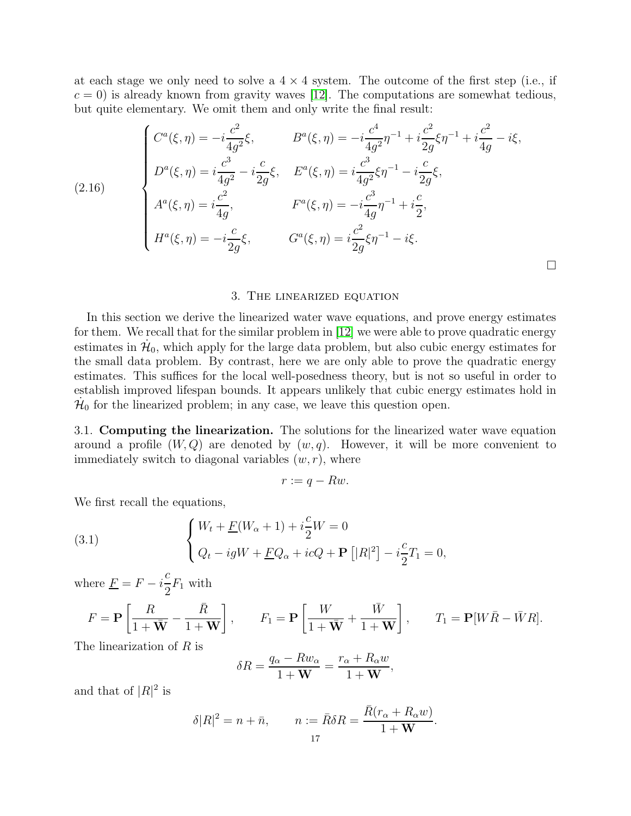at each stage we only need to solve a  $4 \times 4$  system. The outcome of the first step (i.e., if  $c = 0$ ) is already known from gravity waves [\[12\]](#page-62-0). The computations are somewhat tedious, but quite elementary. We omit them and only write the final result:

<span id="page-16-1"></span>(2.16)  
\n
$$
\begin{cases}\nC^a(\xi,\eta) = -i\frac{c^2}{4g^2}\xi, & B^a(\xi,\eta) = -i\frac{c^4}{4g^2}\eta^{-1} + i\frac{c^2}{2g}\xi\eta^{-1} + i\frac{c^2}{4g} - i\xi, \\
D^a(\xi,\eta) = i\frac{c^3}{4g^2} - i\frac{c}{2g}\xi, & E^a(\xi,\eta) = i\frac{c^3}{4g^2}\xi\eta^{-1} - i\frac{c}{2g}\xi, \\
A^a(\xi,\eta) = i\frac{c^2}{4g}, & F^a(\xi,\eta) = -i\frac{c^3}{4g}\eta^{-1} + i\frac{c}{2}, \\
H^a(\xi,\eta) = -i\frac{c}{2g}\xi, & G^a(\xi,\eta) = i\frac{c^2}{2g}\xi\eta^{-1} - i\xi.\n\end{cases}
$$

#### 3. The linearized equation

 $\Box$ 

<span id="page-16-0"></span>In this section we derive the linearized water wave equations, and prove energy estimates for them. We recall that for the similar problem in [\[12\]](#page-62-0) we were able to prove quadratic energy estimates in  $\dot{\mathcal{H}}_0$ , which apply for the large data problem, but also cubic energy estimates for the small data problem. By contrast, here we are only able to prove the quadratic energy estimates. This suffices for the local well-posedness theory, but is not so useful in order to establish improved lifespan bounds. It appears unlikely that cubic energy estimates hold in  $\dot{\mathcal{H}}_0$  for the linearized problem; in any case, we leave this question open.

3.1. Computing the linearization. The solutions for the linearized water wave equation around a profile  $(W,Q)$  are denoted by  $(w, q)$ . However, it will be more convenient to immediately switch to diagonal variables  $(w, r)$ , where

$$
r:=q-Rw.
$$

We first recall the equations,

(3.1) 
$$
\begin{cases} W_t + \underline{F}(W_\alpha + 1) + i\frac{c}{2}W = 0 \\ Q_t - igW + \underline{F}Q_\alpha + icQ + \mathbf{P}[|R|^2] - i\frac{c}{2}T_1 = 0, \end{cases}
$$

where  $\underline{F} = F - i$ c  $\frac{1}{2}F_1$  with

$$
F = \mathbf{P}\left[\frac{R}{1+\mathbf{\bar{W}}}-\frac{\bar{R}}{1+\mathbf{W}}\right], \qquad F_1 = \mathbf{P}\left[\frac{W}{1+\mathbf{\bar{W}}}+\frac{\bar{W}}{1+\mathbf{W}}\right], \qquad T_1 = \mathbf{P}[W\bar{R}-\bar{W}R].
$$

The linearization of R is

$$
\delta R = \frac{q_{\alpha} - R w_{\alpha}}{1 + \mathbf{W}} = \frac{r_{\alpha} + R_{\alpha} w}{1 + \mathbf{W}},
$$

and that of  $|R|^2$  is

$$
\delta |R|^2 = n + \bar{n}, \qquad n := \bar{R}\delta R = \frac{\bar{R}(r_\alpha + R_\alpha w)}{1 + \mathbf{W}}.
$$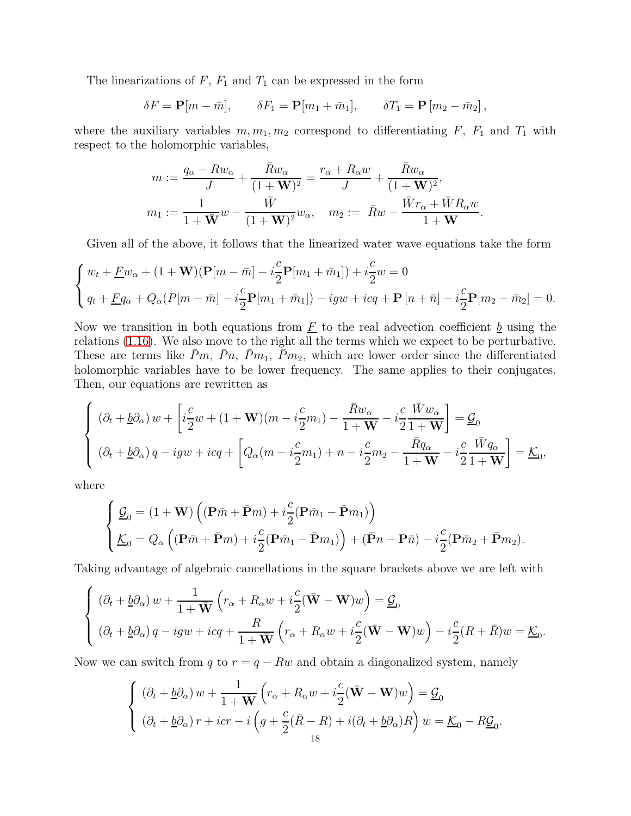The linearizations of  $F$ ,  $F_1$  and  $T_1$  can be expressed in the form

$$
\delta F = \mathbf{P}[m - \bar{m}], \qquad \delta F_1 = \mathbf{P}[m_1 + \bar{m}_1], \qquad \delta T_1 = \mathbf{P}[m_2 - \bar{m}_2],
$$

where the auxiliary variables  $m, m_1, m_2$  correspond to differentiating  $F, F_1$  and  $T_1$  with respect to the holomorphic variables,

$$
m := \frac{q_{\alpha} - R w_{\alpha}}{J} + \frac{\bar{R} w_{\alpha}}{(1 + \mathbf{W})^2} = \frac{r_{\alpha} + R_{\alpha} w}{J} + \frac{\bar{R} w_{\alpha}}{(1 + \mathbf{W})^2},
$$
  

$$
m_1 := \frac{1}{1 + \bar{\mathbf{W}}} w - \frac{\bar{W}}{(1 + \mathbf{W})^2} w_{\alpha}, \quad m_2 := \bar{R} w - \frac{\bar{W} r_{\alpha} + \bar{W} R_{\alpha} w}{1 + \mathbf{W}}.
$$

Given all of the above, it follows that the linearized water wave equations take the form

$$
\begin{cases} w_t + \underline{F}w_{\alpha} + (1 + \mathbf{W})(\mathbf{P}[m - \bar{m}] - i\frac{c}{2}\mathbf{P}[m_1 + \bar{m}_1]) + i\frac{c}{2}w = 0\\ q_t + \underline{F}q_{\alpha} + Q_{\alpha}(P[m - \bar{m}] - i\frac{c}{2}\mathbf{P}[m_1 + \bar{m}_1]) - igw + icq + \mathbf{P}[n + \bar{n}] - i\frac{c}{2}\mathbf{P}[m_2 - \bar{m}_2] = 0. \end{cases}
$$

Now we transition in both equations from  $\underline{F}$  to the real advection coefficient  $\underline{b}$  using the relations [\(1.16\)](#page-5-0). We also move to the right all the terms which we expect to be perturbative. These are terms like  $\bar{P}m$ ,  $\bar{P}m$ ,  $\bar{P}m_1$ ,  $\bar{P}m_2$ , which are lower order since the differentiated holomorphic variables have to be lower frequency. The same applies to their conjugates. Then, our equations are rewritten as

$$
\begin{cases} \n(\partial_t + \underline{b}\partial_\alpha) w + \left[ i \frac{c}{2} w + (1 + \mathbf{W})(m - i \frac{c}{2} m_1) - \frac{\bar{R}w_\alpha}{1 + \mathbf{W}} - i \frac{c}{2} \frac{\bar{W}w_\alpha}{1 + \mathbf{W}} \right] = \underline{\mathcal{G}}_0\\ \n(\partial_t + \underline{b}\partial_\alpha) q - igw + icq + \left[ Q_\alpha (m - i \frac{c}{2} m_1) + n - i \frac{c}{2} m_2 - \frac{\bar{R}q_\alpha}{1 + \mathbf{W}} - i \frac{c}{2} \frac{\bar{W}q_\alpha}{1 + \mathbf{W}} \right] = \underline{\mathcal{K}}_0, \n\end{cases}
$$

where

$$
\begin{cases} \underline{\mathcal{G}}_0 = (1 + \mathbf{W}) \left( (\mathbf{P}\bar{m} + \bar{\mathbf{P}}m) + i\frac{c}{2} (\mathbf{P}\bar{m}_1 - \bar{\mathbf{P}}m_1) \right) \\ \underline{\mathcal{K}}_0 = Q_\alpha \left( (\mathbf{P}\bar{m} + \bar{\mathbf{P}}m) + i\frac{c}{2} (\mathbf{P}\bar{m}_1 - \bar{\mathbf{P}}m_1) \right) + (\bar{\mathbf{P}}n - \mathbf{P}\bar{n}) - i\frac{c}{2} (\mathbf{P}\bar{m}_2 + \bar{\mathbf{P}}m_2). \end{cases}
$$

Taking advantage of algebraic cancellations in the square brackets above we are left with

$$
\begin{cases} \left(\partial_t + \underline{b}\partial_\alpha\right)w + \frac{1}{1+\mathbf{W}}\left(r_\alpha + R_\alpha w + i\frac{c}{2}(\mathbf{W} - \mathbf{W})w\right) = \underline{\mathcal{G}}_0\\ \left(\partial_t + \underline{b}\partial_\alpha\right)q - igw + icq + \frac{R}{1+\mathbf{W}}\left(r_\alpha + R_\alpha w + i\frac{c}{2}(\mathbf{W} - \mathbf{W})w\right) - i\frac{c}{2}(R+\bar{R})w = \underline{\mathcal{K}}_0. \end{cases}
$$

Now we can switch from q to  $r = q - Rw$  and obtain a diagonalized system, namely

$$
\begin{cases} (\partial_t + \underline{b}\partial_\alpha) w + \frac{1}{1 + \overline{W}} \left( r_\alpha + R_\alpha w + i \frac{c}{2} (\overline{W} - W) w \right) = \underline{\mathcal{G}}_0 \\ (\partial_t + \underline{b}\partial_\alpha) r + icr - i \left( g + \frac{c}{2} (\overline{R} - R) + i (\partial_t + \underline{b}\partial_\alpha) R \right) w = \underline{\mathcal{K}}_0 - R\underline{\mathcal{G}}_0. \end{cases}
$$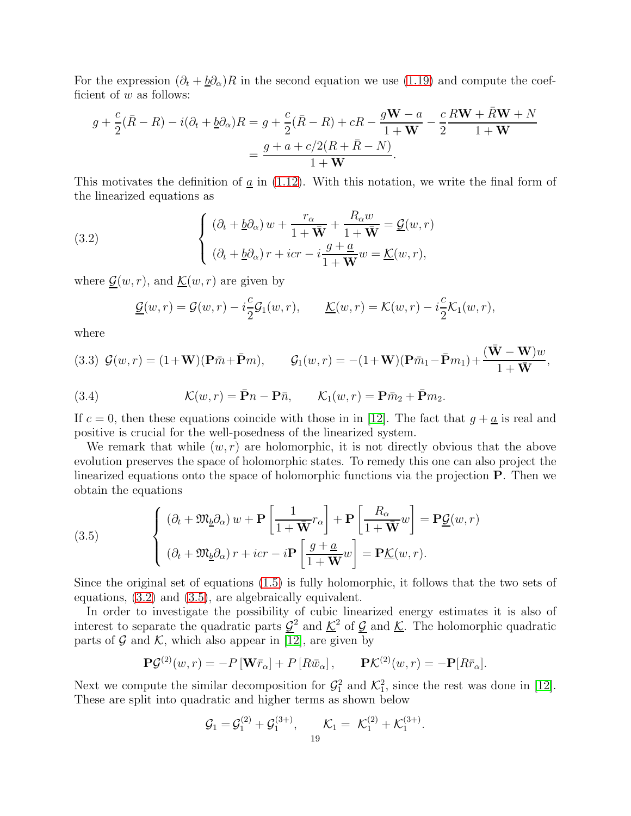For the expression  $(\partial_t + \underline{b}\partial_\alpha)R$  in the second equation we use [\(1.19\)](#page-6-0) and compute the coefficient of  $w$  as follows:

$$
g + \frac{c}{2}(\bar{R} - R) - i(\partial_t + \underline{b}\partial_\alpha)R = g + \frac{c}{2}(\bar{R} - R) + cR - \frac{g\mathbf{W} - a}{1 + \mathbf{W}} - \frac{c}{2}\frac{R\mathbf{W} + \bar{R}\mathbf{W} + N}{1 + \mathbf{W}}
$$

$$
= \frac{g + a + c/2(R + \bar{R} - N)}{1 + \mathbf{W}}.
$$

This motivates the definition of  $\underline{a}$  in [\(1.12\)](#page-4-0). With this notation, we write the final form of the linearized equations as

(3.2) 
$$
\begin{cases} (\partial_t + \underline{b}\partial_\alpha) w + \frac{r_\alpha}{1 + \overline{W}} + \frac{R_\alpha w}{1 + \overline{W}} = \underline{\mathcal{G}}(w, r) \\ (\partial_t + \underline{b}\partial_\alpha) r + icr - i\frac{g + \underline{a}}{1 + \overline{W}} w = \underline{\mathcal{K}}(w, r), \end{cases}
$$

where  $\mathcal{G}(w,r)$ , and  $\underline{\mathcal{K}}(w,r)$  are given by

<span id="page-18-0"></span>
$$
\underline{\mathcal{G}}(w,r) = \mathcal{G}(w,r) - i\frac{c}{2}\mathcal{G}_1(w,r), \qquad \underline{\mathcal{K}}(w,r) = \mathcal{K}(w,r) - i\frac{c}{2}\mathcal{K}_1(w,r),
$$

where

$$
(3.3) \mathcal{G}(w,r) = (1+\mathbf{W})(\mathbf{P}\bar{m}+\bar{\mathbf{P}}m), \qquad \mathcal{G}_1(w,r) = -(1+\mathbf{W})(\mathbf{P}\bar{m}_1-\bar{\mathbf{P}}m_1) + \frac{(\bar{\mathbf{W}}-\mathbf{W})w}{1+\bar{\mathbf{W}}},
$$

(3.4) 
$$
\mathcal{K}(w,r) = \bar{\mathbf{P}}n - \mathbf{P}\bar{n}, \qquad \mathcal{K}_1(w,r) = \mathbf{P}\bar{m}_2 + \bar{\mathbf{P}}m_2.
$$

If  $c = 0$ , then these equations coincide with those in in [\[12\]](#page-62-0). The fact that  $g + \underline{a}$  is real and positive is crucial for the well-posedness of the linearized system.

We remark that while  $(w, r)$  are holomorphic, it is not directly obvious that the above evolution preserves the space of holomorphic states. To remedy this one can also project the linearized equations onto the space of holomorphic functions via the projection P. Then we obtain the equations

<span id="page-18-1"></span>(3.5) 
$$
\begin{cases} (\partial_t + \mathfrak{M}_{\underline{b}} \partial_\alpha) w + \mathbf{P} \left[ \frac{1}{1 + \bar{\mathbf{W}}} r_\alpha \right] + \mathbf{P} \left[ \frac{R_\alpha}{1 + \bar{\mathbf{W}}} w \right] = \mathbf{P} \underline{\mathcal{G}}(w, r) (\partial_t + \mathfrak{M}_{\underline{b}} \partial_\alpha) r + icr - i \mathbf{P} \left[ \frac{g + \underline{a}}{1 + \bar{\mathbf{W}}} w \right] = \mathbf{P} \underline{\mathcal{K}}(w, r). \end{cases}
$$

Since the original set of equations [\(1.5\)](#page-2-0) is fully holomorphic, it follows that the two sets of equations, [\(3.2\)](#page-18-0) and [\(3.5\)](#page-18-1), are algebraically equivalent.

In order to investigate the possibility of cubic linearized energy estimates it is also of interest to separate the quadratic parts  $\underline{\mathcal{G}}^2$  and  $\underline{\mathcal{K}}^2$  of  $\underline{\mathcal{G}}$  and  $\underline{\mathcal{K}}$ . The holomorphic quadratic parts of  $\mathcal G$  and  $\mathcal K$ , which also appear in [\[12\]](#page-62-0), are given by

$$
\mathbf{P}\mathcal{G}^{(2)}(w,r) = -P[\mathbf{W}\bar{r}_{\alpha}] + P[R\bar{w}_{\alpha}], \qquad \mathbf{P}\mathcal{K}^{(2)}(w,r) = -\mathbf{P}[R\bar{r}_{\alpha}].
$$

Next we compute the similar decomposition for  $\mathcal{G}_1^2$  and  $\mathcal{K}_1^2$ , since the rest was done in [\[12\]](#page-62-0). These are split into quadratic and higher terms as shown below

$$
\mathcal{G}_1 = \mathcal{G}_1^{(2)} + \mathcal{G}_1^{(3+)}, \qquad \mathcal{K}_1 = \ \mathcal{K}_1^{(2)} + \mathcal{K}_1^{(3+)}.
$$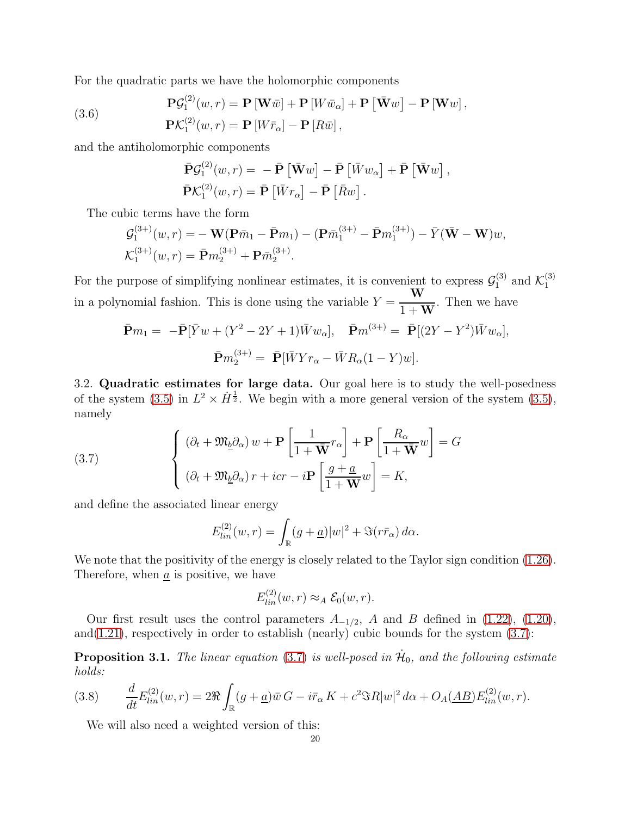For the quadratic parts we have the holomorphic components

(3.6) 
$$
\mathbf{P}\mathcal{G}_1^{(2)}(w,r) = \mathbf{P}[\mathbf{W}\bar{w}] + \mathbf{P}[W\bar{w}_\alpha] + \mathbf{P}[\bar{\mathbf{W}}w] - \mathbf{P}[\mathbf{W}w],
$$

$$
\mathbf{P}\mathcal{K}_1^{(2)}(w,r) = \mathbf{P}[W\bar{r}_\alpha] - \mathbf{P}[R\bar{w}],
$$

and the antiholomorphic components

<span id="page-19-3"></span>
$$
\bar{\mathbf{P}} \mathcal{G}_1^{(2)}(w,r) = -\bar{\mathbf{P}} [\bar{\mathbf{W}} w] - \bar{\mathbf{P}} [\bar{W} w_\alpha] + \bar{\mathbf{P}} [\bar{\mathbf{W}} w],
$$
  

$$
\bar{\mathbf{P}} \mathcal{K}_1^{(2)}(w,r) = \bar{\mathbf{P}} [\bar{W} r_\alpha] - \bar{\mathbf{P}} [\bar{R} w].
$$

The cubic terms have the form

$$
G_1^{(3+)}(w,r) = -\mathbf{W}(\mathbf{P}\bar{m}_1 - \bar{\mathbf{P}}m_1) - (\mathbf{P}\bar{m}_1^{(3+)} - \bar{\mathbf{P}}m_1^{(3+)}) - \bar{Y}(\bar{\mathbf{W}} - \mathbf{W})w,
$$
  

$$
\mathcal{K}_1^{(3+)}(w,r) = \bar{\mathbf{P}}m_2^{(3+)} + \mathbf{P}\bar{m}_2^{(3+)}.
$$

For the purpose of simplifying nonlinear estimates, it is convenient to express  $\mathcal{G}_1^{(3)}$  $\chi_1^{(3)}$  and  $\mathcal{K}_1^{(3)}$ 1 in a polynomial fashion. This is done using the variable  $Y =$ W  $1 + W$ . Then we have

$$
\bar{\mathbf{P}}m_1 = -\bar{\mathbf{P}}[\bar{Y}w + (Y^2 - 2Y + 1)\bar{W}w_\alpha], \quad \bar{\mathbf{P}}m^{(3+)} = \bar{\mathbf{P}}[(2Y - Y^2)\bar{W}w_\alpha],
$$
  

$$
\bar{\mathbf{P}}m_2^{(3+)} = \bar{\mathbf{P}}[\bar{W}Yr_\alpha - \bar{W}R_\alpha(1 - Y)w].
$$

3.2. Quadratic estimates for large data. Our goal here is to study the well-posedness of the system [\(3.5\)](#page-18-1) in  $L^2 \times \dot{H}^{\frac{1}{2}}$ . We begin with a more general version of the system (3.5), namely

(3.7) 
$$
\begin{cases} (\partial_t + \mathfrak{M}_{\underline{b}} \partial_\alpha) w + \mathbf{P} \left[ \frac{1}{1 + \bar{\mathbf{W}}} r_\alpha \right] + \mathbf{P} \left[ \frac{R_\alpha}{1 + \bar{\mathbf{W}}} w \right] = G \\ (\partial_t + \mathfrak{M}_{\underline{b}} \partial_\alpha) r + icr - i \mathbf{P} \left[ \frac{g + \underline{a}}{1 + \bar{\mathbf{W}}} w \right] = K, \end{cases}
$$

and define the associated linear energy

<span id="page-19-0"></span>
$$
E_{lin}^{(2)}(w,r) = \int_{\mathbb{R}} (g + \underline{a}) |w|^2 + \Im(r\bar{r}_{\alpha}) d\alpha.
$$

We note that the positivity of the energy is closely related to the Taylor sign condition  $(1.26)$ . Therefore, when  $\underline{a}$  is positive, we have

$$
E_{lin}^{(2)}(w,r) \approx_A \mathcal{E}_0(w,r).
$$

Our first result uses the control parameters  $A_{-1/2}$ , A and B defined in [\(1.22\)](#page-6-1), [\(1.20\)](#page-6-2), and[\(1.21\)](#page-6-3), respectively in order to establish (nearly) cubic bounds for the system  $(3.7)$ :

<span id="page-19-1"></span>**Proposition 3.1.** The linear equation [\(3.7\)](#page-19-0) is well-posed in  $\dot{\mathcal{H}}_0$ , and the following estimate holds:

(3.8) 
$$
\frac{d}{dt} E_{lin}^{(2)}(w,r) = 2\Re \int_{\mathbb{R}} (g + \underline{a}) \bar{w} G - i \bar{r}_{\alpha} K + c^2 \Im R |w|^2 d\alpha + O_A(\underline{AB}) E_{lin}^{(2)}(w,r).
$$

<span id="page-19-2"></span>We will also need a weighted version of this: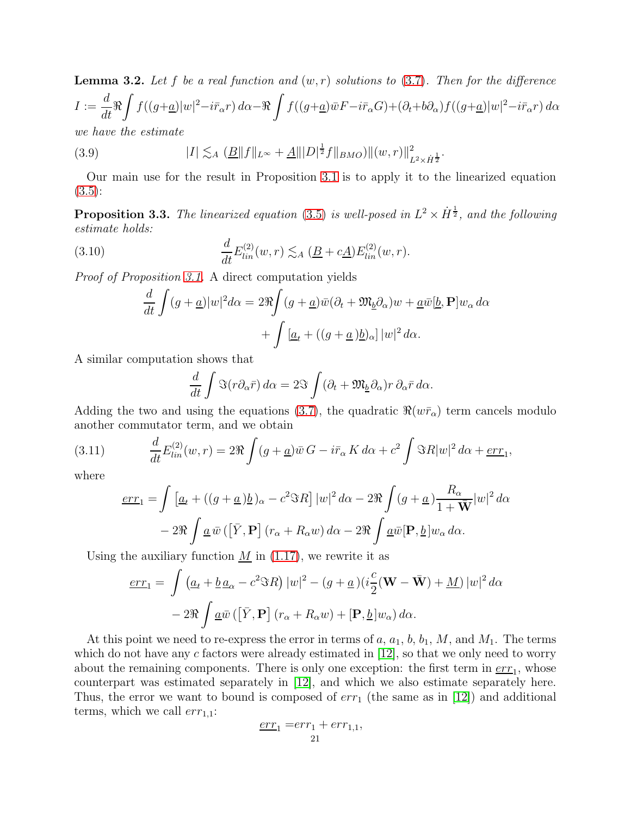<span id="page-20-0"></span>**Lemma 3.2.** Let f be a real function and  $(w, r)$  solutions to  $(3.7)$ . Then for the difference  $I :=$ d  $\frac{d}{dt} \Re \int f((g+\underline{a}) |w|^2 - i \bar{r}_{\alpha} r) d\alpha - \Re \int f((g+\underline{a}) \bar{w} F - i \bar{r}_{\alpha} G) + (\partial_t + b \partial_{\alpha}) f((g+\underline{a}) |w|^2 - i \bar{r}_{\alpha} r) d\alpha$ 

we have the estimate

(3.9) 
$$
|I| \lesssim_A (\underline{B} ||f||_{L^{\infty}} + \underline{A} ||D|^{\frac{1}{2}} f ||_{BMO}) ||(w,r)||_{L^2 \times \dot{H}^{\frac{1}{2}}}^2.
$$

Our main use for the result in Proposition [3.1](#page-19-1) is to apply it to the linearized equation [\(3.5\)](#page-18-1):

<span id="page-20-1"></span>**Proposition 3.3.** The linearized equation [\(3.5\)](#page-18-1) is well-posed in  $L^2 \times \dot{H}^{\frac{1}{2}}$ , and the following estimate holds:

(3.10) 
$$
\frac{d}{dt} E_{lin}^{(2)}(w,r) \lesssim_A (\underline{B} + c\underline{A}) E_{lin}^{(2)}(w,r).
$$

Proof of Proposition [3.1.](#page-19-1) A direct computation yields

$$
\frac{d}{dt} \int (g+\underline{a})|w|^2 d\alpha = 2\Re \int (g+\underline{a})\overline{w}(\partial_t + \mathfrak{M}_{\underline{b}}\partial_\alpha)w + \underline{a}\overline{w}[\underline{b}, \mathbf{P}]w_\alpha d\alpha + \int [\underline{a}_t + ((g+\underline{a})\underline{b})_\alpha]|w|^2 d\alpha.
$$

A similar computation shows that

$$
\frac{d}{dt} \int \Im(r \partial_{\alpha} \bar{r}) d\alpha = 2\Im \int (\partial_t + \mathfrak{M}_{\underline{b}} \partial_{\alpha}) r \, \partial_{\alpha} \bar{r} d\alpha.
$$

Adding the two and using the equations [\(3.7\)](#page-19-0), the quadratic  $\Re(w\bar{r}_{\alpha})$  term cancels modulo another commutator term, and we obtain

(3.11) 
$$
\frac{d}{dt} E_{lin}^{(2)}(w,r) = 2\Re \int (g + \underline{a}) \overline{w} G - i \overline{r}_{\alpha} K d\alpha + c^2 \int \Im R |w|^2 d\alpha + \underline{err}_1,
$$

where

$$
\underline{err}_{1} = \int \left[ \underline{a}_{t} + ((g + \underline{a})\underline{b})_{\alpha} - c^{2} \Im R \right] |w|^{2} d\alpha - 2 \Re \int (g + \underline{a}) \frac{R_{\alpha}}{1 + \overline{W}} |w|^{2} d\alpha
$$

$$
- 2 \Re \int \underline{a} \, \overline{w} \left( \left[ \overline{Y}, \mathbf{P} \right] (r_{\alpha} + R_{\alpha} w) \, d\alpha - 2 \Re \int \underline{a} \overline{w} \left[ \mathbf{P}, \underline{b} \right] w_{\alpha} \, d\alpha.
$$

Using the auxiliary function  $M$  in  $(1.17)$ , we rewrite it as

$$
\underline{err}_1 = \int \left( \underline{a}_t + \underline{b} \,\underline{a}_\alpha - c^2 \Im R \right) |w|^2 - (g + \underline{a}) \left( i \frac{c}{2} (\mathbf{W} - \bar{\mathbf{W}}) + \underline{M} \right) |w|^2 \, d\alpha
$$

$$
- 2 \Re \int \underline{a} \bar{w} \left( \left[ \bar{Y}, \mathbf{P} \right] (r_\alpha + R_\alpha w) + \left[ \mathbf{P}, \underline{b} \right] w_\alpha \right) d\alpha.
$$

At this point we need to re-express the error in terms of  $a, a_1, b, b_1, M$ , and  $M_1$ . The terms which do not have any c factors were already estimated in  $[12]$ , so that we only need to worry about the remaining components. There is only one exception: the first term in  $err<sub>1</sub>$ , whose</u> counterpart was estimated separately in [\[12\]](#page-62-0), and which we also estimate separately here. Thus, the error we want to bound is composed of  $err_1$  (the same as in [\[12\]](#page-62-0)) and additional terms, which we call  $err_{1,1}$ :

$$
\underbrace{err_1 = err_1 + err_{1,1}},
$$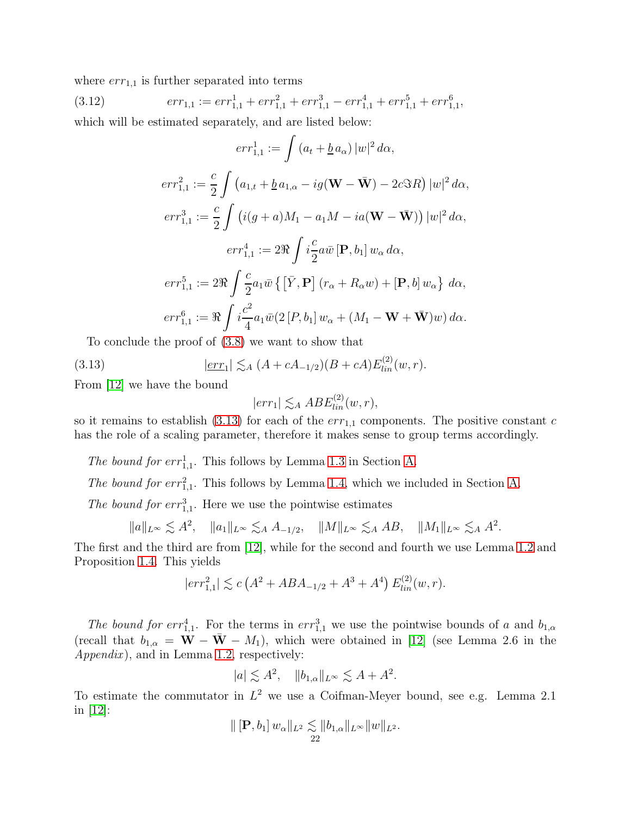where  $err_{1,1}$  is further separated into terms

(3.12) 
$$
err_{1,1} := err_{1,1}^1 + err_{1,1}^2 + err_{1,1}^3 - err_{1,1}^4 + err_{1,1}^5 + err_{1,1}^6,
$$
which will be estimated separately, and are listed below.

which will be estimated separately, and are listed below:

$$
err_{1,1}^1 := \int (a_t + \underline{b} a_\alpha) |w|^2 d\alpha,
$$
  
\n
$$
err_{1,1}^2 := \frac{c}{2} \int (a_{1,t} + \underline{b} a_{1,\alpha} - ig(\mathbf{W} - \bar{\mathbf{W}}) - 2c\Im R) |w|^2 d\alpha,
$$
  
\n
$$
err_{1,1}^3 := \frac{c}{2} \int (i(g+a)M_1 - a_1M - ia(\mathbf{W} - \bar{\mathbf{W}})) |w|^2 d\alpha,
$$
  
\n
$$
err_{1,1}^4 := 2\Re \int i\frac{c}{2} a\bar{w} [\mathbf{P}, b_1] w_\alpha d\alpha,
$$
  
\n
$$
err_{1,1}^5 := 2\Re \int \frac{c}{2} a_1 \bar{w} \{ [\bar{Y}, \mathbf{P}] (r_\alpha + R_\alpha w) + [\mathbf{P}, b] w_\alpha \} d\alpha,
$$
  
\n
$$
err_{1,1}^6 := \Re \int i\frac{c^2}{4} a_1 \bar{w} (2 [P, b_1] w_\alpha + (M_1 - \mathbf{W} + \bar{\mathbf{W}}) w) d\alpha.
$$

To conclude the proof of [\(3.8\)](#page-19-2) we want to show that

(3.13) 
$$
\left| \underline{err}_1 \right| \lesssim_A (A + cA_{-1/2})(B + cA)E_{lin}^{(2)}(w, r).
$$

From [\[12\]](#page-62-0) we have the bound

<span id="page-21-0"></span>
$$
|err_1| \lesssim_A ABE_{lin}^{(2)}(w,r),
$$

so it remains to establish [\(3.13\)](#page-21-0) for each of the  $err_{1,1}$  components. The positive constant c has the role of a scaling parameter, therefore it makes sense to group terms accordingly.

The bound for  $err_{1,1}^1$ . This follows by Lemma [1.3](#page-55-0) in Section [A.](#page-54-0) The bound for  $err_{1,1}^2$ . This follows by Lemma [1.4,](#page-55-1) which we included in Section [A.](#page-54-0) The bound for  $err_{1,1}^3$ . Here we use the pointwise estimates

$$
\|a\|_{L^{\infty}} \lesssim A^2, \quad \|a_1\|_{L^{\infty}} \lesssim_A A_{-1/2}, \quad \|M\|_{L^{\infty}} \lesssim_A AB, \quad \|M_1\|_{L^{\infty}} \lesssim_A A^2.
$$

The first and the third are from [\[12\]](#page-62-0), while for the second and fourth we use Lemma [1.2](#page-54-1) and Proposition [1.4.](#page-55-1) This yields

$$
|err_{1,1}^{2}| \lesssim c\left(A^{2} + ABA_{-1/2} + A^{3} + A^{4}\right)E_{lin}^{(2)}(w,r).
$$

The bound for  $err_{1,1}^4$ . For the terms in  $err_{1,1}^3$  we use the pointwise bounds of a and  $b_{1,\alpha}$ (recall that  $b_{1,\alpha} = \mathbf{W} - \bar{\mathbf{W}} - M_1$ ), which were obtained in [\[12\]](#page-62-0) (see Lemma 2.6 in the Appendix), and in Lemma [1.2,](#page-54-1) respectively:

$$
|a| \lesssim A^2, \quad \|b_{1,\alpha}\|_{L^\infty} \lesssim A + A^2.
$$

To estimate the commutator in  $L^2$  we use a Coifman-Meyer bound, see e.g. Lemma 2.1 in [\[12\]](#page-62-0):

$$
\| [\mathbf{P}, b_1] w_{\alpha} \|_{L^2} \lesssim \| b_{1,\alpha} \|_{L^{\infty}} \| w \|_{L^2}.
$$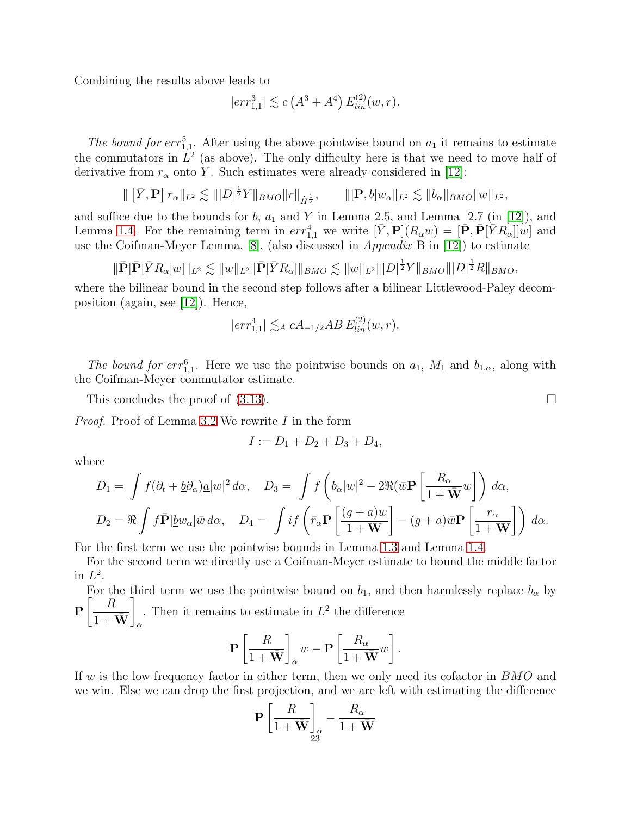Combining the results above leads to

$$
|err_{1,1}^3| \lesssim c\left(A^3 + A^4\right)E_{lin}^{(2)}(w,r).
$$

The bound for  $err_{1,1}^5$ . After using the above pointwise bound on  $a_1$  it remains to estimate the commutators in  $L^2$  (as above). The only difficulty here is that we need to move half of derivative from  $r_{\alpha}$  onto Y. Such estimates were already considered in [\[12\]](#page-62-0):

 $\| [\bar{Y}, \mathbf{P}] r_{\alpha} \|_{L^2} \lesssim \| |D|^{\frac{1}{2}} Y \|_{BMO} \|r\|_{\dot{H}^{\frac{1}{2}}}, \qquad \| [\mathbf{P}, b] w_{\alpha} \|_{L^2} \lesssim \|b_{\alpha}\|_{BMO} \|w\|_{L^2},$ 

and suffice due to the bounds for  $b$ ,  $a_1$  and Y in Lemma 2.5, and Lemma 2.7 (in [\[12\]](#page-62-0)), and Lemma [1.4.](#page-55-1) For the remaining term in  $err_{1,1}^4$  we write  $[\bar{Y}, \mathbf{P}](R_\alpha w) = [\bar{\mathbf{P}}, \bar{\mathbf{P}}[\bar{Y}R_\alpha]]w]$  and use the Coifman-Meyer Lemma, [\[8\]](#page-62-13), (also discussed in Appendix B in [\[12\]](#page-62-0)) to estimate

$$
\|\bar{\mathbf{P}}[\bar{\mathbf{P}}[\bar{Y}R_{\alpha}]w]\|_{L^{2}} \lesssim \|w\|_{L^{2}}\|\bar{\mathbf{P}}[\bar{Y}R_{\alpha}]\|_{BMO} \lesssim \|w\|_{L^{2}}\||D|^{\frac{1}{2}}Y\|_{BMO}\||D|^{\frac{1}{2}}R\|_{BMO},
$$

where the bilinear bound in the second step follows after a bilinear Littlewood-Paley decomposition (again, see [\[12\]](#page-62-0)). Hence,

$$
|err_{1,1}^4| \lesssim_A cA_{-1/2}AB E_{lin}^{(2)}(w,r).
$$

The bound for  $err_{1,1}^6$ . Here we use the pointwise bounds on  $a_1$ ,  $M_1$  and  $b_{1,\alpha}$ , along with the Coifman-Meyer commutator estimate.

This concludes the proof of  $(3.13)$ .

Proof. Proof of Lemma [3.2](#page-20-0) We rewrite I in the form

$$
I := D_1 + D_2 + D_3 + D_4,
$$

where

$$
D_1 = \int f(\partial_t + \underline{b}\partial_\alpha) \underline{a}|w|^2 d\alpha, \quad D_3 = \int f\left(b_\alpha |w|^2 - 2\Re(\bar{w}\mathbf{P}\left[\frac{R_\alpha}{1+\bar{\mathbf{W}}}w\right]\right) d\alpha,
$$
  

$$
D_2 = \Re \int f\bar{\mathbf{P}}[\underline{b}w_\alpha]\bar{w} d\alpha, \quad D_4 = \int if\left(\bar{r}_\alpha \mathbf{P}\left[\frac{(g+a)w}{1+\bar{\mathbf{W}}}\right] - (g+a)\bar{w}\mathbf{P}\left[\frac{r_\alpha}{1+\bar{\mathbf{W}}}\right]\right) d\alpha.
$$

For the first term we use the pointwise bounds in Lemma [1.3](#page-55-0) and Lemma [1.4.](#page-55-1)

For the second term we directly use a Coifman-Meyer estimate to bound the middle factor in  $L^2$ .

For the third term we use the pointwise bound on  $b_1$ , and then harmlessly replace  $b_{\alpha}$  by P  $\begin{bmatrix} R \end{bmatrix}$  $1 + \overline{\mathbf{W}}$ 1 α . Then it remains to estimate in  $L^2$  the difference

$$
\mathbf{P}\left[\frac{R}{1+\mathbf{\bar{W}}}\right]_{\alpha}w - \mathbf{P}\left[\frac{R_{\alpha}}{1+\mathbf{\bar{W}}}w\right].
$$

If w is the low frequency factor in either term, then we only need its cofactor in BMO and we win. Else we can drop the first projection, and we are left with estimating the difference

$$
\mathbf{P}\left[\frac{R}{1+\bar{\mathbf{W}}}\right]_{\alpha} - \frac{R_{\alpha}}{1+\bar{\mathbf{W}}}
$$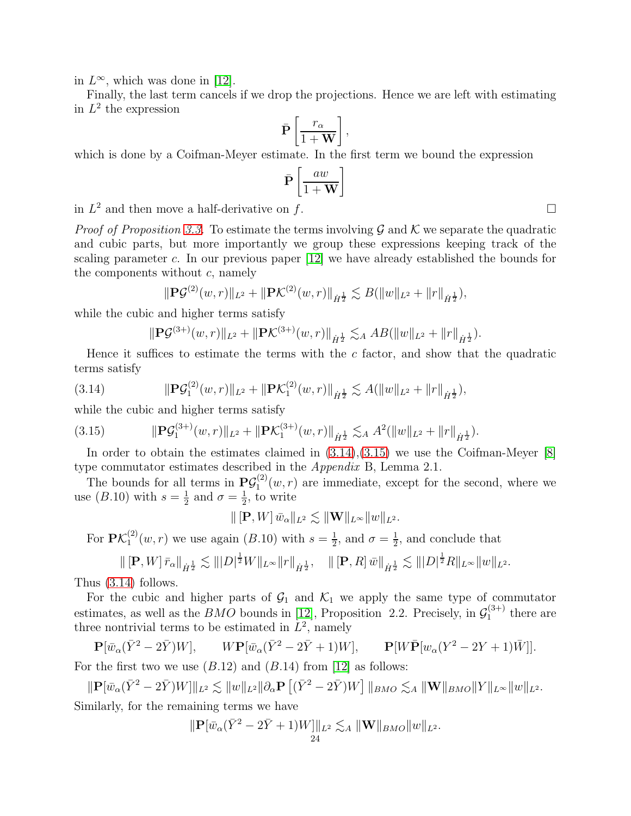in  $L^{\infty}$ , which was done in [\[12\]](#page-62-0).

Finally, the last term cancels if we drop the projections. Hence we are left with estimating in  $L^2$  the expression

$$
\bar{\mathbf{P}}\left[\frac{r_{\alpha}}{1+\mathbf{W}}\right],
$$

which is done by a Coifman-Meyer estimate. In the first term we bound the expression

$$
\bar{\mathbf{P}}\left[\frac{aw}{1+\mathbf{W}}\right]
$$

in  $L^2$  and then move a half-derivative on f.

*Proof of Proposition [3.3.](#page-20-1)* To estimate the terms involving  $\mathcal{G}$  and  $\mathcal{K}$  we separate the quadratic and cubic parts, but more importantly we group these expressions keeping track of the scaling parameter c. In our previous paper  $[12]$  we have already established the bounds for the components without  $c$ , namely

$$
\|\mathbf{P}\mathcal{G}^{(2)}(w,r)\|_{L^2} + \|\mathbf{P}\mathcal{K}^{(2)}(w,r)\|_{\dot{H}^{\frac{1}{2}}} \lesssim B(\|w\|_{L^2} + \|r\|_{\dot{H}^{\frac{1}{2}}}),
$$

while the cubic and higher terms satisfy

<span id="page-23-0"></span>
$$
\|\mathbf{P}\mathcal{G}^{(3+)}(w,r)\|_{L^2} + \|\mathbf{P}\mathcal{K}^{(3+)}(w,r)\|_{\dot{H}^{\frac{1}{2}}} \lesssim_A AB(\|w\|_{L^2} + \|r\|_{\dot{H}^{\frac{1}{2}}}).
$$

Hence it suffices to estimate the terms with the  $c$  factor, and show that the quadratic terms satisfy

(3.14) 
$$
\|\mathbf{P}\mathcal{G}_1^{(2)}(w,r)\|_{L^2} + \|\mathbf{P}\mathcal{K}_1^{(2)}(w,r)\|_{\dot{H}^{\frac{1}{2}}} \lesssim A(\|w\|_{L^2} + \|r\|_{\dot{H}^{\frac{1}{2}}}),
$$

while the cubic and higher terms satisfy

<span id="page-23-1"></span>
$$
(3.15) \t\t ||\mathbf{P}\mathcal{G}_1^{(3+)}(w,r)||_{L^2} + ||\mathbf{P}\mathcal{K}_1^{(3+)}(w,r)||_{\dot{H}^{\frac{1}{2}}} \lesssim_A A^2(||w||_{L^2} + ||r||_{\dot{H}^{\frac{1}{2}}}).
$$

In order to obtain the estimates claimed in  $(3.14),(3.15)$  $(3.14),(3.15)$  we use the Coifman-Meyer [\[8\]](#page-62-13) type commutator estimates described in the Appendix B, Lemma 2.1.

The bounds for all terms in  $\mathbf{P}\mathcal{G}_1^{(2)}$  $\binom{1}{1}(w,r)$  are immediate, except for the second, where we use (B.10) with  $s=\frac{1}{2}$  $\frac{1}{2}$  and  $\sigma = \frac{1}{2}$  $\frac{1}{2}$ , to write

$$
\|[\mathbf{P}, W]\,\bar{w}_{\alpha}\|_{L^2} \lesssim \|\mathbf{W}\|_{L^{\infty}} \|w\|_{L^2}.
$$

For  $\mathbf{P} \mathcal{K}^{(2)}_1$  $1^{(2)}(w,r)$  we use again  $(B.10)$  with  $s=\frac{1}{2}$  $\frac{1}{2}$ , and  $\sigma = \frac{1}{2}$  $\frac{1}{2}$ , and conclude that

$$
\| [\mathbf{P}, W] \, \bar{r}_{\alpha} \|_{\dot{H}^{\frac{1}{2}}} \lesssim \| |D|^{\frac{1}{2}} W \|_{L^{\infty}} \| r \|_{\dot{H}^{\frac{1}{2}}}, \quad \| [\mathbf{P}, R] \, \bar{w} \|_{\dot{H}^{\frac{1}{2}}} \lesssim \| |D|^{\frac{1}{2}} R \|_{L^{\infty}} \| w \|_{L^{2}}.
$$

Thus [\(3.14\)](#page-23-0) follows.

For the cubic and higher parts of  $\mathcal{G}_1$  and  $\mathcal{K}_1$  we apply the same type of commutator estimates, as well as the *BMO* bounds in [\[12\]](#page-62-0), Proposition 2.2. Precisely, in  $\mathcal{G}_1^{(3+)}$  $1^{(3+)}$  there are three nontrivial terms to be estimated in  $L^2$ , namely

$$
\mathbf{P}[\bar{w}_{\alpha}(\bar{Y}^2 - 2\bar{Y})W], \qquad W\mathbf{P}[\bar{w}_{\alpha}(\bar{Y}^2 - 2\bar{Y} + 1)W], \qquad \mathbf{P}[W\bar{\mathbf{P}}[w_{\alpha}(Y^2 - 2Y + 1)\bar{W}]].
$$

For the first two we use  $(B.12)$  and  $(B.14)$  from [\[12\]](#page-62-0) as follows:

$$
\|\mathbf{P}[\bar{w}_{\alpha}(\bar{Y}^2 - 2\bar{Y})W]\|_{L^2} \lesssim \|w\|_{L^2} \|\partial_{\alpha} \mathbf{P}[(\bar{Y}^2 - 2\bar{Y})W]\|_{BMO} \lesssim_A \|W\|_{BMO} \|Y\|_{L^\infty} \|w\|_{L^2}.
$$

Similarly, for the remaining terms we have

$$
\|\mathbf{P}[\bar{w}_{\alpha}(\bar{Y}^2 - 2\bar{Y} + 1)W]\|_{L^2} \lesssim_A \|\mathbf{W}\|_{BMO} \|w\|_{L^2}.
$$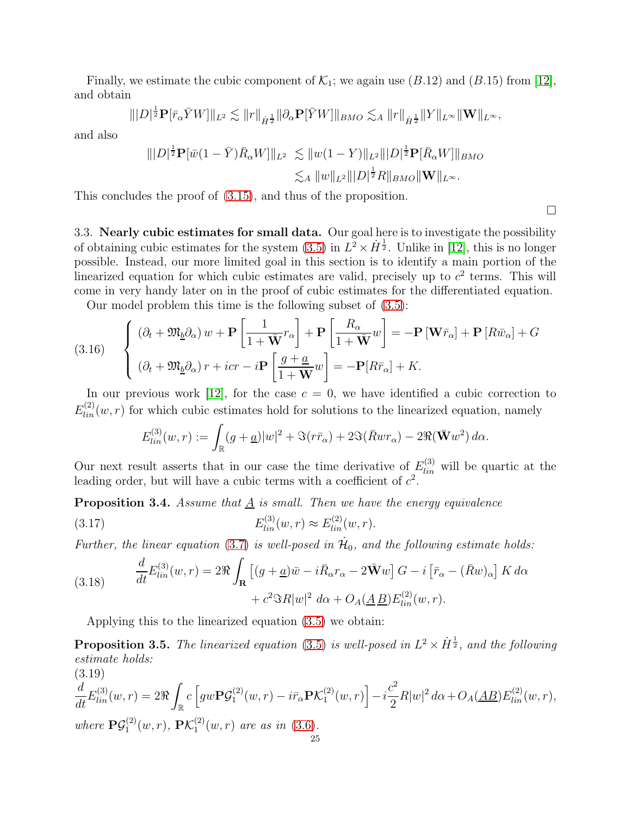Finally, we estimate the cubic component of  $\mathcal{K}_1$ ; we again use (B.12) and (B.15) from [\[12\]](#page-62-0), and obtain

$$
\||D|^{\frac{1}{2}} \mathbf{P}[\bar{r}_{\alpha} \bar{Y}W] \|_{L^2} \lesssim \|r\|_{\dot{H}^{\frac{1}{2}}} \|\partial_{\alpha} \mathbf{P}[\bar{Y}W] \|_{BMO} \lesssim_A \|r\|_{\dot{H}^{\frac{1}{2}}} \|Y\|_{L^{\infty}} \|\mathbf{W}\|_{L^{\infty}},
$$

and also

$$
\| |D|^{\frac{1}{2}} \mathbf{P}[\bar{w}(1-\bar{Y})\bar{R}_{\alpha}W] \|_{L^{2}} \lesssim \|w(1-Y)\|_{L^{2}} \| |D|^{\frac{1}{2}} \mathbf{P}[\bar{R}_{\alpha}W] \|_{BMO} \lesssim_{A} \|w\|_{L^{2}} \| |D|^{\frac{1}{2}} R \|_{BMO} \|W\|_{L^{\infty}}.
$$

This concludes the proof of [\(3.15\)](#page-23-1), and thus of the proposition.

3.3. Nearly cubic estimates for small data. Our goal here is to investigate the possibility of obtaining cubic estimates for the system  $(3.5)$  in  $L^2 \times \dot{H}^{\frac{1}{2}}$ . Unlike in [\[12\]](#page-62-0), this is no longer possible. Instead, our more limited goal in this section is to identify a main portion of the linearized equation for which cubic estimates are valid, precisely up to  $c<sup>2</sup>$  terms. This will come in very handy later on in the proof of cubic estimates for the differentiated equation.

Our model problem this time is the following subset of [\(3.5\)](#page-18-1):

<span id="page-24-2"></span>(3.16) 
$$
\begin{cases} (\partial_t + \mathfrak{M}_{\underline{b}} \partial_\alpha) w + \mathbf{P} \left[ \frac{1}{1 + \bar{\mathbf{W}}} r_\alpha \right] + \mathbf{P} \left[ \frac{R_\alpha}{1 + \bar{\mathbf{W}}} w \right] = -\mathbf{P} \left[ \mathbf{W} \bar{r}_\alpha \right] + \mathbf{P} \left[ R \bar{w}_\alpha \right] + G \\ (\partial_t + \mathfrak{M}_{\underline{b}} \partial_\alpha) r + icr - i \mathbf{P} \left[ \frac{g + \underline{a}}{1 + \mathbf{W}} w \right] = -\mathbf{P} \left[ R \bar{r}_\alpha \right] + K. \end{cases}
$$

In our previous work [\[12\]](#page-62-0), for the case  $c = 0$ , we have identified a cubic correction to  $E_{lin}^{(2)}(w,r)$  for which cubic estimates hold for solutions to the linearized equation, namely

$$
E_{lin}^{(3)}(w,r) := \int_{\mathbb{R}} (g+\underline{a})|w|^2 + \Im(r\bar{r}_{\alpha}) + 2\Im(\bar{R}wr_{\alpha}) - 2\Re(\bar{\mathbf{W}}w^2) d\alpha.
$$

Our next result asserts that in our case the time derivative of  $E_{lin}^{(3)}$  will be quartic at the leading order, but will have a cubic terms with a coefficient of  $c^2$ .

<span id="page-24-0"></span>**Proposition 3.4.** Assume that  $\underline{A}$  is small. Then we have the energy equivalence

(3.17) 
$$
E_{lin}^{(3)}(w,r) \approx E_{lin}^{(2)}(w,r).
$$

Further, the linear equation [\(3.7\)](#page-19-0) is well-posed in  $\mathcal{H}_0$ , and the following estimate holds:

<span id="page-24-1"></span>(3.18) 
$$
\frac{d}{dt} E_{lin}^{(3)}(w,r) = 2\Re \int_{\mathbf{R}} \left[ (g + \underline{a})\overline{w} - i\overline{R}_{\alpha}r_{\alpha} - 2\overline{\mathbf{W}}w \right] G - i \left[ \overline{r}_{\alpha} - (\overline{R}w)_{\alpha} \right] K d\alpha + c^2 \Im R |w|^2 d\alpha + O_A(\underline{A} \underline{B}) E_{lin}^{(2)}(w,r).
$$

Applying this to the linearized equation [\(3.5\)](#page-18-1) we obtain:

<span id="page-24-3"></span>**Proposition 3.5.** The linearized equation [\(3.5\)](#page-18-1) is well-posed in  $L^2 \times \dot{H}^{\frac{1}{2}}$ , and the following estimate holds:  $(3.19)$ 

<span id="page-24-4"></span>
$$
\frac{d}{dt}E_{lin}^{(3)}(w,r) = 2\Re \int_{\mathbb{R}} c \left[ gw\mathbf{P}\mathcal{G}_1^{(2)}(w,r) - i\bar{r}_{\alpha} \mathbf{P}\mathcal{K}_1^{(2)}(w,r) \right] - i\frac{c^2}{2}R|w|^2 d\alpha + O_A(\underline{AB})E_{lin}^{(2)}(w,r),
$$
  
where  $\mathbf{P}\mathcal{G}_1^{(2)}(w,r)$ ,  $\mathbf{P}\mathcal{K}_1^{(2)}(w,r)$  are as in (3.6).

 $\Box$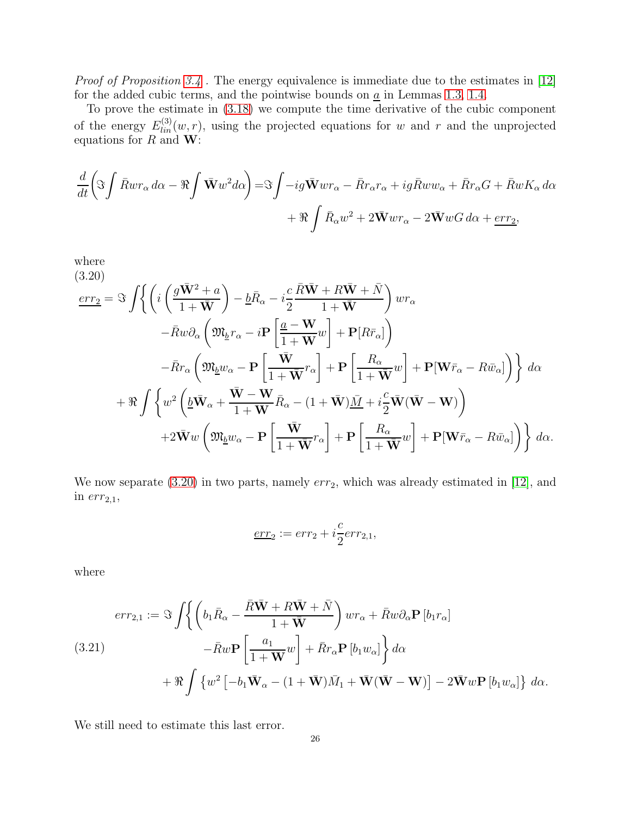Proof of Proposition [3.4](#page-24-0). The energy equivalence is immediate due to the estimates in [\[12\]](#page-62-0) for the added cubic terms, and the pointwise bounds on  $\underline{a}$  in Lemmas [1.3,](#page-55-0) [1.4.](#page-55-1)

To prove the estimate in [\(3.18\)](#page-24-1) we compute the time derivative of the cubic component of the energy  $E_{lin}^{(3)}(w,r)$ , using the projected equations for w and r and the unprojected equations for  $R$  and  $W$ :

$$
\frac{d}{dt} \left( \Im \int \bar{R} w r_{\alpha} d\alpha - \Re \int \bar{W} w^2 d\alpha \right) = \Im \int -ig \bar{W} w r_{\alpha} - \bar{R} r_{\alpha} r_{\alpha} + ig \bar{R} w w_{\alpha} + \bar{R} r_{\alpha} G + \bar{R} w K_{\alpha} d\alpha \n+ \Re \int \bar{R}_{\alpha} w^2 + 2 \bar{W} w r_{\alpha} - 2 \bar{W} w G d\alpha + \underline{err_2},
$$

<span id="page-25-0"></span>where  
\n(3.20)  
\n
$$
\underline{err_2} = \Im \int \left\{ \left( i \left( \frac{g \bar{\mathbf{W}}^2 + a}{1 + \bar{\mathbf{W}}} \right) - \underline{b} \bar{R}_{\alpha} - i \frac{c}{2} \frac{\bar{R} \bar{\mathbf{W}} + R \bar{\mathbf{W}} + \bar{N}}{1 + \bar{\mathbf{W}}} \right) \, wr_{\alpha} \right. \\
\left. - \bar{R} w \partial_{\alpha} \left( \mathfrak{M}_{\underline{b}} r_{\alpha} - i \mathbf{P} \left[ \frac{\underline{a} - \mathbf{W}}{1 + \mathbf{W}} w \right] + \mathbf{P} [R \bar{r}_{\alpha}] \right) \right. \\
\left. - \bar{R} r_{\alpha} \left( \mathfrak{M}_{\underline{b}} w_{\alpha} - \mathbf{P} \left[ \frac{\bar{\mathbf{W}}}{1 + \bar{\mathbf{W}}} r_{\alpha} \right] + \mathbf{P} \left[ \frac{R_{\alpha}}{1 + \bar{\mathbf{W}}} w \right] + \mathbf{P} [\mathbf{W} \bar{r}_{\alpha} - R \bar{w}_{\alpha}] \right) \right\} d\alpha
$$
\n
$$
+ \Re \int \left\{ w^2 \left( \underline{b} \bar{\mathbf{W}}_{\alpha} + \frac{\bar{\mathbf{W}} - \mathbf{W}}{1 + \mathbf{W}} \bar{R}_{\alpha} - (1 + \bar{\mathbf{W}}) \underline{M} + i \frac{c}{2} \bar{\mathbf{W}} (\bar{\mathbf{W}} - \mathbf{W}) \right) \right. \\
\left. + 2 \bar{\mathbf{W}} w \left( \mathfrak{M}_{\underline{b}} w_{\alpha} - \mathbf{P} \left[ \frac{\bar{\mathbf{W}}}{1 + \bar{\mathbf{W}}} r_{\alpha} \right] + \mathbf{P} \left[ \frac{R_{\alpha}}{1 + \bar{\mathbf{W}}} w \right] + \mathbf{P} [\mathbf{W} \bar{r}_{\alpha} - R \bar{w}_{\alpha}] \right) \right\} d\alpha.
$$

We now separate  $(3.20)$  in two parts, namely  $err_2$ , which was already estimated in [\[12\]](#page-62-0), and in  $err_{2,1}$ ,

$$
\underline{err}_2 := err_2 + i\frac{c}{2}err_{2,1},
$$

where

$$
err_{2,1} := \Im \int \left\{ \left( b_1 \bar{R}_{\alpha} - \frac{\bar{R}\bar{W} + R\bar{W} + \bar{N}}{1 + \bar{W}} \right) wr_{\alpha} + \bar{R}w \partial_{\alpha} \mathbf{P} \left[ b_1 r_{\alpha} \right] \right.\n(3.21)\n- \bar{R}w \mathbf{P} \left[ \frac{a_1}{1 + \mathbf{W}} w \right] + \bar{R}r_{\alpha} \mathbf{P} \left[ b_1 w_{\alpha} \right] \right\} d\alpha\n+ \Re \int \left\{ w^2 \left[ -b_1 \bar{W}_{\alpha} - (1 + \bar{W}) \bar{M}_1 + \bar{W} (\bar{W} - \mathbf{W}) \right] - 2 \bar{W}w \mathbf{P} \left[ b_1 w_{\alpha} \right] \right\} d\alpha.
$$

We still need to estimate this last error.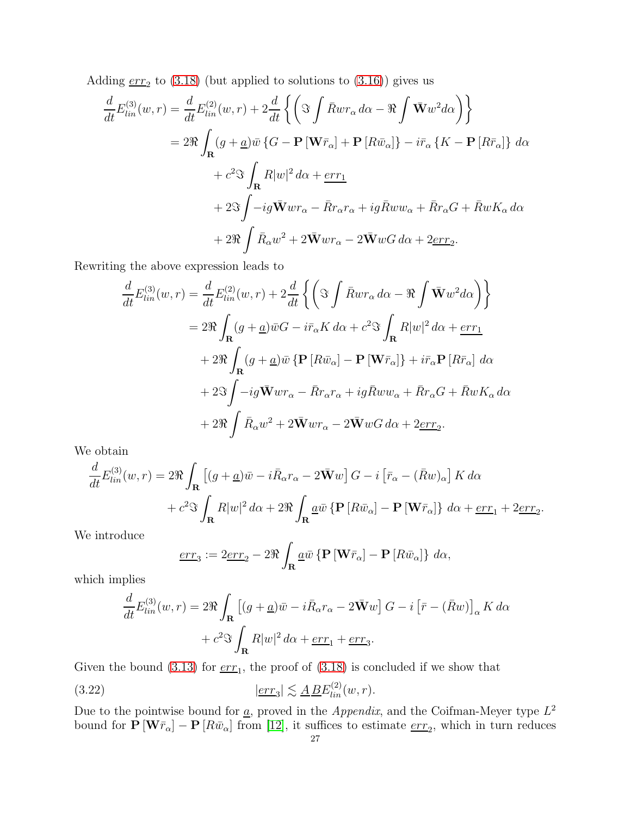Adding  $err<sub>2</sub>$  to [\(3.18\)](#page-24-1) (but applied to solutions to [\(3.16\)](#page-24-2)) gives us</u>

$$
\frac{d}{dt} E_{lin}^{(3)}(w,r) = \frac{d}{dt} E_{lin}^{(2)}(w,r) + 2\frac{d}{dt} \left\{ \left( \Im \int \bar{R}w r_{\alpha} d\alpha - \Re \int \bar{W}w^2 d\alpha \right) \right\}
$$
  
\n
$$
= 2\Re \int_{\mathbf{R}} (g + \underline{a}) \bar{w} \left\{ G - \mathbf{P} \left[ \mathbf{W} \bar{r}_{\alpha} \right] + \mathbf{P} \left[ R \bar{w}_{\alpha} \right] \right\} - i \bar{r}_{\alpha} \left\{ K - \mathbf{P} \left[ R \bar{r}_{\alpha} \right] \right\} d\alpha
$$
  
\n
$$
+ c^2 \Im \int_{\mathbf{R}} R |w|^2 d\alpha + \underline{err_1}
$$
  
\n
$$
+ 2\Im \int -ig \bar{\mathbf{W}} w r_{\alpha} - \bar{R} r_{\alpha} r_{\alpha} + ig \bar{R} w w_{\alpha} + \bar{R} r_{\alpha} G + \bar{R} w K_{\alpha} d\alpha
$$
  
\n
$$
+ 2\Re \int \bar{R}_{\alpha} w^2 + 2 \bar{\mathbf{W}} w r_{\alpha} - 2 \bar{\mathbf{W}} w G d\alpha + 2 \underline{err_2}.
$$

Rewriting the above expression leads to

$$
\frac{d}{dt} E_{lin}^{(3)}(w,r) = \frac{d}{dt} E_{lin}^{(2)}(w,r) + 2\frac{d}{dt} \left\{ \left( \Im \int \bar{R}w r_{\alpha} d\alpha - \Re \int \bar{W}w^2 d\alpha \right) \right\}
$$
  
\n
$$
= 2\Re \int_{\mathbf{R}} (g + \underline{a}) \bar{w} G - i\bar{r}_{\alpha} K d\alpha + c^2 \Im \int_{\mathbf{R}} R|w|^2 d\alpha + \underline{err_1}
$$
  
\n
$$
+ 2\Re \int_{\mathbf{R}} (g + \underline{a}) \bar{w} \left\{ \mathbf{P} \left[ R \bar{w}_{\alpha} \right] - \mathbf{P} \left[ \mathbf{W} \bar{r}_{\alpha} \right] \right\} + i\bar{r}_{\alpha} \mathbf{P} \left[ R \bar{r}_{\alpha} \right] d\alpha
$$
  
\n
$$
+ 2\Im \int -ig \bar{\mathbf{W}} w r_{\alpha} - \bar{R} r_{\alpha} r_{\alpha} + ig \bar{R} w w_{\alpha} + \bar{R} r_{\alpha} G + \bar{R} w K_{\alpha} d\alpha
$$
  
\n
$$
+ 2\Re \int \bar{R}_{\alpha} w^2 + 2 \bar{\mathbf{W}} w r_{\alpha} - 2 \bar{\mathbf{W}} w G d\alpha + 2 \underline{err_2}.
$$

We obtain

$$
\frac{d}{dt}E_{lin}^{(3)}(w,r) = 2\Re \int_{\mathbf{R}} \left[ (g + \underline{a})\overline{w} - i\overline{R}_{\alpha}r_{\alpha} - 2\overline{\mathbf{W}}w \right] G - i \left[ \overline{r}_{\alpha} - (\overline{R}w)_{\alpha} \right] K d\alpha \n+ c^2 \Im \int_{\mathbf{R}} R|w|^2 d\alpha + 2\Re \int_{\mathbf{R}} \underline{a}\overline{w} \left\{ \mathbf{P} \left[ R\overline{w}_{\alpha} \right] - \mathbf{P} \left[ \mathbf{W}\overline{r}_{\alpha} \right] \right\} d\alpha + \underline{err}_1 + 2\underline{err}_2.
$$

We introduce

$$
\underline{err}_3 := 2\underline{err}_2 - 2\Re \int_{\mathbf{R}} \underline{a}\overline{w} \left\{ \mathbf{P} \left[ \mathbf{W}\overline{r}_\alpha \right] - \mathbf{P} \left[ R\overline{w}_\alpha \right] \right\} d\alpha,
$$

which implies

$$
\frac{d}{dt}E_{lin}^{(3)}(w,r) = 2\Re \int_{\mathbf{R}} \left[ (g + \underline{a})\overline{w} - i\overline{R}_{\alpha}r_{\alpha} - 2\overline{\mathbf{W}}w \right] G - i\left[ \overline{r} - (\overline{R}w) \right]_{\alpha} K d\alpha \n+ c^2 \Im \int_{\mathbf{R}} R|w|^2 d\alpha + \underline{err}_1 + \underline{err}_3.
$$

Given the bound [\(3.13\)](#page-21-0) for  $err<sub>1</sub>$ , the proof of [\(3.18\)](#page-24-1) is concluded if we show that</u>

$$
|err_3| \lesssim \underline{A} \,\underline{B} E_{lin}^{(2)}(w,r).
$$

Due to the pointwise bound for  $\underline{a}$ , proved in the Appendix, and the Coifman-Meyer type  $L^2$ bound for  $P[W \bar{r}_{\alpha}] - P[R \bar{w}_{\alpha}]$  from [\[12\]](#page-62-0), it suffices to estimate  $err<sub>2</sub>$ , which in turn reduces</u>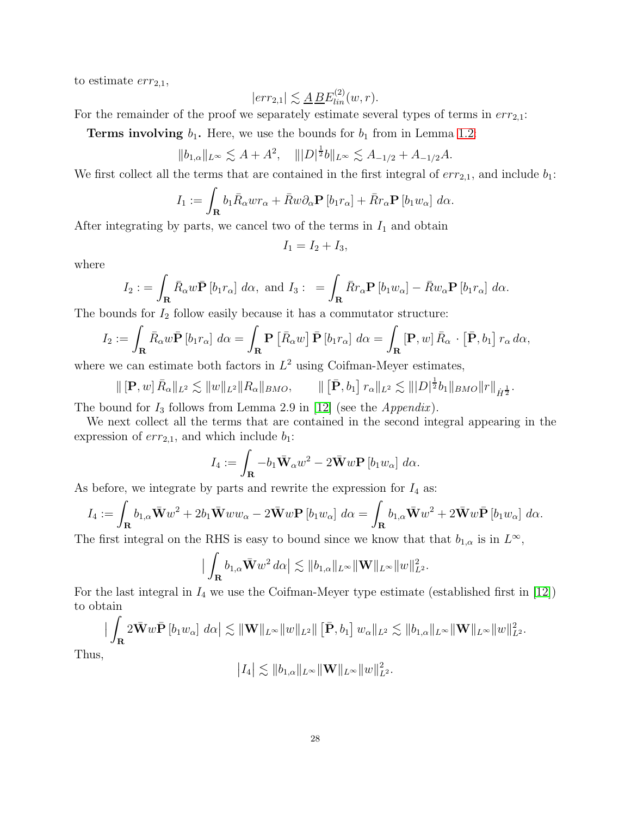to estimate  $err_{2,1}$ ,

$$
|err_{2,1}| \lesssim \underline{A}\,\underline{B}\,\underline{E}_{lin}^{(2)}(w,r).
$$

For the remainder of the proof we separately estimate several types of terms in  $err_{2,1}$ :

**Terms involving**  $b_1$ . Here, we use the bounds for  $b_1$  from in Lemma [1.2:](#page-54-1)

$$
||b_{1,\alpha}||_{L^{\infty}} \lesssim A + A^2, \quad |||D|^{\frac{1}{2}}b||_{L^{\infty}} \lesssim A_{-1/2} + A_{-1/2}A.
$$

We first collect all the terms that are contained in the first integral of  $err_{2,1}$ , and include  $b_1$ :

$$
I_1 := \int_{\mathbf{R}} b_1 \bar{R}_{\alpha} w r_{\alpha} + \bar{R} w \partial_{\alpha} \mathbf{P} \left[ b_1 r_{\alpha} \right] + \bar{R} r_{\alpha} \mathbf{P} \left[ b_1 w_{\alpha} \right] d\alpha.
$$

After integrating by parts, we cancel two of the terms in  $I_1$  and obtain

$$
I_1 = I_2 + I_3,
$$

where

$$
I_2 := \int_{\mathbf{R}} \bar{R}_{\alpha} w \bar{\mathbf{P}} \left[ b_1 r_{\alpha} \right] d\alpha, \text{ and } I_3 := \int_{\mathbf{R}} \bar{R} r_{\alpha} \mathbf{P} \left[ b_1 w_{\alpha} \right] - \bar{R} w_{\alpha} \mathbf{P} \left[ b_1 r_{\alpha} \right] d\alpha.
$$

The bounds for  $I_2$  follow easily because it has a commutator structure:

$$
I_2 := \int_{\mathbf{R}} \bar{R}_{\alpha} w \bar{\mathbf{P}} \left[ b_1 r_{\alpha} \right] d\alpha = \int_{\mathbf{R}} \mathbf{P} \left[ \bar{R}_{\alpha} w \right] \bar{\mathbf{P}} \left[ b_1 r_{\alpha} \right] d\alpha = \int_{\mathbf{R}} \left[ \mathbf{P}, w \right] \bar{R}_{\alpha} \cdot \left[ \bar{\mathbf{P}}, b_1 \right] r_{\alpha} d\alpha,
$$

where we can estimate both factors in  $L^2$  using Coifman-Meyer estimates,

$$
\| [\mathbf{P}, w] \bar{R}_{\alpha} \|_{L^2} \lesssim \|w\|_{L^2} \|R_{\alpha}\|_{BMO}, \qquad \| [\bar{\mathbf{P}}, b_1] r_{\alpha} \|_{L^2} \lesssim \| |D|^{\frac{1}{2}} b_1 \|_{BMO} \|r\|_{\dot{H}^{\frac{1}{2}}}.
$$

The bound for  $I_3$  follows from Lemma 2.9 in [\[12\]](#page-62-0) (see the *Appendix*).

We next collect all the terms that are contained in the second integral appearing in the expression of  $err_{2,1}$ , and which include  $b_1$ :

$$
I_4 := \int_{\mathbf{R}} -b_1 \bar{\mathbf{W}}_{\alpha} w^2 - 2 \bar{\mathbf{W}} w \mathbf{P} \left[ b_1 w_{\alpha} \right] d\alpha.
$$

As before, we integrate by parts and rewrite the expression for  $I_4$  as:

$$
I_4 := \int_{\mathbf{R}} b_{1,\alpha} \bar{\mathbf{W}} w^2 + 2b_1 \bar{\mathbf{W}} w w_\alpha - 2 \bar{\mathbf{W}} w \mathbf{P} \left[ b_1 w_\alpha \right] d\alpha = \int_{\mathbf{R}} b_{1,\alpha} \bar{\mathbf{W}} w^2 + 2 \bar{\mathbf{W}} w \bar{\mathbf{P}} \left[ b_1 w_\alpha \right] d\alpha.
$$

The first integral on the RHS is easy to bound since we know that that  $b_{1,\alpha}$  is in  $L^{\infty}$ ,

$$
\Big|\int_{\mathbf{R}} b_{1,\alpha} \bar{\mathbf{W}} w^2 d\alpha\Big| \lesssim \|b_{1,\alpha}\|_{L^\infty} \|\mathbf{W}\|_{L^\infty} \|w\|_{L^2}^2.
$$

For the last integral in  $I_4$  we use the Coifman-Meyer type estimate (established first in [\[12\]](#page-62-0)) to obtain

$$
\big|\int_{\mathbf{R}} 2\bar{\mathbf{W}} w \bar{\mathbf{P}} \left[ b_1 w_\alpha \right] \, d\alpha \big| \lesssim \| \mathbf{W} \|_{L^\infty} \| w \|_{L^2} \| \left[ \bar{\mathbf{P}}, b_1 \right] w_\alpha \|_{L^2} \lesssim \| b_{1,\alpha} \|_{L^\infty} \| \mathbf{W} \|_{L^\infty} \| w \|_{L^2}^2.
$$

Thus,

$$
|I_4| \lesssim \|b_{1,\alpha}\|_{L^\infty} \|\mathbf{W}\|_{L^\infty} \|w\|_{L^2}^2.
$$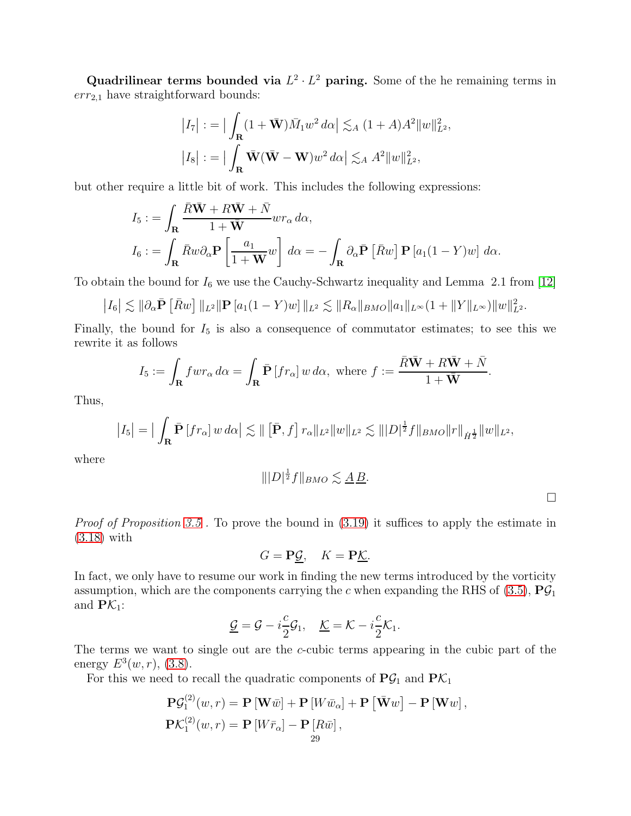Quadrilinear terms bounded via  $L^2 \cdot L^2$  paring. Some of the he remaining terms in  $err_{2,1}$  have straightforward bounds:

$$
\begin{aligned} \left| I_7 \right| &:= \left| \int_{\mathbf{R}} (1 + \bar{\mathbf{W}}) \bar{M}_1 w^2 \, d\alpha \right| \lesssim_A (1 + A) A^2 \|w\|_{L^2}^2, \\ \left| I_8 \right| &:= \left| \int_{\mathbf{R}} \bar{\mathbf{W}} (\bar{\mathbf{W}} - \mathbf{W}) w^2 \, d\alpha \right| \lesssim_A A^2 \|w\|_{L^2}^2, \end{aligned}
$$

but other require a little bit of work. This includes the following expressions:

$$
I_5 := \int_{\mathbf{R}} \frac{\bar{R}\bar{\mathbf{W}} + R\bar{\mathbf{W}} + \bar{N}}{1 + \bar{\mathbf{W}}} w r_\alpha \, d\alpha,
$$
  

$$
I_6 := \int_{\mathbf{R}} \bar{R} w \partial_\alpha \mathbf{P} \left[ \frac{a_1}{1 + \mathbf{W}} w \right] \, d\alpha = - \int_{\mathbf{R}} \partial_\alpha \bar{\mathbf{P}} \left[ \bar{R} w \right] \mathbf{P} \left[ a_1 (1 - Y) w \right] \, d\alpha.
$$

To obtain the bound for  $I_6$  we use the Cauchy-Schwartz inequality and Lemma 2.1 from [\[12\]](#page-62-0)

$$
|I_6| \lesssim ||\partial_{\alpha} \bar{P} [Rw] ||_{L^2} ||P [a_1(1-Y)w] ||_{L^2} \lesssim ||R_{\alpha}||_{BMO} ||a_1||_{L^{\infty}} (1+||Y||_{L^{\infty}}) ||w||_{L^2}^2.
$$

Finally, the bound for  $I_5$  is also a consequence of commutator estimates; to see this we rewrite it as follows

$$
I_5 := \int_{\mathbf{R}} fwr_{\alpha} d\alpha = \int_{\mathbf{R}} \bar{\mathbf{P}} \left[ fr_{\alpha} \right] w d\alpha, \text{ where } f := \frac{\bar{R}\bar{\mathbf{W}} + R\bar{\mathbf{W}} + \bar{N}}{1 + \bar{\mathbf{W}}}.
$$

Thus,

$$
|I_5| = \left| \int_{\mathbf{R}} \bar{\mathbf{P}} \left[ fr_{\alpha} \right] w \, d\alpha \right| \lesssim \| [\bar{\mathbf{P}}, f] \, r_{\alpha} \|_{L^2} \|w\|_{L^2} \lesssim \| |D|^{\frac{1}{2}} f \|_{BMO} \|r\|_{\dot{H}^{\frac{1}{2}}} \|w\|_{L^2},
$$

where

$$
\||D|^{\frac{1}{2}}f\|_{BMO} \lesssim \underline{A}\,\underline{B}.
$$

 $\Box$ 

Proof of Proposition [3.5](#page-24-3). To prove the bound in  $(3.19)$  it suffices to apply the estimate in [\(3.18\)](#page-24-1) with

$$
G = \mathbf{P}\underline{\mathcal{G}}, \quad K = \mathbf{P}\underline{\mathcal{K}}.
$$

In fact, we only have to resume our work in finding the new terms introduced by the vorticity assumption, which are the components carrying the c when expanding the RHS of [\(3.5\)](#page-18-1),  $\mathbf{P}\mathcal{G}_1$ and  $P\mathcal{K}_1$ :

$$
\underline{\mathcal{G}} = \mathcal{G} - i \frac{c}{2} \mathcal{G}_1, \quad \underline{\mathcal{K}} = \mathcal{K} - i \frac{c}{2} \mathcal{K}_1.
$$

The terms we want to single out are the c-cubic terms appearing in the cubic part of the energy  $E^3(w, r)$ , [\(3.8\)](#page-19-2).

For this we need to recall the quadratic components of  $\mathbf{P}\mathcal{G}_1$  and  $\mathbf{P}\mathcal{K}_1$ 

$$
\mathbf{P}\mathcal{G}_{1}^{(2)}(w,r) = \mathbf{P}[\mathbf{W}\bar{w}] + \mathbf{P}[W\bar{w}_{\alpha}] + \mathbf{P}[\bar{\mathbf{W}}w] - \mathbf{P}[\mathbf{W}w],
$$
  

$$
\mathbf{P}\mathcal{K}_{1}^{(2)}(w,r) = \mathbf{P}[W\bar{r}_{\alpha}] - \mathbf{P}[R\bar{w}],
$$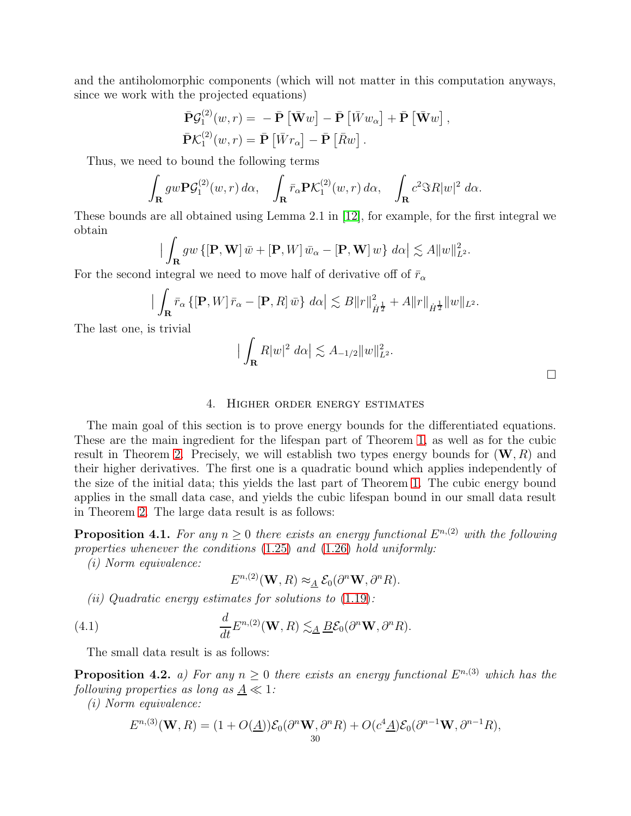and the antiholomorphic components (which will not matter in this computation anyways, since we work with the projected equations)

$$
\bar{\mathbf{P}}\mathcal{G}_{1}^{(2)}(w,r) = -\bar{\mathbf{P}}\left[\bar{\mathbf{W}}w\right] - \bar{\mathbf{P}}\left[\bar{W}w_{\alpha}\right] + \bar{\mathbf{P}}\left[\bar{\mathbf{W}}w\right],
$$
  

$$
\bar{\mathbf{P}}\mathcal{K}_{1}^{(2)}(w,r) = \bar{\mathbf{P}}\left[\bar{W}r_{\alpha}\right] - \bar{\mathbf{P}}\left[\bar{R}w\right].
$$

Thus, we need to bound the following terms

$$
\int_{\mathbf{R}} g w \mathbf{P} \mathcal{G}_1^{(2)}(w,r) d\alpha, \quad \int_{\mathbf{R}} \bar{r}_{\alpha} \mathbf{P} \mathcal{K}_1^{(2)}(w,r) d\alpha, \quad \int_{\mathbf{R}} c^2 \Im R |w|^2 d\alpha.
$$

These bounds are all obtained using Lemma 2.1 in [\[12\]](#page-62-0), for example, for the first integral we obtain

$$
\Big|\int_{\mathbf{R}} g w\left\{[\mathbf{P}, \mathbf{W}]\,\bar{w} + [\mathbf{P}, W]\,\bar{w}_{\alpha} - [\mathbf{P}, \mathbf{W}]\,w\right\}\,d\alpha\Big| \lesssim A \|w\|_{L^2}^2.
$$

For the second integral we need to move half of derivative off of  $\bar{r}_{\alpha}$ 

$$
\Big| \int_{\mathbf{R}} \bar{r}_{\alpha} \left\{ [\mathbf{P}, W] \, \bar{r}_{\alpha} - [\mathbf{P}, R] \, \bar{w} \right\} \, d\alpha \Big| \lesssim B \|r\|_{\dot{H}^{\frac{1}{2}}}^2 + A \|r\|_{\dot{H}^{\frac{1}{2}}} \|w\|_{L^2}.
$$

The last one, is trivial

$$
\left| \int_{\mathbf{R}} R|w|^2 \, d\alpha \right| \lesssim A_{-1/2} \|w\|_{L^2}^2.
$$

### 4. Higher order energy estimates

<span id="page-29-0"></span>The main goal of this section is to prove energy bounds for the differentiated equations. These are the main ingredient for the lifespan part of Theorem [1,](#page-7-0) as well as for the cubic result in Theorem [2.](#page-7-2) Precisely, we will establish two types energy bounds for  $(\mathbf{W}, R)$  and their higher derivatives. The first one is a quadratic bound which applies independently of the size of the initial data; this yields the last part of Theorem [1.](#page-7-0) The cubic energy bound applies in the small data case, and yields the cubic lifespan bound in our small data result in Theorem [2.](#page-7-2) The large data result is as follows:

<span id="page-29-1"></span>**Proposition 4.1.** For any  $n \geq 0$  there exists an energy functional  $E^{n,(2)}$  with the following properties whenever the conditions [\(1.25\)](#page-7-3) and [\(1.26\)](#page-7-1) hold uniformly:

(i) Norm equivalence:

$$
E^{n,(2)}(\mathbf{W},R) \approx_{\underline{A}} \mathcal{E}_0(\partial^n \mathbf{W},\partial^n R).
$$

(ii) Quadratic energy estimates for solutions to  $(1.19)$ :

(4.1) 
$$
\frac{d}{dt}E^{n,(2)}(\mathbf{W},R)\lesssim_{\underline{A}}\underline{B}\mathcal{E}_0(\partial^n\mathbf{W},\partial^nR).
$$

The small data result is as follows:

<span id="page-29-2"></span>**Proposition 4.2.** a) For any  $n \geq 0$  there exists an energy functional  $E^{n,(3)}$  which has the following properties as long as  $\underline{A} \ll 1$ :

(i) Norm equivalence:

$$
E^{n,(3)}(\mathbf{W},R)=(1+O(\underline{A}))\mathcal{E}_0(\partial^n\mathbf{W},\partial^nR)+O(c^4\underline{A})\mathcal{E}_0(\partial^{n-1}\mathbf{W},\partial^{n-1}R),
$$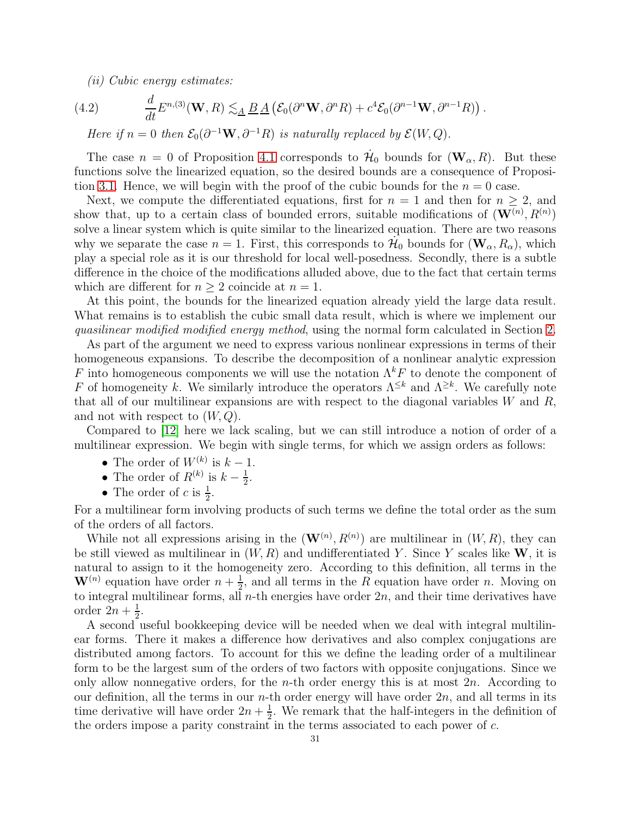<span id="page-30-0"></span>(ii) Cubic energy estimates:

(4.2) 
$$
\frac{d}{dt}E^{n,(3)}(\mathbf{W},R)\lesssim_{\underline{A}}\underline{B}\underline{A}\left(\mathcal{E}_0(\partial^n\mathbf{W},\partial^nR)+c^4\mathcal{E}_0(\partial^{n-1}\mathbf{W},\partial^{n-1}R)\right).
$$

Here if  $n = 0$  then  $\mathcal{E}_0(\partial^{-1} \mathbf{W}, \partial^{-1} R)$  is naturally replaced by  $\mathcal{E}(W, Q)$ .

The case  $n = 0$  of Proposition [4.1](#page-29-1) corresponds to  $\dot{\mathcal{H}}_0$  bounds for  $(\mathbf{W}_{\alpha}, R)$ . But these functions solve the linearized equation, so the desired bounds are a consequence of Proposi-tion [3.1.](#page-19-1) Hence, we will begin with the proof of the cubic bounds for the  $n = 0$  case.

Next, we compute the differentiated equations, first for  $n = 1$  and then for  $n \geq 2$ , and show that, up to a certain class of bounded errors, suitable modifications of  $(\mathbf{W}^{(n)}, R^{(n)})$ solve a linear system which is quite similar to the linearized equation. There are two reasons why we separate the case  $n = 1$ . First, this corresponds to  $\hat{\mathcal{H}}_0$  bounds for  $(\mathbf{W}_{\alpha}, R_{\alpha})$ , which play a special role as it is our threshold for local well-posedness. Secondly, there is a subtle difference in the choice of the modifications alluded above, due to the fact that certain terms which are different for  $n \geq 2$  coincide at  $n = 1$ .

At this point, the bounds for the linearized equation already yield the large data result. What remains is to establish the cubic small data result, which is where we implement our quasilinear modified modified energy method, using the normal form calculated in Section [2.](#page-9-1)

As part of the argument we need to express various nonlinear expressions in terms of their homogeneous expansions. To describe the decomposition of a nonlinear analytic expression F into homogeneous components we will use the notation  $\Lambda^k$ F to denote the component of F of homogeneity k. We similarly introduce the operators  $\Lambda^{\leq k}$  and  $\Lambda^{\geq k}$ . We carefully note that all of our multilinear expansions are with respect to the diagonal variables  $W$  and  $R$ , and not with respect to  $(W, Q)$ .

Compared to [\[12\]](#page-62-0) here we lack scaling, but we can still introduce a notion of order of a multilinear expression. We begin with single terms, for which we assign orders as follows:

- The order of  $W^{(k)}$  is  $k-1$ .
- The order of  $R^{(k)}$  is  $k-\frac{1}{2}$  $\frac{1}{2}$ .
- The order of c is  $\frac{1}{2}$ .

For a multilinear form involving products of such terms we define the total order as the sum of the orders of all factors.

While not all expressions arising in the  $(\mathbf{W}^{(n)}, R^{(n)})$  are multilinear in  $(W, R)$ , they can be still viewed as multilinear in  $(W, R)$  and undifferentiated Y. Since Y scales like W, it is natural to assign to it the homogeneity zero. According to this definition, all terms in the  $\mathbf{W}^{(n)}$  equation have order  $n+\frac{1}{2}$  $\frac{1}{2}$ , and all terms in the R equation have order n. Moving on to integral multilinear forms, all  $n$ -th energies have order  $2n$ , and their time derivatives have order  $2n + \frac{1}{2}$  $\frac{1}{2}$ .

A second useful bookkeeping device will be needed when we deal with integral multilinear forms. There it makes a difference how derivatives and also complex conjugations are distributed among factors. To account for this we define the leading order of a multilinear form to be the largest sum of the orders of two factors with opposite conjugations. Since we only allow nonnegative orders, for the *n*-th order energy this is at most  $2n$ . According to our definition, all the terms in our *n*-th order energy will have order  $2n$ , and all terms in its time derivative will have order  $2n + \frac{1}{2}$  $\frac{1}{2}$ . We remark that the half-integers in the definition of the orders impose a parity constraint in the terms associated to each power of c.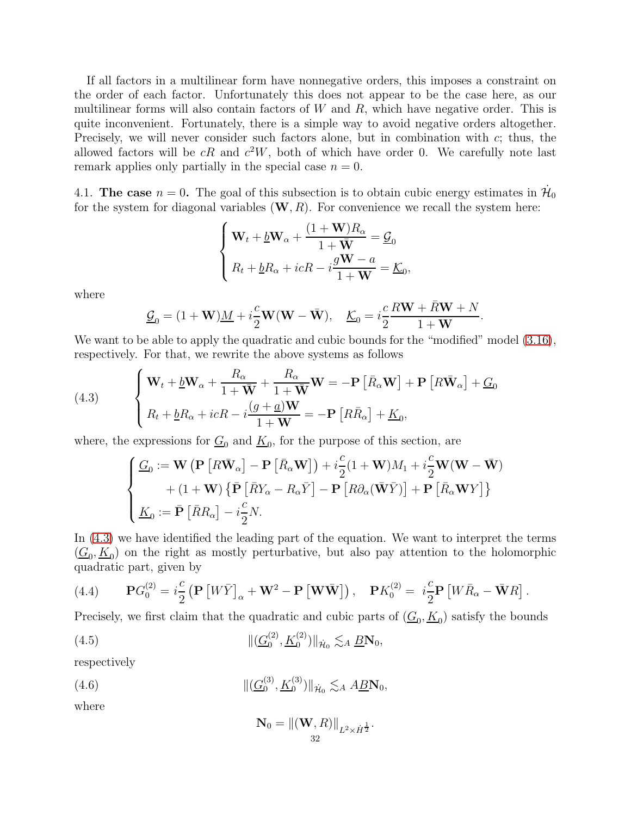If all factors in a multilinear form have nonnegative orders, this imposes a constraint on the order of each factor. Unfortunately this does not appear to be the case here, as our multilinear forms will also contain factors of  $W$  and  $R$ , which have negative order. This is quite inconvenient. Fortunately, there is a simple way to avoid negative orders altogether. Precisely, we will never consider such factors alone, but in combination with c; thus, the allowed factors will be  $cR$  and  $c^2W$ , both of which have order 0. We carefully note last remark applies only partially in the special case  $n = 0$ .

4.1. The case  $n = 0$ . The goal of this subsection is to obtain cubic energy estimates in  $\mathcal{H}_0$ for the system for diagonal variables  $(\mathbf{W}, R)$ . For convenience we recall the system here:

$$
\begin{cases} \mathbf{W}_t + \underline{b}\mathbf{W}_{\alpha} + \frac{(1+\mathbf{W})R_{\alpha}}{1+\bar{\mathbf{W}}} = \underline{\mathcal{G}}_0\\ R_t + \underline{b}R_{\alpha} + icR - i\frac{g\mathbf{W} - a}{1+\mathbf{W}} = \underline{\mathcal{K}}_0, \end{cases}
$$

where

$$
\underline{\mathcal{G}}_0 = (1 + \mathbf{W})\underline{M} + i\frac{c}{2}\mathbf{W}(\mathbf{W} - \bar{\mathbf{W}}), \quad \underline{\mathcal{K}}_0 = i\frac{c}{2}\frac{R\mathbf{W} + \bar{R}\mathbf{W} + N}{1 + \mathbf{W}}
$$

.

We want to be able to apply the quadratic and cubic bounds for the "modified" model  $(3.16)$ , respectively. For that, we rewrite the above systems as follows

<span id="page-31-0"></span>(4.3) 
$$
\begin{cases} \mathbf{W}_{t} + \underline{b} \mathbf{W}_{\alpha} + \frac{R_{\alpha}}{1 + \overline{\mathbf{W}}} + \frac{R_{\alpha}}{1 + \overline{\mathbf{W}}} \mathbf{W} = -\mathbf{P} \left[ \bar{R}_{\alpha} \mathbf{W} \right] + \mathbf{P} \left[ R \bar{\mathbf{W}}_{\alpha} \right] + \underline{G}_{0} \\ R_{t} + \underline{b} R_{\alpha} + icR - i \frac{(g + \underline{a}) \mathbf{W}}{1 + \mathbf{W}} = -\mathbf{P} \left[ R \bar{R}_{\alpha} \right] + \underline{K}_{0}, \end{cases}
$$

where, the expressions for  $\underline{G}_0$  and  $\underline{K}_0$ , for the purpose of this section, are

$$
\left\{\begin{aligned}&\underline{G}_0:=\mathbf{W}\left(\mathbf{P}\left[R\bar{\mathbf{W}}_{\alpha}\right]-\mathbf{P}\left[\bar{R}_{\alpha}\mathbf{W}\right]\right)+i\frac{c}{2}(1+\mathbf{W})M_1+i\frac{c}{2}\mathbf{W}(\mathbf{W}-\bar{\mathbf{W}})\\&+(1+\mathbf{W})\left\{\bar{\mathbf{P}}\left[\bar{R}Y_{\alpha}-R_{\alpha}\bar{Y}\right]-\mathbf{P}\left[R\partial_{\alpha}(\bar{\mathbf{W}}\bar{Y})\right]+\mathbf{P}\left[\bar{R}_{\alpha}\mathbf{W}Y\right]\right\}\\\&\underline{K}_0:=\bar{\mathbf{P}}\left[\bar{R}R_{\alpha}\right]-i\frac{c}{2}N.\end{aligned}\right.
$$

In [\(4.3\)](#page-31-0) we have identified the leading part of the equation. We want to interpret the terms  $(\underline{G}_0, \underline{K}_0)$  on the right as mostly perturbative, but also pay attention to the holomorphic quadratic part, given by

(4.4) 
$$
\mathbf{P}G_0^{(2)} = i\frac{c}{2} \left( \mathbf{P} \left[ W\bar{Y} \right]_\alpha + \mathbf{W}^2 - \mathbf{P} \left[ \mathbf{W}\bar{\mathbf{W}} \right] \right), \quad \mathbf{P}K_0^{(2)} = i\frac{c}{2} \mathbf{P} \left[ W\bar{R}_\alpha - \bar{\mathbf{W}}R \right].
$$

Precisely, we first claim that the quadratic and cubic parts of  $(\underline{G}_0, \underline{K}_0)$  satisfy the bounds

(4.5) 
$$
\|(\underline{G}_0^{(2)}, \underline{K}_0^{(2)})\|_{\dot{\mathcal{H}}_0} \lesssim_A \underline{B} \mathbf{N}_0,
$$

respectively

(4.6) 
$$
\|(\underline{G}_0^{(3)}, \underline{K}_0^{(3)})\|_{\dot{\mathcal{H}}_0} \lesssim_A A\underline{B} \mathbf{N}_0,
$$

where

<span id="page-31-2"></span><span id="page-31-1"></span>
$$
\mathbf{N}_0 = \|(\mathbf{W}, R)\|_{L^2 \times \dot{H}^{\frac{1}{2}}}.
$$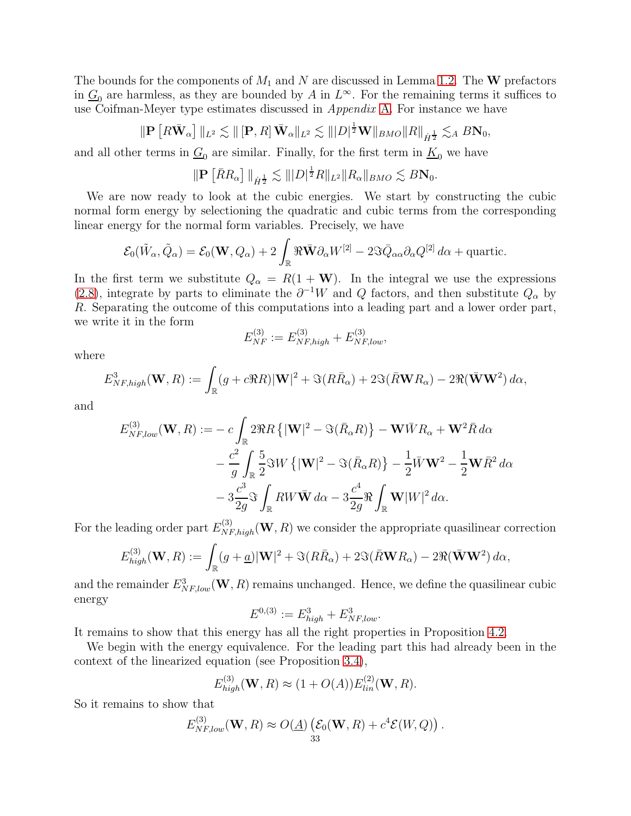The bounds for the components of  $M_1$  and N are discussed in Lemma [1.2.](#page-54-1) The W prefactors in  $\underline{G}_0$  are harmless, as they are bounded by A in  $L^{\infty}$ . For the remaining terms it suffices to use Coifman-Meyer type estimates discussed in Appendix [A.](#page-54-0) For instance we have

$$
\left|\mathbf{P}\left[R\mathbf{\bar{W}}_{\alpha}\right]\right|\right|_{L^{2}} \lesssim \|\left[\mathbf{P},R\right]\mathbf{\bar{W}}_{\alpha}\|_{L^{2}} \lesssim \||D|^{\frac{1}{2}}\mathbf{W}\|_{BMO}\|R\|_{\dot{H}^{\frac{1}{2}}} \lesssim_{A} B\mathbf{N}_{0},
$$

and all other terms in  $G_0$  are similar. Finally, for the first term in  $K_0$  we have

$$
\|\mathbf{P}\left[\bar{R}R_{\alpha}\right]\|_{\dot{H}^{\frac{1}{2}}}\lesssim \||D|^{\frac{1}{2}}R\|_{L^{2}}\|R_{\alpha}\|_{BMO}\lesssim BN_0.
$$

We are now ready to look at the cubic energies. We start by constructing the cubic normal form energy by selectioning the quadratic and cubic terms from the corresponding linear energy for the normal form variables. Precisely, we have

$$
\mathcal{E}_0(\tilde{W}_\alpha, \tilde{Q}_\alpha) = \mathcal{E}_0(\mathbf{W}, Q_\alpha) + 2 \int_{\mathbb{R}} \Re \bar{\mathbf{W}} \partial_\alpha W^{[2]} - 2 \Im \bar{Q}_{\alpha\alpha} \partial_\alpha Q^{[2]} d\alpha + \text{quartic}.
$$

In the first term we substitute  $Q_{\alpha} = R(1 + W)$ . In the integral we use the expressions [\(2.8\)](#page-12-0), integrate by parts to eliminate the  $\partial^{-1}W$  and Q factors, and then substitute  $Q_{\alpha}$  by R. Separating the outcome of this computations into a leading part and a lower order part, we write it in the form

$$
E_{NF}^{(3)} := E_{NF,high}^{(3)} + E_{NF,low}^{(3)},
$$

where

kP

$$
E_{NF,high}^3(\mathbf{W},R) := \int_{\mathbb{R}} (g + c\Re R)|\mathbf{W}|^2 + \Im(R\bar{R}_{\alpha}) + 2\Im(\bar{R}\mathbf{W}R_{\alpha}) - 2\Re(\bar{\mathbf{W}}\mathbf{W}^2) d\alpha,
$$

and

$$
E_{NF,low}^{(3)}(\mathbf{W},R) := -c \int_{\mathbb{R}} 2\Re R \left\{ |\mathbf{W}|^2 - \Im(\bar{R}_{\alpha}R) \right\} - \mathbf{W}\bar{W}R_{\alpha} + \mathbf{W}^2 \bar{R} d\alpha
$$

$$
- \frac{c^2}{g} \int_{\mathbb{R}} \frac{5}{2} \Im W \left\{ |\mathbf{W}|^2 - \Im(\bar{R}_{\alpha}R) \right\} - \frac{1}{2} \bar{W}\mathbf{W}^2 - \frac{1}{2}\mathbf{W}\bar{R}^2 d\alpha
$$

$$
- 3\frac{c^3}{2g} \Im \int_{\mathbb{R}} R W \bar{\mathbf{W}} d\alpha - 3\frac{c^4}{2g} \Re \int_{\mathbb{R}} \mathbf{W} |W|^2 d\alpha.
$$

For the leading order part  $E_{NF,high}^{(3)}(\mathbf{W}, R)$  we consider the appropriate quasilinear correction

$$
E_{high}^{(3)}(\mathbf{W},R) := \int_{\mathbb{R}} (g+\underline{a}) |\mathbf{W}|^2 + \Im(R\bar{R}_{\alpha}) + 2\Im(\bar{R}\mathbf{W}R_{\alpha}) - 2\Re(\bar{\mathbf{W}}\mathbf{W}^2) d\alpha,
$$

and the remainder  $E_{NF,low}^3(\mathbf{W}, R)$  remains unchanged. Hence, we define the quasilinear cubic energy

$$
E^{0,(3)} := E^3_{high} + E^3_{NF,low}.
$$

It remains to show that this energy has all the right properties in Proposition [4.2.](#page-29-2)

We begin with the energy equivalence. For the leading part this had already been in the context of the linearized equation (see Proposition [3.4\)](#page-24-0),

$$
E_{high}^{(3)}(\mathbf{W}, R) \approx (1 + O(A)) E_{lin}^{(2)}(\mathbf{W}, R).
$$

So it remains to show that

$$
E_{NF,low}^{(3)}(\mathbf{W},R) \approx O(\underline{A}) \left( \mathcal{E}_0(\mathbf{W},R) + c^4 \mathcal{E}(W,Q) \right).
$$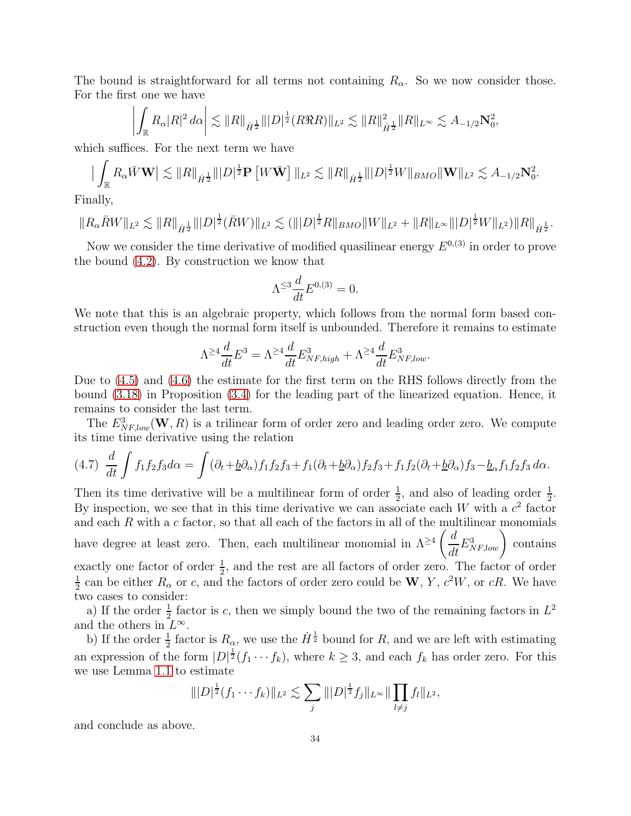The bound is straightforward for all terms not containing  $R_{\alpha}$ . So we now consider those. For the first one we have

$$
\left| \int_{\mathbb{R}} R_{\alpha} |R|^2 \, d\alpha \right| \lesssim \|R\|_{\dot{H}^{\frac{1}{2}}} \| |D|^{\frac{1}{2}} (R \Re R) \|_{L^2} \lesssim \|R\|_{\dot{H}^{\frac{1}{2}}}^2 \|R\|_{L^\infty} \lesssim A_{-1/2} \mathbf{N}_0^2,
$$

which suffices. For the next term we have

$$
\Big| \int_{\mathbb{R}} R_{\alpha} \bar{W} \mathbf{W} \Big| \lesssim \|R\|_{\dot{H}^{\frac{1}{2}}} \| |D|^{\frac{1}{2}} \mathbf{P} \left[ W \bar{\mathbf{W}} \right] \|_{L^2} \lesssim \|R\|_{\dot{H}^{\frac{1}{2}}} \| |D|^{\frac{1}{2}} W \|_{BMO} \| \mathbf{W} \|_{L^2} \lesssim A_{-1/2} \mathbf{N}_0^2.
$$

Finally,

$$
||R_{\alpha}\bar{R}W||_{L^{2}} \lesssim ||R||_{\dot{H}^{\frac{1}{2}}}\||D|^{\frac{1}{2}}(\bar{R}W)||_{L^{2}} \lesssim (|||D|^{\frac{1}{2}}R||_{BMO}||W||_{L^{2}} + ||R||_{L^{\infty}}|||D|^{\frac{1}{2}}W||_{L^{2}})||R||_{\dot{H}^{\frac{1}{2}}}.
$$

Now we consider the time derivative of modified quasilinear energy  $E^{0,(3)}$  in order to prove the bound [\(4.2\)](#page-30-0). By construction we know that

$$
\Lambda^{\leq 3} \frac{d}{dt} E^{0,(3)} = 0.
$$

We note that this is an algebraic property, which follows from the normal form based construction even though the normal form itself is unbounded. Therefore it remains to estimate

$$
\Lambda^{\geq 4}\frac{d}{dt}E^3 = \Lambda^{\geq 4}\frac{d}{dt}E^3_{NF,high} + \Lambda^{\geq 4}\frac{d}{dt}E^3_{NF,low}.
$$

Due to [\(4.5\)](#page-31-1) and [\(4.6\)](#page-31-2) the estimate for the first term on the RHS follows directly from the bound [\(3.18\)](#page-24-1) in Proposition [\(3.4\)](#page-24-0) for the leading part of the linearized equation. Hence, it remains to consider the last term.

The  $E_{NF,low}^3(\mathbf{W}, R)$  is a trilinear form of order zero and leading order zero. We compute its time time derivative using the relation

<span id="page-33-0"></span>
$$
(4.7) \frac{d}{dt} \int f_1 f_2 f_3 d\alpha = \int (\partial_t + \underline{b} \partial_\alpha) f_1 f_2 f_3 + f_1 (\partial_t + \underline{b} \partial_\alpha) f_2 f_3 + f_1 f_2 (\partial_t + \underline{b} \partial_\alpha) f_3 - \underline{b}_\alpha f_1 f_2 f_3 d\alpha.
$$

Then its time derivative will be a multilinear form of order  $\frac{1}{2}$ , and also of leading order  $\frac{1}{2}$ . By inspection, we see that in this time derivative we can associate each  $W$  with a  $c<sup>2</sup>$  factor and each  $R$  with a  $c$  factor, so that all each of the factors in all of the multilinear monomials have degree at least zero. Then, each multilinear monomial in  $\Lambda^{\geq 4} \left( \frac{d}{dt} E^3_{NF,low} \right)$  contains exactly one factor of order  $\frac{1}{2}$ , and the rest are all factors of order zero. The factor of order 1  $\frac{1}{2}$  can be either  $R_{\alpha}$  or c, and the factors of order zero could be  $\mathbf{W}, Y, c^2W$ , or cR. We have two cases to consider:

a) If the order  $\frac{1}{2}$  factor is c, then we simply bound the two of the remaining factors in  $L^2$ and the others in  $L^{\infty}$ .

b) If the order  $\frac{1}{2}$  factor is  $R_{\alpha}$ , we use the  $\dot{H}^{\frac{1}{2}}$  bound for R, and we are left with estimating an expression of the form  $|D|^{\frac{1}{2}}(f_1 \cdots f_k)$ , where  $k \geq 3$ , and each  $f_k$  has order zero. For this we use Lemma [1.1](#page-54-2) to estimate

$$
\| |D|^{\frac{1}{2}} (f_1 \cdots f_k) \|_{L^2} \lesssim \sum_j \| |D|^{\frac{1}{2}} f_j \|_{L^{\infty}} \| \prod_{l \neq j} f_l \|_{L^2},
$$

and conclude as above.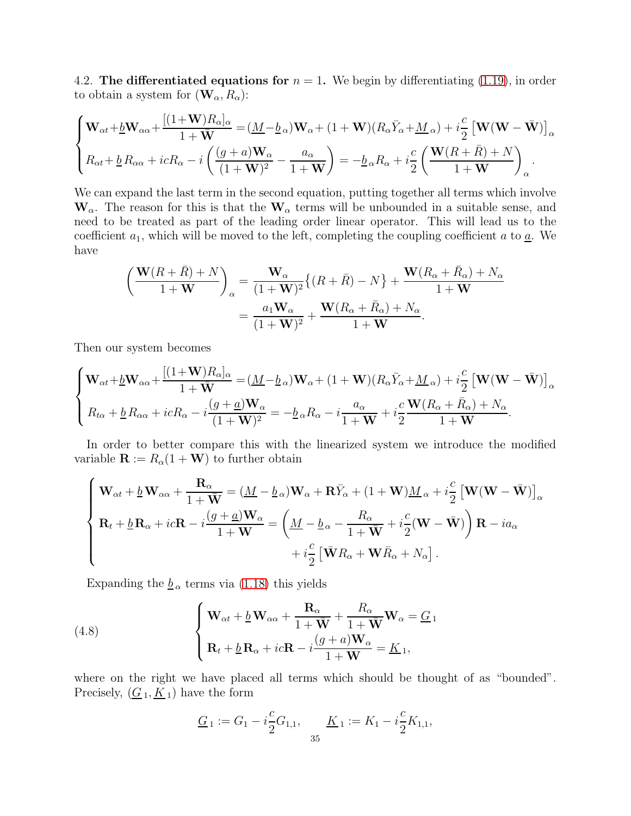4.2. The differentiated equations for  $n = 1$ . We begin by differentiating [\(1.19\)](#page-6-0), in order to obtain a system for  $(\mathbf{W}_{\alpha}, R_{\alpha})$ :

$$
\begin{cases}\n\mathbf{W}_{\alpha t} + \underline{b} \mathbf{W}_{\alpha \alpha} + \frac{[(1 + \mathbf{W})R_{\alpha}]_{\alpha}}{1 + \bar{\mathbf{W}}} = (\underline{M} - \underline{b}_{\alpha}) \mathbf{W}_{\alpha} + (1 + \mathbf{W})(R_{\alpha} \bar{Y}_{\alpha} + \underline{M}_{\alpha}) + i\frac{c}{2} \left[ \mathbf{W}(\mathbf{W} - \bar{\mathbf{W}}) \right]_{\alpha} \\
R_{\alpha t} + \underline{b} R_{\alpha \alpha} + icR_{\alpha} - i \left( \frac{(g + a) \mathbf{W}_{\alpha}}{(1 + \mathbf{W})^2} - \frac{a_{\alpha}}{1 + \mathbf{W}} \right) = -\underline{b}_{\alpha} R_{\alpha} + i\frac{c}{2} \left( \frac{\mathbf{W}(R + \bar{R}) + N}{1 + \mathbf{W}} \right)_{\alpha}.\n\end{cases}
$$

We can expand the last term in the second equation, putting together all terms which involve  $W_{\alpha}$ . The reason for this is that the  $W_{\alpha}$  terms will be unbounded in a suitable sense, and need to be treated as part of the leading order linear operator. This will lead us to the coefficient  $a_1$ , which will be moved to the left, completing the coupling coefficient a to  $\underline{a}$ . We have

$$
\left(\frac{\mathbf{W}(R+\bar{R})+N}{1+\mathbf{W}}\right)_{\alpha} = \frac{\mathbf{W}_{\alpha}}{(1+\mathbf{W})^2} \{ (R+\bar{R})-N \} + \frac{\mathbf{W}(R_{\alpha}+\bar{R}_{\alpha})+N_{\alpha}}{1+\mathbf{W}}
$$

$$
= \frac{a_1 \mathbf{W}_{\alpha}}{(1+\mathbf{W})^2} + \frac{\mathbf{W}(R_{\alpha}+\bar{R}_{\alpha})+N_{\alpha}}{1+\mathbf{W}}.
$$

Then our system becomes

$$
\begin{cases}\n\mathbf{W}_{\alpha t} + \underline{b} \mathbf{W}_{\alpha \alpha} + \frac{[(1 + \mathbf{W})R_{\alpha}]_{\alpha}}{1 + \bar{\mathbf{W}}} = (\underline{M} - \underline{b}_{\alpha}) \mathbf{W}_{\alpha} + (1 + \mathbf{W})(R_{\alpha} \bar{Y}_{\alpha} + \underline{M}_{\alpha}) + i\frac{c}{2} \left[ \mathbf{W}(\mathbf{W} - \bar{\mathbf{W}}) \right]_{\alpha} \\
R_{t\alpha} + \underline{b} R_{\alpha \alpha} + icR_{\alpha} - i\frac{(g + \underline{a}) \mathbf{W}_{\alpha}}{(1 + \mathbf{W})^2} = -\underline{b}_{\alpha} R_{\alpha} - i\frac{a_{\alpha}}{1 + \mathbf{W}} + i\frac{c}{2} \frac{\mathbf{W}(R_{\alpha} + \bar{R}_{\alpha}) + N_{\alpha}}{1 + \mathbf{W}}.\n\end{cases}
$$

In order to better compare this with the linearized system we introduce the modified variable  $\mathbf{R} := R_{\alpha}(1 + \mathbf{W})$  to further obtain

$$
\begin{cases}\n\mathbf{W}_{\alpha t} + \underline{b}\,\mathbf{W}_{\alpha\alpha} + \frac{\mathbf{R}_{\alpha}}{1 + \mathbf{W}} = (\underline{M} - \underline{b}\,_{\alpha})\mathbf{W}_{\alpha} + \mathbf{R}\bar{Y}_{\alpha} + (1 + \mathbf{W})\underline{M}_{\alpha} + i\frac{c}{2}\left[\mathbf{W}(\mathbf{W} - \bar{\mathbf{W}})\right]_{\alpha} \\
\mathbf{R}_{t} + \underline{b}\,\mathbf{R}_{\alpha} + ic\mathbf{R} - i\frac{(g + \underline{a})\mathbf{W}_{\alpha}}{1 + \mathbf{W}} = \left(\underline{M} - \underline{b}\,_{\alpha} - \frac{R_{\alpha}}{1 + \bar{\mathbf{W}}} + i\frac{c}{2}(\mathbf{W} - \bar{\mathbf{W}})\right)\mathbf{R} - ia_{\alpha} \\
&+ i\frac{c}{2}\left[\bar{\mathbf{W}}R_{\alpha} + \mathbf{W}\bar{R}_{\alpha} + N_{\alpha}\right].\n\end{cases}
$$

Expanding the  $b_{\alpha}$  terms via [\(1.18\)](#page-6-4) this yields

(4.8) 
$$
\begin{cases} \mathbf{W}_{\alpha t} + \underline{b} \mathbf{W}_{\alpha \alpha} + \frac{\mathbf{R}_{\alpha}}{1 + \bar{\mathbf{W}}} + \frac{R_{\alpha}}{1 + \bar{\mathbf{W}}} \mathbf{W}_{\alpha} = \underline{G}_{1} \\ \mathbf{R}_{t} + \underline{b} \mathbf{R}_{\alpha} + ic \mathbf{R} - i \frac{(g + a) \mathbf{W}_{\alpha}}{1 + \mathbf{W}} = \underline{K}_{1}, \end{cases}
$$

where on the right we have placed all terms which should be thought of as "bounded". Precisely,  $(G_1, K_1)$  have the form

$$
\underline{G}_1 := G_1 - i\frac{c}{2}G_{1,1}, \qquad \underline{K}_1 := K_1 - i\frac{c}{2}K_{1,1},
$$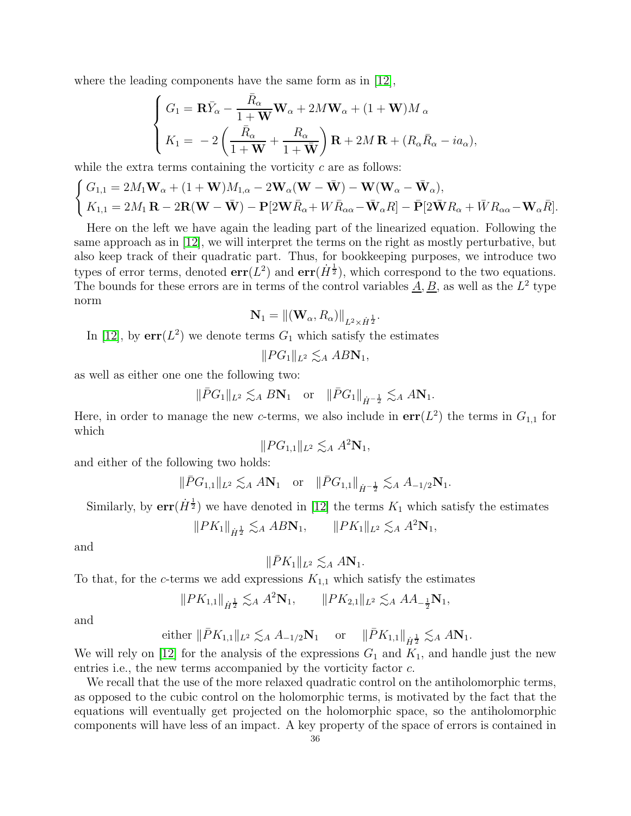where the leading components have the same form as in [\[12\]](#page-62-0),

$$
\begin{cases}\nG_1 = \mathbf{R}\bar{Y}_{\alpha} - \frac{\bar{R}_{\alpha}}{1 + \mathbf{W}} \mathbf{W}_{\alpha} + 2M \mathbf{W}_{\alpha} + (1 + \mathbf{W})M_{\alpha} \\
K_1 = -2\left(\frac{\bar{R}_{\alpha}}{1 + \mathbf{W}} + \frac{R_{\alpha}}{1 + \bar{\mathbf{W}}}\right)\mathbf{R} + 2M\mathbf{R} + (R_{\alpha}\bar{R}_{\alpha} - ia_{\alpha}),\n\end{cases}
$$

while the extra terms containing the vorticity  $c$  are as follows:

$$
\begin{cases} G_{1,1} = 2M_1 \mathbf{W}_{\alpha} + (1 + \mathbf{W})M_{1,\alpha} - 2\mathbf{W}_{\alpha}(\mathbf{W} - \bar{\mathbf{W}}) - \mathbf{W}(\mathbf{W}_{\alpha} - \bar{\mathbf{W}}_{\alpha}), \\ K_{1,1} = 2M_1 \mathbf{R} - 2\mathbf{R}(\mathbf{W} - \bar{\mathbf{W}}) - \mathbf{P}[2\mathbf{W}\bar{R}_{\alpha} + W\bar{R}_{\alpha\alpha} - \bar{\mathbf{W}}_{\alpha}R] - \bar{\mathbf{P}}[2\bar{\mathbf{W}}R_{\alpha} + \bar{W}R_{\alpha\alpha} - \mathbf{W}_{\alpha}\bar{R}]. \end{cases}
$$

Here on the left we have again the leading part of the linearized equation. Following the same approach as in [\[12\]](#page-62-0), we will interpret the terms on the right as mostly perturbative, but also keep track of their quadratic part. Thus, for bookkeeping purposes, we introduce two types of error terms, denoted  $err(L^2)$  and  $err(\dot{H}^{\frac{1}{2}})$ , which correspond to the two equations. The bounds for these errors are in terms of the control variables  $\underline{A}, \underline{B}$ , as well as the  $L^2$  type norm

$$
\mathbf{N}_1 = \|(\mathbf{W}_{\alpha}, R_{\alpha})\|_{L^2 \times \dot{H}^{\frac{1}{2}}}.
$$

In [\[12\]](#page-62-0), by  $err(L^2)$  we denote terms  $G_1$  which satisfy the estimates

$$
||PG_1||_{L^2} \lesssim_A AB\mathbf{N}_1,
$$

as well as either one one the following two:

$$
\|\bar{P}G_1\|_{L^2} \lesssim_A B\mathbf{N}_1 \quad \text{or} \quad \|\bar{P}G_1\|_{\dot{H}^{-\frac{1}{2}}} \lesssim_A A\mathbf{N}_1.
$$

Here, in order to manage the new c-terms, we also include in  $err(L^2)$  the terms in  $G_{1,1}$  for which

$$
||P G_{1,1}||_{L^2} \lesssim_A A^2 \mathbf{N}_1,
$$

and either of the following two holds:

$$
\|\bar{P}G_{1,1}\|_{L^2} \lesssim_A A\mathbf{N}_1 \quad \text{or} \quad \|\bar{P}G_{1,1}\|_{\dot{H}^{-\frac{1}{2}}} \lesssim_A A_{-1/2}\mathbf{N}_1.
$$

Similarly, by  $err(\dot{H}^{\frac{1}{2}})$  we have denoted in [\[12\]](#page-62-0) the terms  $K_1$  which satisfy the estimates

$$
||P K_1||_{\dot{H}^{\frac{1}{2}}} \lesssim_A AB\mathbf{N}_1, \qquad ||P K_1||_{L^2} \lesssim_A A^2\mathbf{N}_1,
$$

and

$$
\|\bar{P}K_1\|_{L^2}\lesssim_A A\mathbf{N}_1.
$$

To that, for the c-terms we add expressions  $K_{1,1}$  which satisfy the estimates

$$
||PK_{1,1}||_{\dot{H}^{\frac{1}{2}}} \lesssim_A A^2 \mathbf{N}_1, \qquad ||PK_{2,1}||_{L^2} \lesssim_A AA_{-\frac{1}{2}} \mathbf{N}_1,
$$

and

either 
$$
\|\bar{P}K_{1,1}\|_{L^2} \lesssim_A A_{-1/2}N_1
$$
 or  $\|\bar{P}K_{1,1}\|_{\dot{H}^{\frac{1}{2}}} \lesssim_A A N_1$ .

We will rely on [\[12\]](#page-62-0) for the analysis of the expressions  $G_1$  and  $K_1$ , and handle just the new entries i.e., the new terms accompanied by the vorticity factor c.

We recall that the use of the more relaxed quadratic control on the antiholomorphic terms, as opposed to the cubic control on the holomorphic terms, is motivated by the fact that the equations will eventually get projected on the holomorphic space, so the antiholomorphic components will have less of an impact. A key property of the space of errors is contained in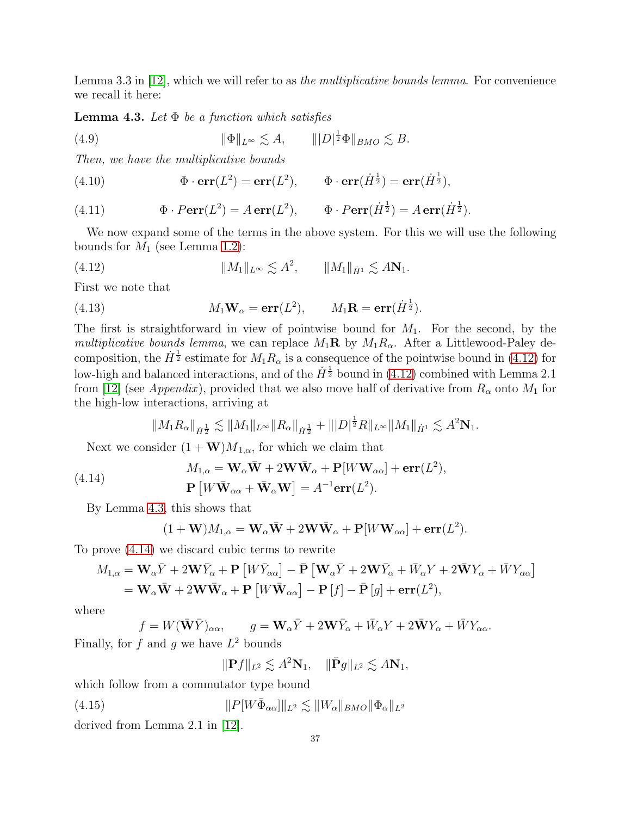Lemma 3.3 in [\[12\]](#page-62-0), which we will refer to as the multiplicative bounds lemma. For convenience we recall it here:

<span id="page-36-1"></span>**Lemma 4.3.** Let  $\Phi$  be a function which satisfies

(4.9) 
$$
\|\Phi\|_{L^{\infty}} \lesssim A, \qquad \| |D|^{\frac{1}{2}} \Phi\|_{BMO} \lesssim B.
$$

Then, we have the multiplicative bounds

(4.10) 
$$
\Phi \cdot \mathbf{err}(L^2) = \mathbf{err}(L^2), \qquad \Phi \cdot \mathbf{err}(\dot{H}^{\frac{1}{2}}) = \mathbf{err}(\dot{H}^{\frac{1}{2}}),
$$

(4.11) 
$$
\Phi \cdot Perr(L^2) = Aerr(L^2), \qquad \Phi \cdot Perr(\dot{H}^{\frac{1}{2}}) = Aerr(\dot{H}^{\frac{1}{2}}).
$$

We now expand some of the terms in the above system. For this we will use the following bounds for  $M_1$  (see Lemma [1.2\)](#page-54-1):

<span id="page-36-0"></span>(4.12) 
$$
||M_1||_{L^{\infty}} \lesssim A^2, \qquad ||M_1||_{\dot{H}^1} \lesssim A\mathbf{N}_1.
$$

First we note that

(4.13) 
$$
M_1 \mathbf{W}_{\alpha} = \mathbf{err}(L^2), \qquad M_1 \mathbf{R} = \mathbf{err}(\dot{H}^{\frac{1}{2}}).
$$

The first is straightforward in view of pointwise bound for  $M_1$ . For the second, by the multiplicative bounds lemma, we can replace  $M_1\mathbf{R}$  by  $M_1R_\alpha$ . After a Littlewood-Paley decomposition, the  $\dot{H}^{\frac{1}{2}}$  estimate for  $M_1 R_\alpha$  is a consequence of the pointwise bound in [\(4.12\)](#page-36-0) for low-high and balanced interactions, and of the  $\dot{H}^{\frac{1}{2}}$  bound in [\(4.12\)](#page-36-0) combined with Lemma 2.1 from [\[12\]](#page-62-0) (see Appendix), provided that we also move half of derivative from  $R_{\alpha}$  onto  $M_1$  for the high-low interactions, arriving at

<span id="page-36-3"></span>
$$
||M_1R_\alpha||_{\dot{H}^{\frac{1}{2}}}\lesssim ||M_1||_{L^\infty}||R_\alpha||_{\dot{H}^{\frac{1}{2}}}+|||D|^{\frac{1}{2}}R||_{L^\infty}||M_1||_{\dot{H}^1}\lesssim A^2\mathbf{N}_1.
$$

Next we consider  $(1 + W)M_{1,\alpha}$ , for which we claim that

(4.14) 
$$
M_{1,\alpha} = \mathbf{W}_{\alpha}\bar{\mathbf{W}} + 2\mathbf{W}\bar{\mathbf{W}}_{\alpha} + \mathbf{P}[W\mathbf{W}_{\alpha\alpha}] + \mathbf{err}(L^2),
$$

$$
\mathbf{P}[W\bar{\mathbf{W}}_{\alpha\alpha} + \bar{\mathbf{W}}_{\alpha}\mathbf{W}] = A^{-1}\mathbf{err}(L^2).
$$

By Lemma [4.3,](#page-36-1) this shows that

<span id="page-36-2"></span>
$$
(1 + \mathbf{W})M_{1,\alpha} = \mathbf{W}_{\alpha}\bar{\mathbf{W}} + 2\mathbf{W}\bar{\mathbf{W}}_{\alpha} + \mathbf{P}[W\mathbf{W}_{\alpha\alpha}] + \mathbf{err}(L^2).
$$

To prove [\(4.14\)](#page-36-2) we discard cubic terms to rewrite

$$
M_{1,\alpha} = \mathbf{W}_{\alpha}\bar{Y} + 2\mathbf{W}\bar{Y}_{\alpha} + \mathbf{P}\left[W\bar{Y}_{\alpha\alpha}\right] - \bar{\mathbf{P}}\left[\mathbf{W}_{\alpha}\bar{Y} + 2\mathbf{W}\bar{Y}_{\alpha} + \bar{W}_{\alpha}Y + 2\bar{\mathbf{W}}Y_{\alpha} + \bar{W}Y_{\alpha\alpha}\right]
$$
  
=  $\mathbf{W}_{\alpha}\bar{\mathbf{W}} + 2\mathbf{W}\bar{\mathbf{W}}_{\alpha} + \mathbf{P}\left[W\bar{\mathbf{W}}_{\alpha\alpha}\right] - \mathbf{P}\left[f\right] - \bar{\mathbf{P}}\left[g\right] + \text{err}(L^2),$ 

where

$$
f = W(\bar{\mathbf{W}}\bar{Y})_{\alpha\alpha}, \qquad g = \mathbf{W}_{\alpha}\bar{Y} + 2\mathbf{W}\bar{Y}_{\alpha} + \bar{W}_{\alpha}Y + 2\bar{\mathbf{W}}Y_{\alpha} + \bar{W}Y_{\alpha\alpha}.
$$

Finally, for f and g we have  $L^2$  bounds

$$
\|\mathbf{P}f\|_{L^2} \lesssim A^2 \mathbf{N}_1, \quad \|\bar{\mathbf{P}}g\|_{L^2} \lesssim A\mathbf{N}_1,
$$

which follow from a commutator type bound

(4.15)  $\|P[W\bar{\Phi}_{\alpha\alpha}]\|_{L^2} \lesssim \|W_{\alpha}\|_{BMO}\|\Phi_{\alpha}\|_{L^2}$ 

derived from Lemma 2.1 in [\[12\]](#page-62-0).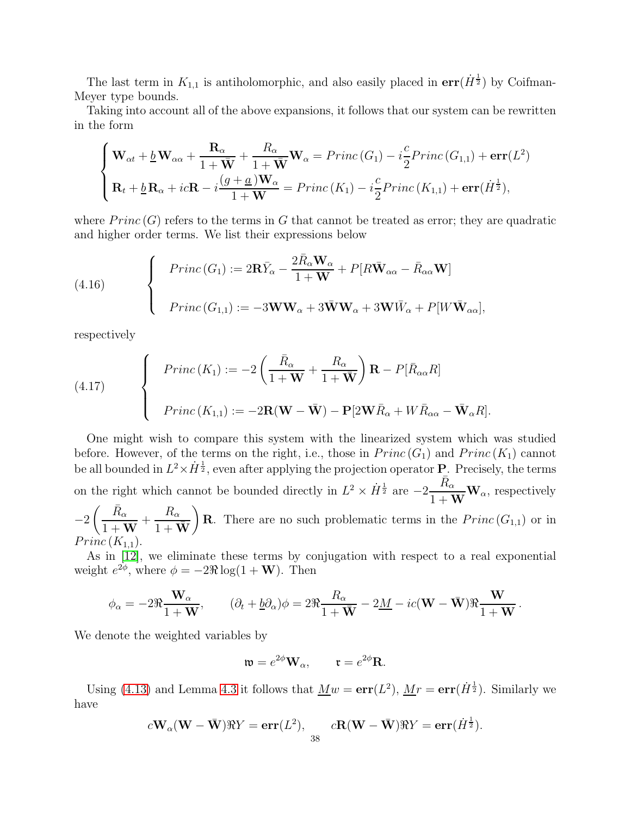The last term in  $K_{1,1}$  is antiholomorphic, and also easily placed in  $err(\dot{H}^{\frac{1}{2}})$  by Coifman-Meyer type bounds.

Taking into account all of the above expansions, it follows that our system can be rewritten in the form

$$
\begin{cases}\n\mathbf{W}_{\alpha t} + \underline{b}\mathbf{W}_{\alpha\alpha} + \frac{\mathbf{R}_{\alpha}}{1 + \overline{\mathbf{W}}} + \frac{R_{\alpha}}{1 + \overline{\mathbf{W}}}\mathbf{W}_{\alpha} = \text{Princ}\left(G_{1}\right) - i\frac{c}{2}\text{Princ}\left(G_{1,1}\right) + \mathbf{err}(L^{2}) \\
\mathbf{R}_{t} + \underline{b}\mathbf{R}_{\alpha} + i c\mathbf{R} - i\frac{(g + \underline{a})\mathbf{W}_{\alpha}}{1 + \mathbf{W}} = \text{Princ}\left(K_{1}\right) - i\frac{c}{2}\text{Princ}\left(K_{1,1}\right) + \mathbf{err}(\dot{H}^{\frac{1}{2}}),\n\end{cases}
$$

where  $Princ(G)$  refers to the terms in G that cannot be treated as error; they are quadratic and higher order terms. We list their expressions below

(4.16) 
$$
\begin{cases}\n\text{Princ}(G_1) := 2\mathbf{R}\bar{Y}_{\alpha} - \frac{2\bar{R}_{\alpha}\mathbf{W}_{\alpha}}{1 + \mathbf{W}} + P[R\bar{\mathbf{W}}_{\alpha\alpha} - \bar{R}_{\alpha\alpha}\mathbf{W}] \\
\text{Princ}(G_{1,1}) := -3\mathbf{WW}_{\alpha} + 3\bar{\mathbf{W}}\mathbf{W}_{\alpha} + 3\mathbf{W}\bar{W}_{\alpha} + P[W\bar{\mathbf{W}}_{\alpha\alpha}],\n\end{cases}
$$

respectively

(4.17) 
$$
\begin{cases}\n\text{Princ}(K_1) := -2\left(\frac{\bar{R}_{\alpha}}{1 + \mathbf{W}} + \frac{R_{\alpha}}{1 + \bar{\mathbf{W}}}\right) \mathbf{R} - P[\bar{R}_{\alpha\alpha}R] \\
\text{Princ}(K_{1,1}) := -2\mathbf{R}(\mathbf{W} - \bar{\mathbf{W}}) - \mathbf{P}[2\mathbf{W}\bar{R}_{\alpha} + W\bar{R}_{\alpha\alpha} - \bar{\mathbf{W}}_{\alpha}R].\n\end{cases}
$$

One might wish to compare this system with the linearized system which was studied before. However, of the terms on the right, i.e., those in  $Princ(G_1)$  and  $Princ(K_1)$  cannot be all bounded in  $L^2 \times \dot{H}^{\frac{1}{2}}$ , even after applying the projection operator **P**. Precisely, the terms on the right which cannot be bounded directly in  $L^2 \times \dot{H}^{\frac{1}{2}}$  are  $-2$  $\bar{R}_\alpha$  $\frac{1}{1 + W} \mathbf{W}_{\alpha}$ , respectively  $-2\left(\frac{\bar{R}_{\alpha}}{1+\bar{R}_{\alpha}}\right)$  $1 + W$  $+\frac{R_{\alpha}}{1+\alpha}$  $1 + \bar{\mathbf{W}}$ **R**. There are no such problematic terms in the  $Princ(G_{1,1})$  or in  $Princ(K_{1,1}).$ 

As in [\[12\]](#page-62-0), we eliminate these terms by conjugation with respect to a real exponential weight  $e^{2\phi}$ , where  $\phi = -2\Re \log(1 + \mathbf{W})$ . Then

$$
\phi_{\alpha} = -2\Re \frac{\mathbf{W}_{\alpha}}{1+\mathbf{W}}, \qquad (\partial_t + \underline{b}\partial_{\alpha})\phi = 2\Re \frac{R_{\alpha}}{1+\mathbf{W}} - 2\underline{M} - ic(\mathbf{W} - \bar{\mathbf{W}})\Re \frac{\mathbf{W}}{1+\mathbf{W}}.
$$

We denote the weighted variables by

$$
\mathfrak{w} = e^{2\phi} \mathbf{W}_{\alpha}, \qquad \mathfrak{r} = e^{2\phi} \mathbf{R}.
$$

Using [\(4.13\)](#page-36-3) and Lemma [4.3](#page-36-1) it follows that  $Mw = err(L^2)$ ,  $Mr = err(\dot{H}^{\frac{1}{2}})$ . Similarly we have

$$
c\mathbf{W}_{\alpha}(\mathbf{W} - \bar{\mathbf{W}})\Re Y = \mathbf{err}(L^2),
$$
  $c\mathbf{R}(\mathbf{W} - \bar{\mathbf{W}})\Re Y = \mathbf{err}(\dot{H}^{\frac{1}{2}}).$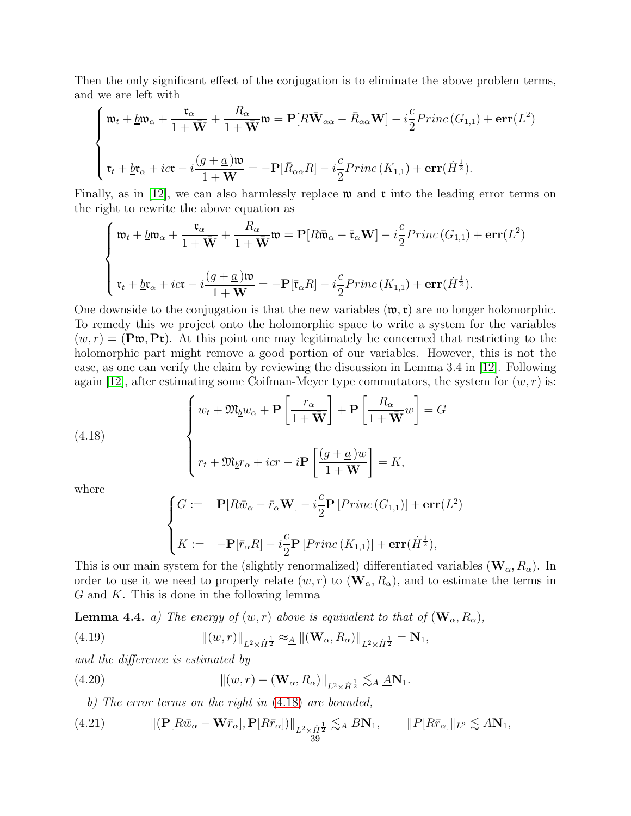Then the only significant effect of the conjugation is to eliminate the above problem terms, and we are left with

$$
\begin{cases}\n\mathfrak{w}_t + \underline{b}\mathfrak{w}_\alpha + \frac{\mathfrak{r}_\alpha}{1 + \bar{\mathbf{W}}} + \frac{R_\alpha}{1 + \bar{\mathbf{W}}}\mathfrak{w} = \mathbf{P}[R\bar{\mathbf{W}}_{\alpha\alpha} - \bar{R}_{\alpha\alpha}\mathbf{W}] - i\frac{c}{2}Princ(G_{1,1}) + \mathbf{err}(L^2) \\
\mathfrak{r}_t + \underline{b}\mathfrak{r}_\alpha + ic\mathfrak{r} - i\frac{(g + \underline{a})\mathfrak{w}}{1 + \mathbf{W}} = -\mathbf{P}[\bar{R}_{\alpha\alpha}R] - i\frac{c}{2}Princ(K_{1,1}) + \mathbf{err}(\dot{H}^{\frac{1}{2}}).\n\end{cases}
$$

Finally, as in [\[12\]](#page-62-0), we can also harmlessly replace  $\mathfrak w$  and  $\mathfrak r$  into the leading error terms on the right to rewrite the above equation as

$$
\begin{cases}\n\mathfrak{w}_t + \underline{b}\mathfrak{w}_\alpha + \frac{\mathfrak{r}_\alpha}{1 + \bar{\mathbf{W}}} + \frac{R_\alpha}{1 + \bar{\mathbf{W}}}\mathfrak{w} = \mathbf{P}[R\bar{\mathfrak{w}}_\alpha - \bar{\mathfrak{r}}_\alpha \mathbf{W}] - i\frac{c}{2}Princ(G_{1,1}) + \mathbf{err}(L^2) \\
\mathfrak{r}_t + \underline{b}\mathfrak{r}_\alpha + ic\mathfrak{r} - i\frac{(g + \underline{a})\mathfrak{w}}{1 + \mathbf{W}} = -\mathbf{P}[\bar{\mathfrak{r}}_\alpha R] - i\frac{c}{2}Princ(K_{1,1}) + \mathbf{err}(\dot{H}^{\frac{1}{2}}).\n\end{cases}
$$

One downside to the conjugation is that the new variables  $(\mathfrak{w}, \mathfrak{r})$  are no longer holomorphic. To remedy this we project onto the holomorphic space to write a system for the variables  $(w, r) = (\mathbf{P} \mathfrak{w}, \mathbf{P} \mathfrak{r})$ . At this point one may legitimately be concerned that restricting to the holomorphic part might remove a good portion of our variables. However, this is not the case, as one can verify the claim by reviewing the discussion in Lemma 3.4 in [\[12\]](#page-62-0). Following again [\[12\]](#page-62-0), after estimating some Coifman-Meyer type commutators, the system for  $(w, r)$  is:

(4.18)  

$$
\begin{cases}\nw_t + \mathfrak{M}_{\underline{b}} w_{\alpha} + \mathbf{P} \left[ \frac{r_{\alpha}}{1 + \bar{\mathbf{W}}} \right] + \mathbf{P} \left[ \frac{R_{\alpha}}{1 + \bar{\mathbf{W}}} w \right] = G \\
r_t + \mathfrak{M}_{\underline{b}} r_{\alpha} + icr - i \mathbf{P} \left[ \frac{(g + \underline{a}) w}{1 + \mathbf{W}} \right] = K,\n\end{cases}
$$

$$
\quad\text{where}\quad
$$

<span id="page-38-0"></span>
$$
\begin{cases}\nG := \mathbf{P}[R\bar{w}_{\alpha} - \bar{r}_{\alpha}\mathbf{W}] - i\frac{c}{2}\mathbf{P}[Princ(G_{1,1})] + \mathbf{err}(L^2) \\
K := -\mathbf{P}[\bar{r}_{\alpha}R] - i\frac{c}{2}\mathbf{P}[Princ(K_{1,1})] + \mathbf{err}(\dot{H}^{\frac{1}{2}}),\n\end{cases}
$$

 $1 + W$ 

This is our main system for the (slightly renormalized) differentiated variables  $(\mathbf{W}_{\alpha}, R_{\alpha})$ . In order to use it we need to properly relate  $(w, r)$  to  $(\mathbf{W}_{\alpha}, R_{\alpha})$ , and to estimate the terms in G and K. This is done in the following lemma

<span id="page-38-1"></span>**Lemma 4.4.** a) The energy of  $(w, r)$  above is equivalent to that of  $(\mathbf{W}_{\alpha}, R_{\alpha})$ ,

(4.19) 
$$
\|(w,r)\|_{L^2 \times \dot{H}^{\frac{1}{2}}} \approx_{\underline{A}} \|(W_{\alpha}, R_{\alpha})\|_{L^2 \times \dot{H}^{\frac{1}{2}}} = N_1,
$$

and the difference is estimated by

(4.20) 
$$
\| (w, r) - (\mathbf{W}_{\alpha}, R_{\alpha}) \|_{L^2 \times \dot{H}^{\frac{1}{2}}} \lesssim_A \underline{A} \mathbf{N}_1.
$$

<span id="page-38-2"></span>b) The error terms on the right in [\(4.18\)](#page-38-0) are bounded,

(4.21) 
$$
\|(\mathbf{P}[R\bar{w}_{\alpha}-\mathbf{W}\bar{r}_{\alpha}],\mathbf{P}[R\bar{r}_{\alpha}])\|_{L^{2}\times\dot{H}^{\frac{1}{2}}}\lesssim_{A}B\mathbf{N}_{1},\qquad\|P[R\bar{r}_{\alpha}]\|_{L^{2}}\lesssim A\mathbf{N}_{1},
$$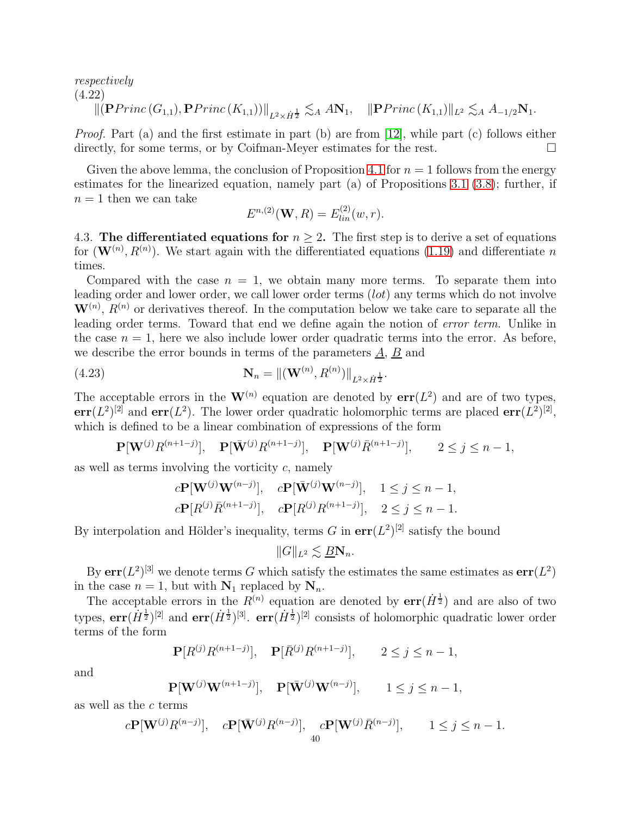<span id="page-39-0"></span>respectively (4.22)  $\|(\mathbf{P} Princ(G_{1,1}), \mathbf{P} Princ(K_{1,1}))\|_{L^2 \times \dot{H}^{\frac{1}{2}}} \lesssim_A A\mathbf{N}_1, \quad \|\mathbf{P} Princ(K_{1,1})\|_{L^2} \lesssim_A A_{-1/2}\mathbf{N}_1.$ 

*Proof.* Part (a) and the first estimate in part (b) are from [\[12\]](#page-62-0), while part (c) follows either directly, for some terms, or by Coifman-Meyer estimates for the rest.

Given the above lemma, the conclusion of Proposition [4.1](#page-29-1) for  $n = 1$  follows from the energy estimates for the linearized equation, namely part (a) of Propositions [3.1](#page-19-1) [\(3.8\)](#page-19-2); further, if  $n = 1$  then we can take

$$
E^{n,(2)}(\mathbf{W},R) = E_{lin}^{(2)}(w,r).
$$

4.3. The differentiated equations for  $n \geq 2$ . The first step is to derive a set of equations for  $(\mathbf{W}^{(n)}, R^{(n)})$ . We start again with the differentiated equations [\(1.19\)](#page-6-0) and differentiate n times.

Compared with the case  $n = 1$ , we obtain many more terms. To separate them into leading order and lower order, we call lower order terms  $(lot)$  any terms which do not involve  $\mathbf{W}^{(n)}$ ,  $R^{(n)}$  or derivatives thereof. In the computation below we take care to separate all the leading order terms. Toward that end we define again the notion of error term. Unlike in the case  $n = 1$ , here we also include lower order quadratic terms into the error. As before, we describe the error bounds in terms of the parameters  $\underline{A}$ ,  $\underline{B}$  and

(4.23) 
$$
\mathbf{N}_n = \|(\mathbf{W}^{(n)}, R^{(n)})\|_{L^2 \times \dot{H}^{\frac{1}{2}}}.
$$

The acceptable errors in the  $\mathbf{W}^{(n)}$  equation are denoted by  $err(L^2)$  and are of two types,  $err(L^2)^{[2]}$  and  $err(L^2)$ . The lower order quadratic holomorphic terms are placed  $err(L^2)^{[2]}$ , which is defined to be a linear combination of expressions of the form

 $\mathbf{P}[\mathbf{W}^{(j)}R^{(n+1-j)}], \quad \mathbf{P}[\bar{\mathbf{W}}^{(j)}R^{(n+1-j)}], \quad \mathbf{P}[\mathbf{W}^{(j)}\bar{R}^{(n+1-j)}], \quad 2 \leq j \leq n-1,$ 

as well as terms involving the vorticity  $c$ , namely

$$
c\mathbf{P}[\mathbf{W}^{(j)}\mathbf{W}^{(n-j)}],
$$
  $c\mathbf{P}[\bar{\mathbf{W}}^{(j)}\mathbf{W}^{(n-j)}],$   $1 \le j \le n-1,$   
 $c\mathbf{P}[R^{(j)}\bar{R}^{(n+1-j)}],$   $c\mathbf{P}[R^{(j)}R^{(n+1-j)}],$   $2 \le j \le n-1.$ 

By interpolation and Hölder's inequality, terms G in  $err(L^2)^{[2]}$  satisfy the bound

$$
||G||_{L^2} \lesssim \underline{B} \mathbf{N}_n.
$$

By  $err(L^2)^{[3]}$  we denote terms G which satisfy the estimates the same estimates as  $err(L^2)$ in the case  $n = 1$ , but with  $N_1$  replaced by  $N_n$ .

The acceptable errors in the  $R^{(n)}$  equation are denoted by  $err(\dot{H}^{\frac{1}{2}})$  and are also of two types,  $err(\dot{H}^{\frac{1}{2}})^{[2]}$  and  $err(\dot{H}^{\frac{1}{2}})^{[3]}$ .  $err(\dot{H}^{\frac{1}{2}})^{[2]}$  consists of holomorphic quadratic lower order terms of the form

$$
\mathbf{P}[R^{(j)}R^{(n+1-j)}], \quad \mathbf{P}[\bar{R}^{(j)}R^{(n+1-j)}], \qquad 2 \le j \le n-1,
$$

and

$$
\mathbf{P}[\mathbf{W}^{(j)}\mathbf{W}^{(n+1-j)}], \quad \mathbf{P}[\bar{\mathbf{W}}^{(j)}\mathbf{W}^{(n-j)}], \qquad 1 \le j \le n-1,
$$

as well as the c terms

$$
c\mathbf{P}[\mathbf{W}^{(j)}R^{(n-j)}], \quad c\mathbf{P}[\bar{\mathbf{W}}^{(j)}R^{(n-j)}], \quad c\mathbf{P}[\mathbf{W}^{(j)}\bar{R}^{(n-j)}], \quad 1 \le j \le n-1.
$$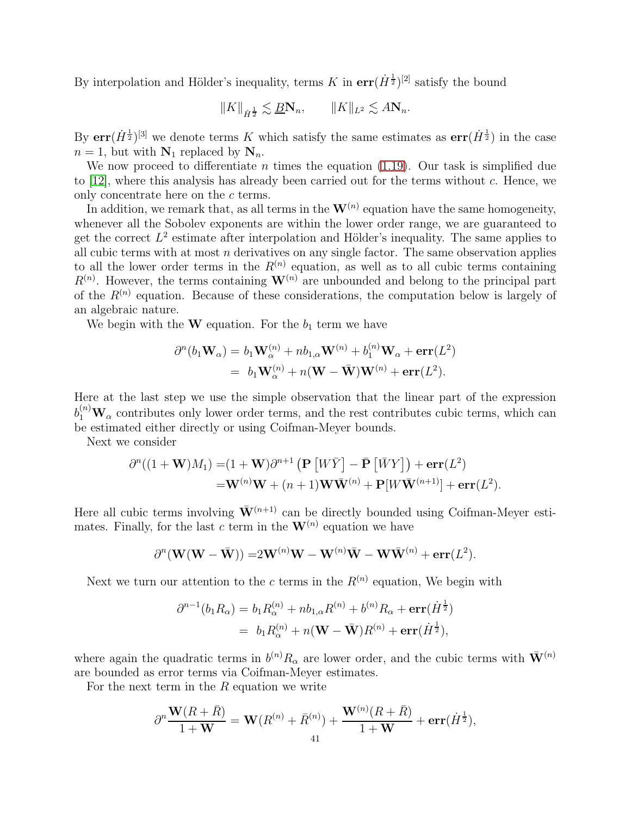By interpolation and Hölder's inequality, terms K in  $err(\dot{H}^{\frac{1}{2}})^{[2]}$  satisfy the bound

$$
||K||_{\dot{H}^{\frac{1}{2}}} \lesssim \underline{B} \mathbf{N}_n, \qquad ||K||_{L^2} \lesssim A \mathbf{N}_n.
$$

By  $err(\dot{H}^{\frac{1}{2}})^{3}$  we denote terms K which satisfy the same estimates as  $err(\dot{H}^{\frac{1}{2}})$  in the case  $n = 1$ , but with  $N_1$  replaced by  $N_n$ .

We now proceed to differentiate n times the equation  $(1.19)$ . Our task is simplified due to [\[12\]](#page-62-0), where this analysis has already been carried out for the terms without c. Hence, we only concentrate here on the c terms.

In addition, we remark that, as all terms in the  $\mathbf{W}^{(n)}$  equation have the same homogeneity, whenever all the Sobolev exponents are within the lower order range, we are guaranteed to get the correct  $L^2$  estimate after interpolation and Hölder's inequality. The same applies to all cubic terms with at most  $n$  derivatives on any single factor. The same observation applies to all the lower order terms in the  $R^{(n)}$  equation, as well as to all cubic terms containing  $R^{(n)}$ . However, the terms containing  $\mathbf{W}^{(n)}$  are unbounded and belong to the principal part of the  $R^{(n)}$  equation. Because of these considerations, the computation below is largely of an algebraic nature.

We begin with the **W** equation. For the  $b_1$  term we have

$$
\partial^n(b_1 \mathbf{W}_\alpha) = b_1 \mathbf{W}_\alpha^{(n)} + nb_{1,\alpha} \mathbf{W}^{(n)} + b_1^{(n)} \mathbf{W}_\alpha + \mathbf{err}(L^2)
$$
  
=  $b_1 \mathbf{W}_\alpha^{(n)} + n(\mathbf{W} - \bar{\mathbf{W}}) \mathbf{W}^{(n)} + \mathbf{err}(L^2).$ 

Here at the last step we use the simple observation that the linear part of the expression  $b_1^{(n)} \mathbf{W}_{\alpha}$  contributes only lower order terms, and the rest contributes cubic terms, which can be estimated either directly or using Coifman-Meyer bounds.

Next we consider

$$
\partial^{n}((1+\mathbf{W})M_{1}) = (1+\mathbf{W})\partial^{n+1} (\mathbf{P}[W\bar{Y}] - \bar{\mathbf{P}}[\bar{W}Y]) + \mathbf{err}(L^{2})
$$
  
=
$$
\mathbf{W}^{(n)}\mathbf{W} + (n+1)\mathbf{W}\bar{\mathbf{W}}^{(n)} + \mathbf{P}[W\bar{\mathbf{W}}^{(n+1)}] + \mathbf{err}(L^{2}).
$$

Here all cubic terms involving  $\bar{\mathbf{W}}^{(n+1)}$  can be directly bounded using Coifman-Meyer estimates. Finally, for the last c term in the  $\mathbf{W}^{(n)}$  equation we have

$$
\partial^n(\mathbf{W}(\mathbf{W}-\bar{\mathbf{W}})) = 2\mathbf{W}^{(n)}\mathbf{W} - \mathbf{W}^{(n)}\bar{\mathbf{W}} - \mathbf{W}\bar{\mathbf{W}}^{(n)} + \mathbf{err}(L^2).
$$

Next we turn our attention to the c terms in the  $R^{(n)}$  equation, We begin with

$$
\partial^{n-1}(b_1 R_\alpha) = b_1 R_\alpha^{(n)} + nb_{1,\alpha} R^{(n)} + b^{(n)} R_\alpha + \mathbf{err}(\dot{H}^{\frac{1}{2}})
$$
  
=  $b_1 R_\alpha^{(n)} + n(\mathbf{W} - \bar{\mathbf{W}}) R^{(n)} + \mathbf{err}(\dot{H}^{\frac{1}{2}}),$ 

where again the quadratic terms in  $b^{(n)}R_{\alpha}$  are lower order, and the cubic terms with  $\bar{\mathbf{W}}^{(n)}$ are bounded as error terms via Coifman-Meyer estimates.

For the next term in the  $R$  equation we write

$$
\partial^{n} \frac{\mathbf{W}(R+\bar{R})}{1+\mathbf{W}} = \mathbf{W}(R^{(n)} + \bar{R}^{(n)}) + \frac{\mathbf{W}^{(n)}(R+\bar{R})}{1+\mathbf{W}} + \mathbf{err}(\dot{H}^{\frac{1}{2}}),
$$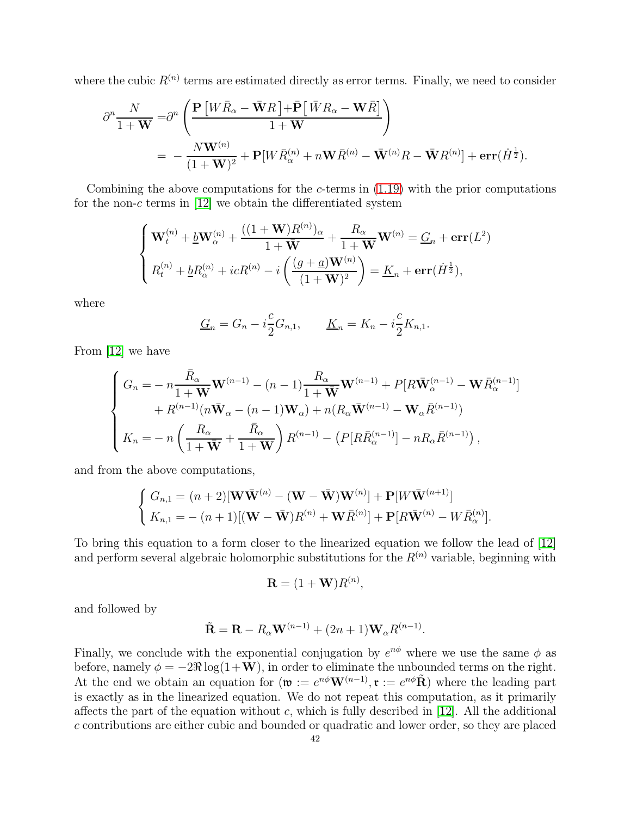where the cubic  $R^{(n)}$  terms are estimated directly as error terms. Finally, we need to consider

$$
\partial^{n} \frac{N}{1+\mathbf{W}} = \partial^{n} \left( \frac{\mathbf{P} \left[ W\bar{R}_{\alpha} - \bar{\mathbf{W}}R \right] + \bar{\mathbf{P}} \left[ \bar{W}R_{\alpha} - \mathbf{W}\bar{R} \right]}{1+\mathbf{W}} \right)
$$
  
= 
$$
- \frac{N\mathbf{W}^{(n)}}{(1+\mathbf{W})^{2}} + \mathbf{P} [W\bar{R}_{\alpha}^{(n)} + n\mathbf{W}\bar{R}^{(n)} - \bar{\mathbf{W}}^{(n)}R - \bar{\mathbf{W}}R^{(n)}] + \mathbf{err}(\dot{H}^{\frac{1}{2}}).
$$

Combining the above computations for the  $c$ -terms in  $(1.19)$  with the prior computations for the non- $c$  terms in [\[12\]](#page-62-0) we obtain the differentiated system

$$
\begin{cases} \mathbf{W}_{t}^{(n)} + \underline{b} \mathbf{W}_{\alpha}^{(n)} + \frac{((1 + \mathbf{W})R^{(n)})_{\alpha}}{1 + \bar{\mathbf{W}}} + \frac{R_{\alpha}}{1 + \mathbf{W}} \mathbf{W}^{(n)} = \underline{G}_{n} + \mathbf{err}(L^{2}) \\ R_{t}^{(n)} + \underline{b}R_{\alpha}^{(n)} + icR^{(n)} - i\left(\frac{(g + \underline{a})\mathbf{W}^{(n)}}{(1 + \mathbf{W})^{2}}\right) = \underline{K}_{n} + \mathbf{err}(\dot{H}^{\frac{1}{2}}), \end{cases}
$$

where

$$
\underline{G}_n = G_n - i \frac{c}{2} G_{n,1}, \qquad \underline{K}_n = K_n - i \frac{c}{2} K_{n,1}.
$$

From [\[12\]](#page-62-0) we have

$$
\begin{cases}\nG_n = -n\frac{\bar{R}_{\alpha}}{1 + \mathbf{W}}\mathbf{W}^{(n-1)} - (n-1)\frac{R_{\alpha}}{1 + \mathbf{W}}\mathbf{W}^{(n-1)} + P[R\bar{\mathbf{W}}_{\alpha}^{(n-1)} - \mathbf{W}\bar{R}_{\alpha}^{(n-1)}] \\
+ R^{(n-1)}(n\bar{\mathbf{W}}_{\alpha} - (n-1)\mathbf{W}_{\alpha}) + n(R_{\alpha}\bar{\mathbf{W}}^{(n-1)} - \mathbf{W}_{\alpha}\bar{R}^{(n-1)}) \\
K_n = -n\left(\frac{R_{\alpha}}{1 + \bar{\mathbf{W}}} + \frac{\bar{R}_{\alpha}}{1 + \mathbf{W}}\right)R^{(n-1)} - \left(P[R\bar{R}_{\alpha}^{(n-1)}] - nR_{\alpha}\bar{R}^{(n-1)}\right),\n\end{cases}
$$

and from the above computations,

$$
\begin{cases}\nG_{n,1} = (n+2)[\mathbf{W}\bar{\mathbf{W}}^{(n)} - (\mathbf{W} - \bar{\mathbf{W}})\mathbf{W}^{(n)}] + \mathbf{P}[W\bar{\mathbf{W}}^{(n+1)}] \\
K_{n,1} = -(n+1)[(\mathbf{W} - \bar{\mathbf{W}})R^{(n)} + \mathbf{W}\bar{R}^{(n)}] + \mathbf{P}[R\bar{\mathbf{W}}^{(n)} - W\bar{R}^{(n)}] .\n\end{cases}
$$

To bring this equation to a form closer to the linearized equation we follow the lead of [\[12\]](#page-62-0) and perform several algebraic holomorphic substitutions for the  $R^{(n)}$  variable, beginning with

$$
\mathbf{R} = (1 + \mathbf{W})R^{(n)},
$$

and followed by

$$
\tilde{\mathbf{R}} = \mathbf{R} - R_{\alpha} \mathbf{W}^{(n-1)} + (2n+1) \mathbf{W}_{\alpha} R^{(n-1)}.
$$

Finally, we conclude with the exponential conjugation by  $e^{n\phi}$  where we use the same  $\phi$  as before, namely  $\phi = -2\Re \log(1+\mathbf{W})$ , in order to eliminate the unbounded terms on the right. At the end we obtain an equation for  $(\mathfrak{w} := e^{n\phi} \mathbf{W}^{(n-1)}, \mathfrak{r} := e^{n\phi} \tilde{\mathbf{R}})$  where the leading part is exactly as in the linearized equation. We do not repeat this computation, as it primarily affects the part of the equation without c, which is fully described in  $[12]$ . All the additional c contributions are either cubic and bounded or quadratic and lower order, so they are placed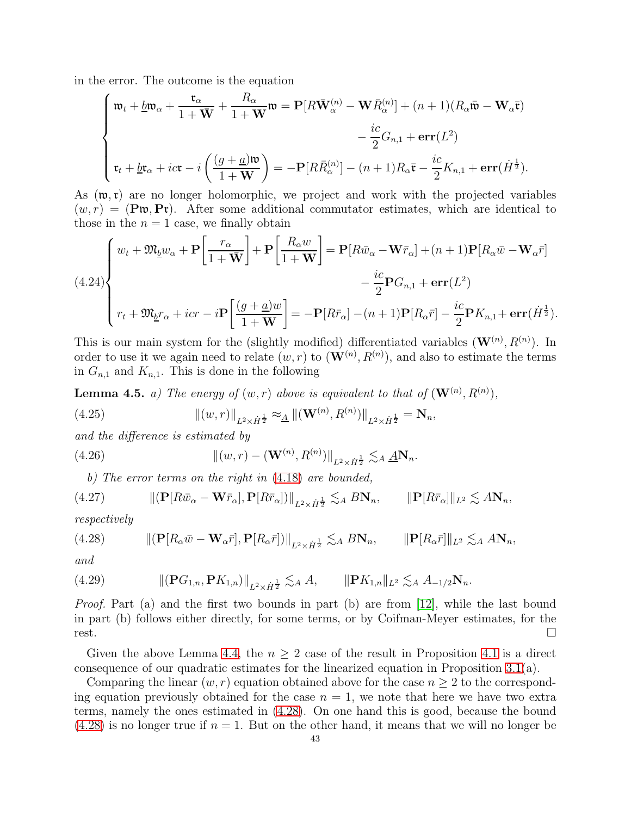in the error. The outcome is the equation

$$
\begin{cases}\n\mathfrak{w}_t + \underline{b}\mathfrak{w}_{\alpha} + \frac{\mathfrak{r}_{\alpha}}{1 + \bar{\mathbf{W}}} + \frac{R_{\alpha}}{1 + \mathbf{W}}\mathfrak{w} = \mathbf{P}[R\bar{\mathbf{W}}_{\alpha}^{(n)} - \mathbf{W}\bar{R}_{\alpha}^{(n)}] + (n+1)(R_{\alpha}\bar{\mathfrak{w}} - \mathbf{W}_{\alpha}\bar{\mathfrak{r}}) \\
-\frac{ic}{2}G_{n,1} + \mathbf{err}(L^2) \\
\mathfrak{r}_t + \underline{b}\mathfrak{r}_{\alpha} + ic\mathfrak{r} - i\left(\frac{(g + \underline{a})\mathfrak{w}}{1 + \mathbf{W}}\right) = -\mathbf{P}[R\bar{R}_{\alpha}^{(n)}] - (n+1)R_{\alpha}\bar{\mathfrak{r}} - \frac{ic}{2}K_{n,1} + \mathbf{err}(\dot{H}^{\frac{1}{2}}).\n\end{cases}
$$

As  $(\mathfrak{w}, \mathfrak{r})$  are no longer holomorphic, we project and work with the projected variables  $(w, r) = (P\mathfrak{w}, P\mathfrak{r})$ . After some additional commutator estimates, which are identical to those in the  $n = 1$  case, we finally obtain

<span id="page-42-1"></span>
$$
(4.24) \begin{cases} w_t + \mathfrak{M}_{\underline{b}} w_{\alpha} + \mathbf{P} \left[ \frac{r_{\alpha}}{1 + \bar{\mathbf{W}}} \right] + \mathbf{P} \left[ \frac{R_{\alpha} w}{1 + \mathbf{W}} \right] = \mathbf{P} [R \bar{w}_{\alpha} - \mathbf{W} \bar{r}_{\alpha}] + (n+1) \mathbf{P} [R_{\alpha} \bar{w} - \mathbf{W}_{\alpha} \bar{r}]
$$

$$
- \frac{ic}{2} \mathbf{P} G_{n,1} + \mathbf{err}(L^2)
$$

$$
r_t + \mathfrak{M}_{\underline{b}} r_{\alpha} + icr - i \mathbf{P} \left[ \frac{(g + \underline{a}) w}{1 + \mathbf{W}} \right] = -\mathbf{P} [R \bar{r}_{\alpha}] - (n+1) \mathbf{P} [R_{\alpha} \bar{r}] - \frac{ic}{2} \mathbf{P} K_{n,1} + \mathbf{err}(\dot{H}^{\frac{1}{2}}).
$$

This is our main system for the (slightly modified) differentiated variables  $(\mathbf{W}^{(n)}, R^{(n)})$ . In order to use it we again need to relate  $(w, r)$  to  $(\mathbf{W}^{(n)}, R^{(n)})$ , and also to estimate the terms in  $G_{n,1}$  and  $K_{n,1}$ . This is done in the following

**Lemma 4.5.** a) The energy of  $(w, r)$  above is equivalent to that of  $(\mathbf{W}^{(n)}, R^{(n)})$ ,

(4.25) 
$$
\| (w,r) \|_{L^2 \times \dot{H}^{\frac{1}{2}}} \approx_{\underline{A}} \| (\mathbf{W}^{(n)}, R^{(n)}) \|_{L^2 \times \dot{H}^{\frac{1}{2}}} = \mathbf{N}_n,
$$

and the difference is estimated by

(4.26) 
$$
\| (w, r) - (\mathbf{W}^{(n)}, R^{(n)}) \|_{L^2 \times \dot{H}^{\frac{1}{2}}} \lesssim_A \underline{A} \mathbf{N}_n.
$$

b) The error terms on the right in [\(4.18\)](#page-38-0) are bounded,

(4.27) 
$$
\|(\mathbf{P}[R\bar{w}_{\alpha}-\mathbf{W}\bar{r}_{\alpha}],\mathbf{P}[R\bar{r}_{\alpha}])\|_{L^{2}\times\dot{H}^{\frac{1}{2}}}\lesssim_{A}B\mathbf{N}_{n},\qquad\|\mathbf{P}[R\bar{r}_{\alpha}]\|_{L^{2}}\lesssim A\mathbf{N}_{n},
$$

respectively

<span id="page-42-0"></span>(4.28) 
$$
\|(\mathbf{P}[R_{\alpha}\bar{w}-\mathbf{W}_{\alpha}\bar{r}],\mathbf{P}[R_{\alpha}\bar{r}])\|_{L^2\times\dot{H}^{\frac{1}{2}}}\lesssim_A BN_n, \qquad \|\mathbf{P}[R_{\alpha}\bar{r}]\|_{L^2}\lesssim_A AN_n,
$$

and

(4.29) 
$$
\|(\mathbf{P}G_{1,n}, \mathbf{P}K_{1,n})\|_{L^2 \times \dot{H}^{\frac{1}{2}}} \lesssim_A A, \qquad \|\mathbf{P}K_{1,n}\|_{L^2} \lesssim_A A_{-1/2} \mathbf{N}_n.
$$

*Proof.* Part (a) and the first two bounds in part (b) are from  $|12|$ , while the last bound in part (b) follows either directly, for some terms, or by Coifman-Meyer estimates, for the  $r$ est.

Given the above Lemma [4.4,](#page-38-1) the  $n \geq 2$  case of the result in Proposition [4.1](#page-29-1) is a direct consequence of our quadratic estimates for the linearized equation in Proposition [3.1\(](#page-19-1)a).

Comparing the linear  $(w, r)$  equation obtained above for the case  $n \geq 2$  to the corresponding equation previously obtained for the case  $n = 1$ , we note that here we have two extra terms, namely the ones estimated in [\(4.28\)](#page-42-0). On one hand this is good, because the bound  $(4.28)$  is no longer true if  $n = 1$ . But on the other hand, it means that we will no longer be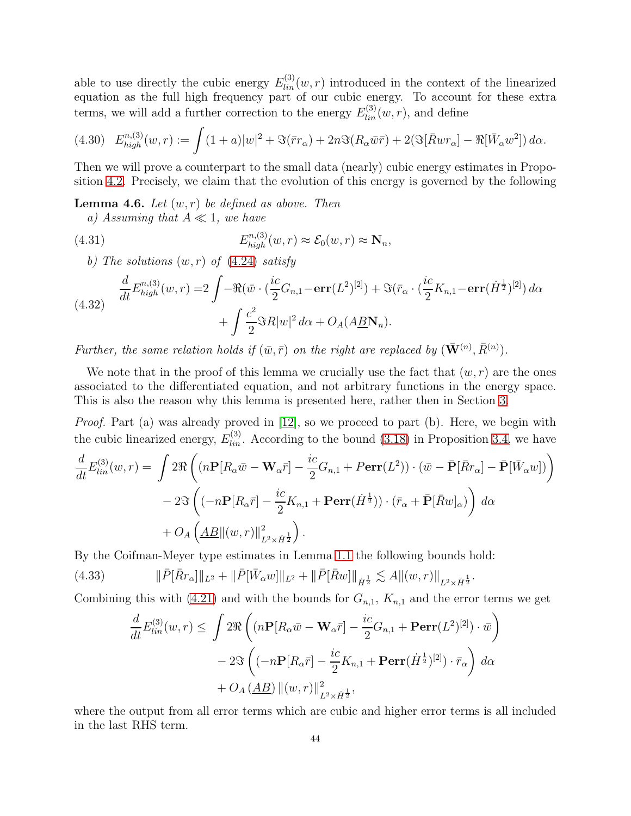able to use directly the cubic energy  $E_{lin}^{(3)}(w,r)$  introduced in the context of the linearized equation as the full high frequency part of our cubic energy. To account for these extra terms, we will add a further correction to the energy  $E_{lin}^{(3)}(w,r)$ , and define

<span id="page-43-2"></span>
$$
(4.30) \quad E_{high}^{n,(3)}(w,r) := \int (1+a)|w|^2 + \Im(\bar{r}r_{\alpha}) + 2n\Im(R_{\alpha}\bar{w}\bar{r}) + 2(\Im[\bar{R}wr_{\alpha}] - \Re[\bar{W}_{\alpha}w^2])\,d\alpha.
$$

Then we will prove a counterpart to the small data (nearly) cubic energy estimates in Proposition [4.2.](#page-29-2) Precisely, we claim that the evolution of this energy is governed by the following

<span id="page-43-0"></span>**Lemma 4.6.** Let  $(w, r)$  be defined as above. Then a) Assuming that  $A \ll 1$ , we have

(4.31) 
$$
E_{high}^{n, (3)}(w, r) \approx \mathcal{E}_0(w, r) \approx \mathbf{N}_n,
$$

<span id="page-43-3"></span>b) The solutions  $(w, r)$  of  $(4.24)$  satisfy

<span id="page-43-1"></span>
$$
\frac{d}{dt} E_{high}^{n,(3)}(w,r) = 2 \int -\Re(\bar{w} \cdot (\frac{ic}{2} G_{n,1} - \mathbf{err}(L^2)^{[2]}) + \Im(\bar{r}_{\alpha} \cdot (\frac{ic}{2} K_{n,1} - \mathbf{err}(\dot{H}^{\frac{1}{2}})^{[2]}) d\alpha + \int \frac{c^2}{2} \Im R |w|^2 d\alpha + O_A(A \underline{B} \mathbf{N}_n).
$$

Further, the same relation holds if  $(\bar{w}, \bar{r})$  on the right are replaced by  $(\bar{\mathbf{W}}^{(n)}, \bar{R}^{(n)})$ .

We note that in the proof of this lemma we crucially use the fact that  $(w, r)$  are the ones associated to the differentiated equation, and not arbitrary functions in the energy space. This is also the reason why this lemma is presented here, rather then in Section [3.](#page-16-0)

Proof. Part (a) was already proved in [\[12\]](#page-62-0), so we proceed to part (b). Here, we begin with the cubic linearized energy,  $E_{lin}^{(3)}$ . According to the bound [\(3.18\)](#page-24-1) in Proposition [3.4,](#page-24-0) we have

$$
\frac{d}{dt}E_{lin}^{(3)}(w,r) = \int 2\Re\left((n\mathbf{P}[R_{\alpha}\bar{w} - \mathbf{W}_{\alpha}\bar{r}] - \frac{ic}{2}G_{n,1} + P\mathbf{err}(L^2)) \cdot (\bar{w} - \bar{\mathbf{P}}[\bar{R}r_{\alpha}] - \bar{\mathbf{P}}[\bar{W}_{\alpha}w])\right) \n- 2\Im\left((-n\mathbf{P}[R_{\alpha}\bar{r}] - \frac{ic}{2}K_{n,1} + P\mathbf{err}(\dot{H}^{\frac{1}{2}})) \cdot (\bar{r}_{\alpha} + \bar{\mathbf{P}}[\bar{R}w]_{\alpha})\right) d\alpha \n+ O_A\left(\underline{AB}||(w,r)||^2_{L^2 \times \dot{H}^{\frac{1}{2}}}\right).
$$

By the Coifman-Meyer type estimates in Lemma [1.1](#page-54-2) the following bounds hold:

(4.33) 
$$
\|\bar{P}[\bar{R}r_{\alpha}]\|_{L^{2}} + \|\bar{P}[\bar{W}_{\alpha}w]\|_{L^{2}} + \|\bar{P}[\bar{R}w]\|_{\dot{H}^{\frac{1}{2}}} \lesssim A \| (w,r) \|_{L^{2} \times \dot{H}^{\frac{1}{2}}}
$$

Combining this with [\(4.21\)](#page-38-2) and with the bounds for  $G_{n,1}$ ,  $K_{n,1}$  and the error terms we get

.

$$
\frac{d}{dt}E_{lin}^{(3)}(w,r) \leq \int 2\Re\left((n\mathbf{P}[R_{\alpha}\bar{w}-\mathbf{W}_{\alpha}\bar{r}] - \frac{ic}{2}G_{n,1} + \mathbf{Perr}(L^2)^{[2]}) \cdot \bar{w}\right) \n- 2\Im\left((-n\mathbf{P}[R_{\alpha}\bar{r}] - \frac{ic}{2}K_{n,1} + \mathbf{Perr}(\dot{H}^{\frac{1}{2}})^{[2]}) \cdot \bar{r}_{\alpha}\right) d\alpha \n+ O_A(\underline{AB}) ||(w,r)||^2_{L^2 \times \dot{H}^{\frac{1}{2}}},
$$

where the output from all error terms which are cubic and higher error terms is all included in the last RHS term.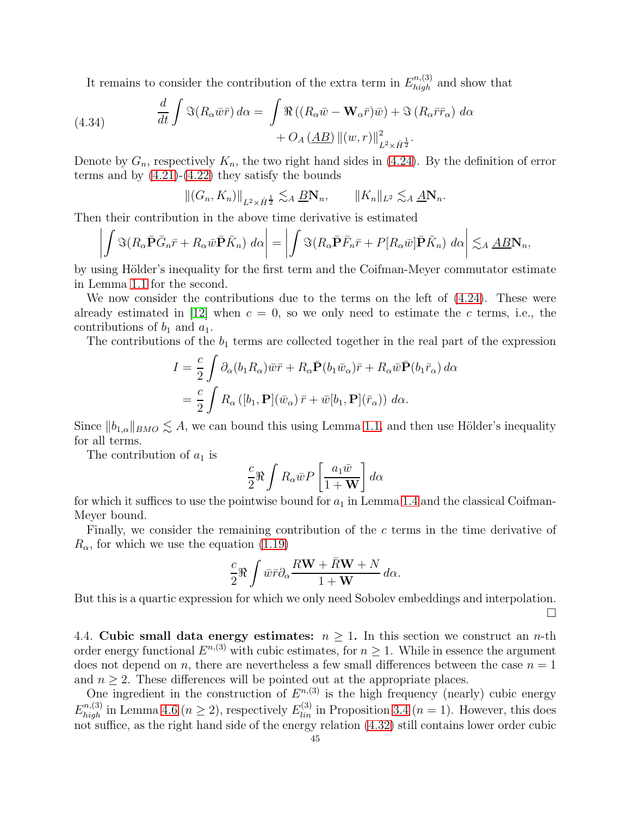It remains to consider the contribution of the extra term in  $E_{high}^{n,(3)}$  and show that

(4.34) 
$$
\frac{d}{dt} \int \Im(R_{\alpha} \overline{w} \overline{r}) d\alpha = \int \Re((R_{\alpha} \overline{w} - \mathbf{W}_{\alpha} \overline{r}) \overline{w}) + \Im(R_{\alpha} \overline{r} \overline{r}_{\alpha}) d\alpha + O_A(\underline{AB}) ||(w, r)||^2_{L^2 \times \dot{H}^{\frac{1}{2}}}.
$$

Denote by  $G_n$ , respectively  $K_n$ , the two right hand sides in [\(4.24\)](#page-42-1). By the definition of error terms and by  $(4.21)-(4.22)$  $(4.21)-(4.22)$  they satisfy the bounds

$$
||(G_n, K_n)||_{L^2 \times \dot{H}^{\frac{1}{2}}} \lesssim_A \underline{B} \mathbf{N}_n, \qquad ||K_n||_{L^2} \lesssim_A \underline{A} \mathbf{N}_n.
$$

Then their contribution in the above time derivative is estimated

$$
\left| \int \Im(R_{\alpha} \bar{\mathbf{P}} \bar{G}_{n} \bar{r} + R_{\alpha} \bar{w} \bar{\mathbf{P}} \bar{K}_{n}) \, d\alpha \right| = \left| \int \Im(R_{\alpha} \bar{\mathbf{P}} \bar{F}_{n} \bar{r} + P[R_{\alpha} \bar{w}] \bar{\mathbf{P}} \bar{K}_{n}) \, d\alpha \right| \lesssim_{A} \underline{AB} \mathbf{N}_{n},
$$

by using Hölder's inequality for the first term and the Coifman-Meyer commutator estimate in Lemma [1.1](#page-54-2) for the second.

We now consider the contributions due to the terms on the left of [\(4.24\)](#page-42-1). These were already estimated in [\[12\]](#page-62-0) when  $c = 0$ , so we only need to estimate the c terms, i.e., the contributions of  $b_1$  and  $a_1$ .

The contributions of the  $b_1$  terms are collected together in the real part of the expression

$$
I = \frac{c}{2} \int \partial_{\alpha} (b_1 R_{\alpha}) \bar{w} \bar{r} + R_{\alpha} \bar{P} (b_1 \bar{w}_{\alpha}) \bar{r} + R_{\alpha} \bar{w} \bar{P} (b_1 \bar{r}_{\alpha}) d\alpha
$$
  
=  $\frac{c}{2} \int R_{\alpha} ([b_1, \mathbf{P}] (\bar{w}_{\alpha}) \bar{r} + \bar{w} [b_1, \mathbf{P}] (\bar{r}_{\alpha})) d\alpha.$ 

Since  $||b_{1,\alpha}||_{BMO} \lesssim A$ , we can bound this using Lemma [1.1,](#page-54-2) and then use Hölder's inequality for all terms.

The contribution of  $a_1$  is

$$
\frac{c}{2} \Re \int R_{\alpha} \bar{w} P \left[ \frac{a_1 \bar{w}}{1 + \mathbf{W}} \right] d\alpha
$$

for which it suffices to use the pointwise bound for  $a_1$  in Lemma [1.4](#page-55-1) and the classical Coifman-Meyer bound.

Finally, we consider the remaining contribution of the c terms in the time derivative of  $R_{\alpha}$ , for which we use the equation [\(1.19\)](#page-6-0)

$$
\frac{c}{2}\Re \int \bar{w}\bar{r}\partial_{\alpha}\frac{R{\bf W}+\bar{R}{\bf W}+N}{1+{\bf W}}\,d{\alpha}.
$$

But this is a quartic expression for which we only need Sobolev embeddings and interpolation.

 $\Box$ 

4.4. Cubic small data energy estimates:  $n \geq 1$ . In this section we construct an *n*-th order energy functional  $E^{n,(3)}$  with cubic estimates, for  $n \geq 1$ . While in essence the argument does not depend on n, there are nevertheless a few small differences between the case  $n = 1$ and  $n \geq 2$ . These differences will be pointed out at the appropriate places.

One ingredient in the construction of  $E^{n,(3)}$  is the high frequency (nearly) cubic energy  $E_{high}^{n,(3)}$  in Lemma [4.6](#page-43-0) ( $n \ge 2$ ), respectively  $E_{lin}^{(3)}$  in Proposition [3.4](#page-24-0) ( $n = 1$ ). However, this does not suffice, as the right hand side of the energy relation [\(4.32\)](#page-43-1) still contains lower order cubic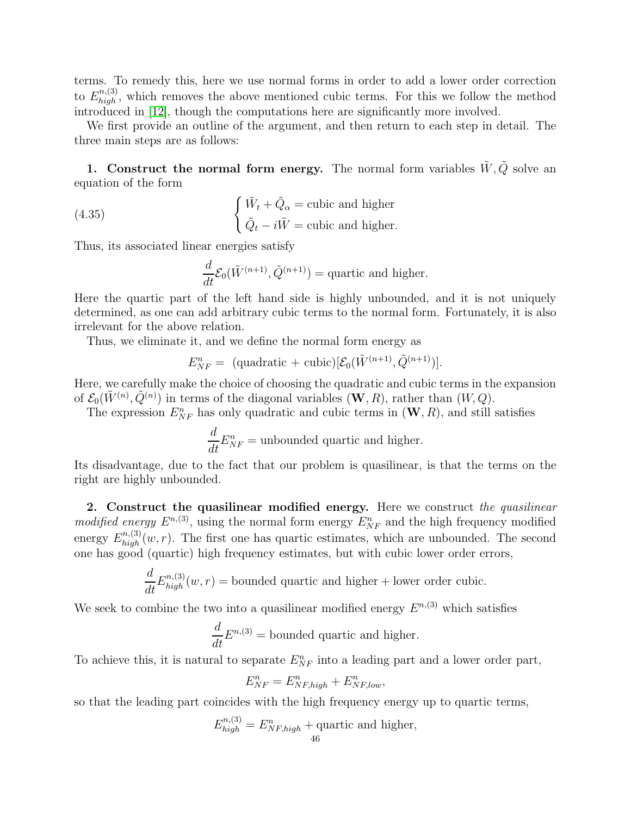terms. To remedy this, here we use normal forms in order to add a lower order correction to  $E_{high}^{n,(3)}$ , which removes the above mentioned cubic terms. For this we follow the method introduced in [\[12\]](#page-62-0), though the computations here are significantly more involved.

We first provide an outline of the argument, and then return to each step in detail. The three main steps are as follows:

1. Construct the normal form energy. The normal form variables  $\tilde{W}, \tilde{Q}$  solve an equation of the form

(4.35) 
$$
\begin{cases} \tilde{W}_t + \tilde{Q}_\alpha = \text{cubic and higher} \\ \tilde{Q}_t - i\tilde{W} = \text{cubic and higher.} \end{cases}
$$

Thus, its associated linear energies satisfy

$$
\frac{d}{dt}\mathcal{E}_0(\tilde{W}^{(n+1)}, \tilde{Q}^{(n+1)}) = \text{quartic and higher.}
$$

Here the quartic part of the left hand side is highly unbounded, and it is not uniquely determined, as one can add arbitrary cubic terms to the normal form. Fortunately, it is also irrelevant for the above relation.

Thus, we eliminate it, and we define the normal form energy as

$$
E_{NF}^n = \left(\text{quadratic} + \text{cubic}\right)[\mathcal{E}_0(\tilde{W}^{(n+1)}, \tilde{Q}^{(n+1)})].
$$

Here, we carefully make the choice of choosing the quadratic and cubic terms in the expansion of  $\mathcal{E}_0(\tilde{W}^{(n)}, \tilde{Q}^{(n)})$  in terms of the diagonal variables  $(\mathbf{W}, R)$ , rather than  $(W, Q)$ .

The expression  $E_{NF}^n$  has only quadratic and cubic terms in  $(\mathbf{W}, R)$ , and still satisfies

$$
\frac{d}{dt}E_{NF}^{n}=\text{unbounded quartic and higher}.
$$

Its disadvantage, due to the fact that our problem is quasilinear, is that the terms on the right are highly unbounded.

2. Construct the quasilinear modified energy. Here we construct the quasilinear modified energy  $E^{n,(3)}$ , using the normal form energy  $E_{NF}^n$  and the high frequency modified energy  $E_{high}^{n,(3)}(w,r)$ . The first one has quartic estimates, which are unbounded. The second one has good (quartic) high frequency estimates, but with cubic lower order errors,

$$
\frac{d}{dt}E_{high}^{n,(3)}(w,r) = \text{bounded quartic and higher + lower order cubic.}
$$

We seek to combine the two into a quasilinear modified energy  $E^{n,(3)}$  which satisfies

$$
\frac{d}{dt}E^{n,(3)} = \text{bounded quartic and higher.}
$$

To achieve this, it is natural to separate  $E_{NF}^n$  into a leading part and a lower order part,

$$
E_{NF}^n = E_{NF,high}^n + E_{NF,low}^n,
$$

so that the leading part coincides with the high frequency energy up to quartic terms,

$$
E_{high}^{n,(3)} = E_{NF,high}^{n} + \text{quartic and higher},
$$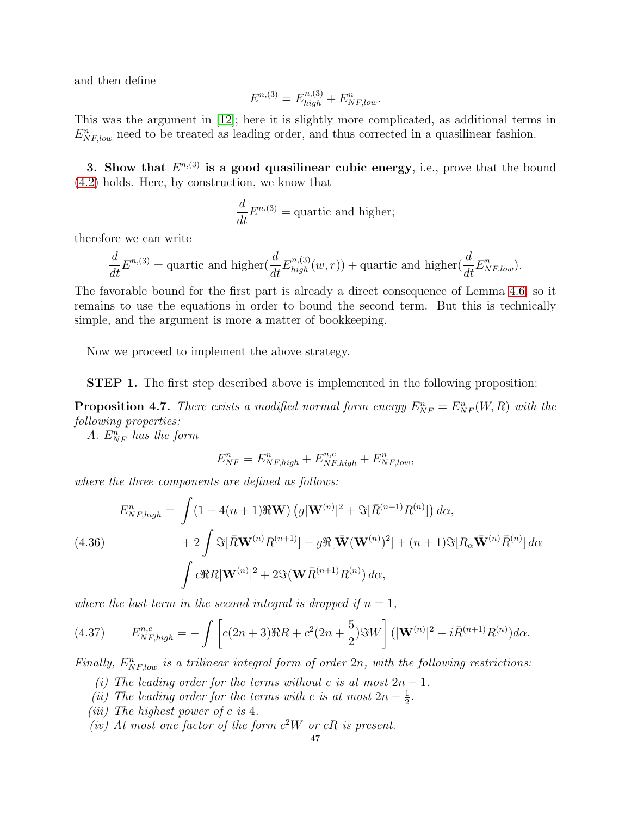and then define

$$
E^{n,(3)} = E^{n,(3)}_{high} + E^{n}_{NF,low}.
$$

This was the argument in [\[12\]](#page-62-0); here it is slightly more complicated, as additional terms in  $E_{NF,low}^{n}$  need to be treated as leading order, and thus corrected in a quasilinear fashion.

3. Show that  $E^{n,(3)}$  is a good quasilinear cubic energy, i.e., prove that the bound [\(4.2\)](#page-30-0) holds. Here, by construction, we know that

$$
\frac{d}{dt}E^{n,(3)} = \text{quartic and higher};
$$

therefore we can write

$$
\frac{d}{dt}E^{n,(3)} = \text{quartic and higher}(\frac{d}{dt}E^{n,(3)}_{high}(w,r)) + \text{quartic and higher}(\frac{d}{dt}E^{n}_{NF,low}).
$$

The favorable bound for the first part is already a direct consequence of Lemma [4.6,](#page-43-0) so it remains to use the equations in order to bound the second term. But this is technically simple, and the argument is more a matter of bookkeeping.

Now we proceed to implement the above strategy.

**STEP 1.** The first step described above is implemented in the following proposition:

**Proposition 4.7.** There exists a modified normal form energy  $E_{NF}^n = E_{NF}^n(W, R)$  with the following properties:

A.  $E_{NF}^n$  has the form

$$
E_{NF}^n = E_{NF,high}^n + E_{NF,high}^{n,c} + E_{NF,low}^n,
$$

where the three components are defined as follows:

$$
E_{NF,high}^{n} = \int (1 - 4(n+1) \Re \mathbf{W}) \left( g |\mathbf{W}^{(n)}|^{2} + \Im[\bar{R}^{(n+1)} R^{(n)}] \right) d\alpha,
$$
  
(4.36)
$$
+ 2 \int \Im[\bar{R} \mathbf{W}^{(n)} R^{(n+1)}] - g \Re[\bar{\mathbf{W}} (\mathbf{W}^{(n)})^{2}] + (n+1) \Im[R_{\alpha} \bar{\mathbf{W}}^{(n)} \bar{R}^{(n)}] d\alpha
$$

$$
\int c \Re R |\mathbf{W}^{(n)}|^{2} + 2 \Im(\mathbf{W} \bar{R}^{(n+1)} R^{(n)}) d\alpha,
$$

where the last term in the second integral is dropped if  $n = 1$ ,

(4.37) 
$$
E_{NF,high}^{n,c} = -\int \left[ c(2n+3) \Re R + c^2 (2n+\frac{5}{2}) \Im W \right] (|\mathbf{W}^{(n)}|^2 - i \bar{R}^{(n+1)} R^{(n)}) d\alpha.
$$

Finally,  $E_{NF,low}^n$  is a trilinear integral form of order  $2n$ , with the following restrictions:

- (i) The leading order for the terms without c is at most  $2n-1$ .
- (ii) The leading order for the terms with c is at most  $2n \frac{1}{2}$  $\frac{1}{2}$ .
- (*iii*) The highest power of  $c$  is 4.
- (iv) At most one factor of the form  $c^2W$  or  $cR$  is present.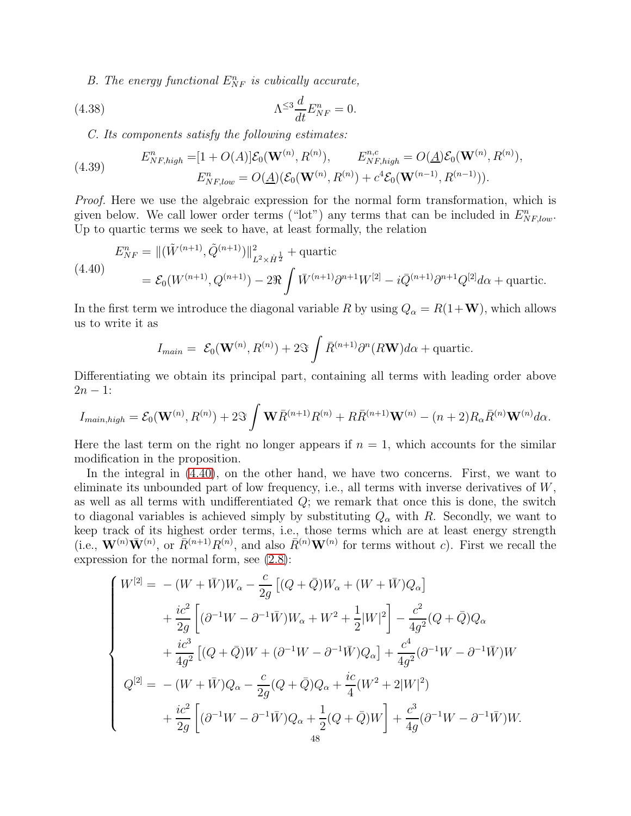B. The energy functional  $E_{NF}^{n}$  is cubically accurate,

(4.38) 
$$
\Lambda^{\leq 3} \frac{d}{dt} E_{NF}^n = 0.
$$

<span id="page-47-2"></span><span id="page-47-1"></span>C. Its components satisfy the following estimates:

(4.39) 
$$
E_{NF,high}^{n} = [1 + O(A)]\mathcal{E}_{0}(\mathbf{W}^{(n)}, R^{(n)}), \qquad E_{NF,high}^{n,c} = O(\underline{A})\mathcal{E}_{0}(\mathbf{W}^{(n)}, R^{(n)}),
$$

$$
E_{NF,low}^{n} = O(\underline{A})(\mathcal{E}_{0}(\mathbf{W}^{(n)}, R^{(n)}) + c^{4}\mathcal{E}_{0}(\mathbf{W}^{(n-1)}, R^{(n-1)})).
$$

Proof. Here we use the algebraic expression for the normal form transformation, which is given below. We call lower order terms ("lot") any terms that can be included in  $E_{NF,low}^n$ . Up to quartic terms we seek to have, at least formally, the relation

<span id="page-47-0"></span>
$$
E_{NF}^{n} = ||(\tilde{W}^{(n+1)}, \tilde{Q}^{(n+1)})||_{L^{2} \times \dot{H}^{\frac{1}{2}}}^{2} + \text{quartic}
$$
  
(4.40)  

$$
= \mathcal{E}_{0}(W^{(n+1)}, Q^{(n+1)}) - 2\Re \int \bar{W}^{(n+1)} \partial^{n+1} W^{[2]} - i \bar{Q}^{(n+1)} \partial^{n+1} Q^{[2]} d\alpha + \text{quartic.}
$$

In the first term we introduce the diagonal variable R by using  $Q_{\alpha} = R(1 + W)$ , which allows us to write it as

$$
I_{\text{main}} = \mathcal{E}_0(\mathbf{W}^{(n)}, R^{(n)}) + 2\Im \int \bar{R}^{(n+1)} \partial^n (R\mathbf{W}) d\alpha + \text{quartic}.
$$

Differentiating we obtain its principal part, containing all terms with leading order above  $2n - 1$ :

$$
I_{main,high} = \mathcal{E}_0(\mathbf{W}^{(n)}, R^{(n)}) + 2\Im \int \mathbf{W} \bar{R}^{(n+1)} R^{(n)} + R \bar{R}^{(n+1)} \mathbf{W}^{(n)} - (n+2) R_\alpha \bar{R}^{(n)} \mathbf{W}^{(n)} d\alpha.
$$

Here the last term on the right no longer appears if  $n = 1$ , which accounts for the similar modification in the proposition.

In the integral in [\(4.40\)](#page-47-0), on the other hand, we have two concerns. First, we want to eliminate its unbounded part of low frequency, i.e., all terms with inverse derivatives of W, as well as all terms with undifferentiated  $Q$ ; we remark that once this is done, the switch to diagonal variables is achieved simply by substituting  $Q_{\alpha}$  with R. Secondly, we want to keep track of its highest order terms, i.e., those terms which are at least energy strength (i.e.,  $\mathbf{W}^{(n)}\overline{\mathbf{W}}^{(n)}$ , or  $\overline{R}^{(n+1)}R^{(n)}$ , and also  $\overline{R}^{(n)}\mathbf{W}^{(n)}$  for terms without c). First we recall the expression for the normal form, see [\(2.8\)](#page-12-0):

$$
\begin{cases}\nW^{[2]} = -\left(W + \bar{W}\right)W_{\alpha} - \frac{c}{2g}\left[(Q + \bar{Q})W_{\alpha} + (W + \bar{W})Q_{\alpha}\right] \\
+ \frac{ic^{2}}{2g}\left[ (\partial^{-1}W - \partial^{-1}\bar{W})W_{\alpha} + W^{2} + \frac{1}{2}|W|^{2}\right] - \frac{c^{2}}{4g^{2}}(Q + \bar{Q})Q_{\alpha} \\
+ \frac{ic^{3}}{4g^{2}}\left[ (Q + \bar{Q})W + (\partial^{-1}W - \partial^{-1}\bar{W})Q_{\alpha}\right] + \frac{c^{4}}{4g^{2}}(\partial^{-1}W - \partial^{-1}\bar{W})W \\
Q^{[2]} = -(W + \bar{W})Q_{\alpha} - \frac{c}{2g}(Q + \bar{Q})Q_{\alpha} + \frac{ic}{4}(W^{2} + 2|W|^{2}) \\
+ \frac{ic^{2}}{2g}\left[ (\partial^{-1}W - \partial^{-1}\bar{W})Q_{\alpha} + \frac{1}{2}(Q + \bar{Q})W\right] + \frac{c^{3}}{4g}(\partial^{-1}W - \partial^{-1}\bar{W})W.\n\end{cases}
$$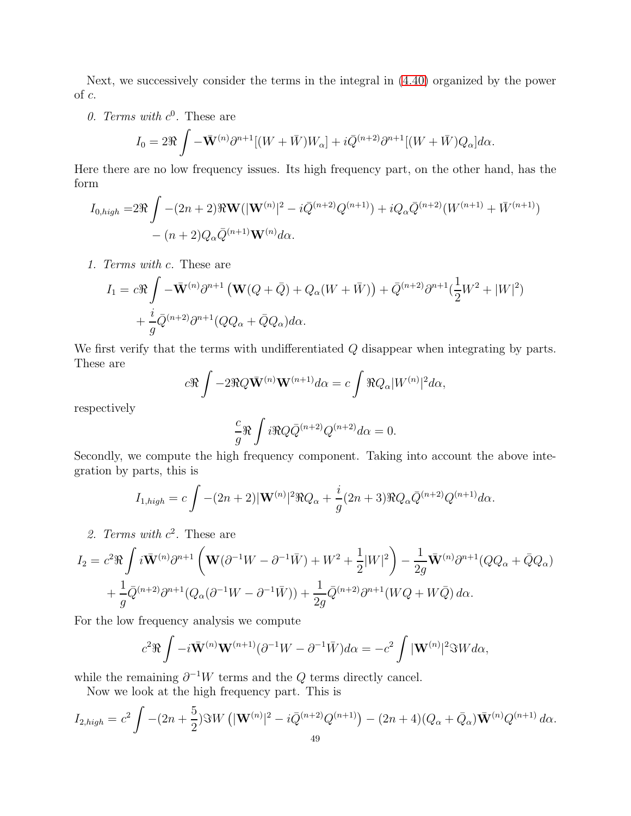Next, we successively consider the terms in the integral in [\(4.40\)](#page-47-0) organized by the power of c.

0. Terms with  $c^0$ . These are

$$
I_0 = 2\Re \int -\bar{\mathbf{W}}^{(n)} \partial^{n+1} [(W+\bar{W})W_\alpha] + i \bar{Q}^{(n+2)} \partial^{n+1} [(W+\bar{W})Q_\alpha] d\alpha.
$$

Here there are no low frequency issues. Its high frequency part, on the other hand, has the form

$$
I_{0,high} = 2\Re \int -(2n+2)\Re \mathbf{W}(|\mathbf{W}^{(n)}|^2 - i\bar{Q}^{(n+2)}Q^{(n+1)}) + iQ_{\alpha}\bar{Q}^{(n+2)}(W^{(n+1)} + \bar{W}^{(n+1)}) - (n+2)Q_{\alpha}\bar{Q}^{(n+1)}\mathbf{W}^{(n)}d\alpha.
$$

1. Terms with c. These are

$$
I_1 = c\Re \int -\bar{\mathbf{W}}^{(n)} \partial^{n+1} \left( \mathbf{W}(Q + \bar{Q}) + Q_\alpha(W + \bar{W}) \right) + \bar{Q}^{(n+2)} \partial^{n+1} \left( \frac{1}{2} W^2 + |W|^2 \right) + \frac{i}{g} \bar{Q}^{(n+2)} \partial^{n+1} (QQ_\alpha + \bar{Q}Q_\alpha) d\alpha.
$$

We first verify that the terms with undifferentiated Q disappear when integrating by parts. These are

$$
c\Re \int -2\Re Q \bar{\mathbf{W}}^{(n)} \mathbf{W}^{(n+1)} d\alpha = c \int \Re Q_{\alpha} |W^{(n)}|^{2} d\alpha,
$$

respectively

$$
\frac{c}{g}\Re \int i\Re Q \bar{Q}^{(n+2)}Q^{(n+2)} d\alpha = 0.
$$

Secondly, we compute the high frequency component. Taking into account the above integration by parts, this is

$$
I_{1,high} = c \int -(2n+2)|\mathbf{W}^{(n)}|^2 \Re Q_{\alpha} + \frac{i}{g}(2n+3) \Re Q_{\alpha} \bar{Q}^{(n+2)} Q^{(n+1)} d\alpha.
$$

2. Terms with  $c^2$ . These are

$$
I_2 = c^2 \Re \int i \bar{\mathbf{W}}^{(n)} \partial^{n+1} \left( \mathbf{W} (\partial^{-1} W - \partial^{-1} \bar{W}) + W^2 + \frac{1}{2} |W|^2 \right) - \frac{1}{2g} \bar{\mathbf{W}}^{(n)} \partial^{n+1} (QQ_\alpha + \bar{Q}Q_\alpha) + \frac{1}{g} \bar{Q}^{(n+2)} \partial^{n+1} (Q_\alpha (\partial^{-1} W - \partial^{-1} \bar{W})) + \frac{1}{2g} \bar{Q}^{(n+2)} \partial^{n+1} (WQ + W\bar{Q}) d\alpha.
$$

For the low frequency analysis we compute

$$
c^2 \Re \int -i \bar{\mathbf{W}}^{(n)} \mathbf{W}^{(n+1)} (\partial^{-1} W - \partial^{-1} \bar{W}) d\alpha = -c^2 \int |\mathbf{W}^{(n)}|^2 \Im W d\alpha,
$$

while the remaining  $\partial^{-1}W$  terms and the Q terms directly cancel.

Now we look at the high frequency part. This is

$$
I_{2,high} = c^2 \int -(2n+\frac{5}{2})\Im W\left(|\mathbf{W}^{(n)}|^2 - i\bar{Q}^{(n+2)}Q^{(n+1)}\right) - (2n+4)(Q_\alpha + \bar{Q}_\alpha)\bar{\mathbf{W}}^{(n)}Q^{(n+1)}\,d\alpha.
$$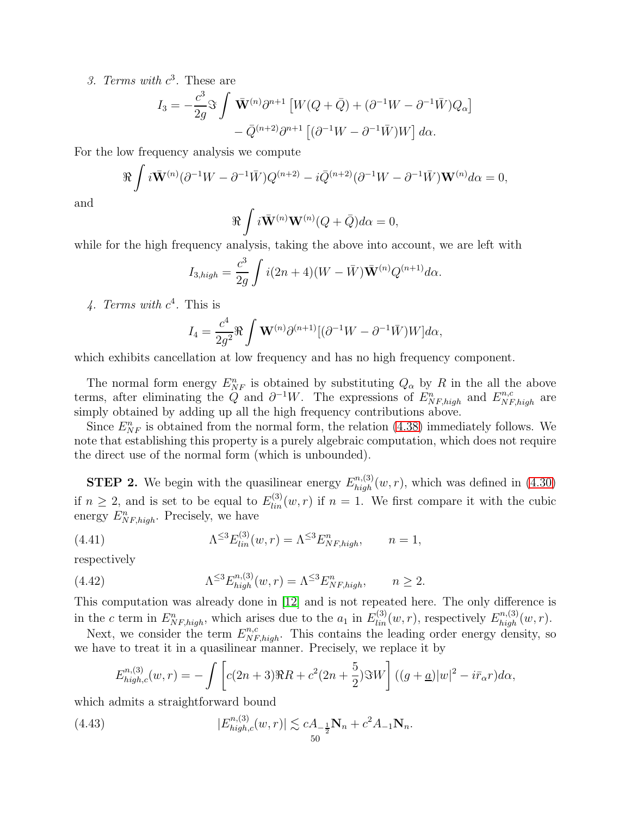3. Terms with  $c^3$ . These are

$$
I_3 = -\frac{c^3}{2g} \mathfrak{F} \int \overline{\mathbf{W}}^{(n)} \partial^{n+1} \left[ W(Q + \overline{Q}) + (\partial^{-1} W - \partial^{-1} \overline{W}) Q_\alpha \right] - \overline{Q}^{(n+2)} \partial^{n+1} \left[ (\partial^{-1} W - \partial^{-1} \overline{W}) W \right] d\alpha.
$$

For the low frequency analysis we compute

$$
\Re \int i\bar{\mathbf{W}}^{(n)}(\partial^{-1}W - \partial^{-1}\bar{W})Q^{(n+2)} - i\bar{Q}^{(n+2)}(\partial^{-1}W - \partial^{-1}\bar{W})\mathbf{W}^{(n)}d\alpha = 0,
$$

and

$$
\Re \int i \bar{\mathbf{W}}^{(n)} \mathbf{W}^{(n)}(Q + \bar{Q}) d\alpha = 0,
$$

while for the high frequency analysis, taking the above into account, we are left with

$$
I_{3,high} = \frac{c^3}{2g} \int i(2n+4)(W - \bar{W}) \bar{\mathbf{W}}^{(n)} Q^{(n+1)} d\alpha.
$$

4. Terms with  $c^4$ . This is

$$
I_4 = \frac{c^4}{2g^2} \Re \int \mathbf{W}^{(n)} \partial^{(n+1)} [(\partial^{-1} W - \partial^{-1} \bar{W}) W] d\alpha,
$$

which exhibits cancellation at low frequency and has no high frequency component.

The normal form energy  $E_{NF}^n$  is obtained by substituting  $Q_{\alpha}$  by R in the all the above terms, after eliminating the  $\hat{Q}$  and  $\partial^{-1}W$ . The expressions of  $E^n_{NF,high}$  and  $E^{n,c}_{NF,high}$  are simply obtained by adding up all the high frequency contributions above.

Since  $E_{NF}^n$  is obtained from the normal form, the relation [\(4.38\)](#page-47-1) immediately follows. We note that establishing this property is a purely algebraic computation, which does not require the direct use of the normal form (which is unbounded).

**STEP 2.** We begin with the quasilinear energy  $E_{high}^{n,(3)}(w,r)$ , which was defined in [\(4.30\)](#page-43-2) if  $n \geq 2$ , and is set to be equal to  $E_{lin}^{(3)}(w,r)$  if  $n = 1$ . We first compare it with the cubic energy  $E_{NF,high}^n$ . Precisely, we have

(4.41) 
$$
\Lambda^{\leq 3} E_{lin}^{(3)}(w,r) = \Lambda^{\leq 3} E_{NF,high}^n, \qquad n = 1,
$$

respectively

(4.42) 
$$
\Lambda^{\leq 3} E_{high}^{n,(3)}(w,r) = \Lambda^{\leq 3} E_{NF,high}^n, \qquad n \geq 2.
$$

This computation was already done in [\[12\]](#page-62-0) and is not repeated here. The only difference is in the c term in  $E_{NF,high}^n$ , which arises due to the  $a_1$  in  $E_{lin}^{(3)}(w,r)$ , respectively  $E_{high}^{n,(3)}(w,r)$ .

Next, we consider the term  $E_{NF,high}^{n,c}$ . This contains the leading order energy density, so we have to treat it in a quasilinear manner. Precisely, we replace it by

$$
E_{high,c}^{n,(3)}(w,r) = -\int \left[c(2n+3)\Re R + c^2(2n+\frac{5}{2})\Im W\right]((g+\underline{a})|w|^2 - i\bar{r}_{\alpha}r)d\alpha,
$$

which admits a straightforward bound

(4.43) 
$$
|E_{high,c}^{n, (3)}(w,r)| \lesssim cA_{-\frac{1}{2}}\mathbf{N}_n + c^2A_{-1}\mathbf{N}_n.
$$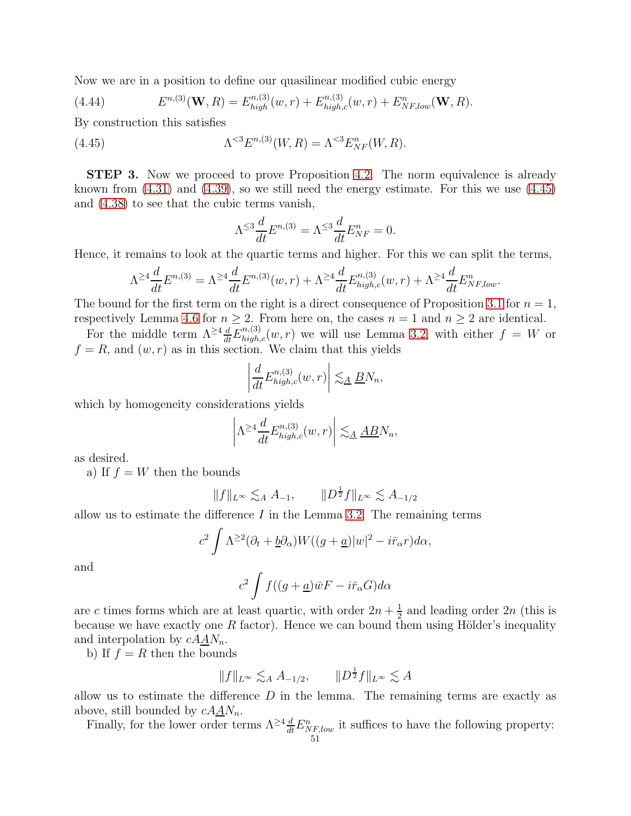Now we are in a position to define our quasilinear modified cubic energy

(4.44) 
$$
E^{n,(3)}(\mathbf{W},R)=E^{n,(3)}_{high}(w,r)+E^{n,(3)}_{high,c}(w,r)+E^{n}_{NF,low}(\mathbf{W},R).
$$

By construction this satisfies

(4.45) 
$$
\Lambda^{<3} E^{n,(3)}(W,R) = \Lambda^{<3} E_{NF}^n(W,R).
$$

**STEP 3.** Now we proceed to prove Proposition [4.2.](#page-29-2) The norm equivalence is already known from [\(4.31\)](#page-43-3) and [\(4.39\)](#page-47-2), so we still need the energy estimate. For this we use [\(4.45\)](#page-50-0) and [\(4.38\)](#page-47-1) to see that the cubic terms vanish,

<span id="page-50-0"></span>
$$
\Lambda^{\leq 3} \frac{d}{dt} E^{n,(3)} = \Lambda^{\leq 3} \frac{d}{dt} E_{NF}^n = 0.
$$

Hence, it remains to look at the quartic terms and higher. For this we can split the terms,

$$
\Lambda^{\geq 4} \frac{d}{dt} E^{n,(3)} = \Lambda^{\geq 4} \frac{d}{dt} E^{n,(3)}(w,r) + \Lambda^{\geq 4} \frac{d}{dt} E^{n,(3)}_{high,c}(w,r) + \Lambda^{\geq 4} \frac{d}{dt} E^{n}_{NF,low}.
$$

The bound for the first term on the right is a direct consequence of Proposition [3.1](#page-19-1) for  $n = 1$ , respectively Lemma [4.6](#page-43-0) for  $n \geq 2$ . From here on, the cases  $n = 1$  and  $n \geq 2$  are identical.

For the middle term  $\Lambda^{\geq 4} \frac{d}{dt} E_{high,c}^{n,(3)}(w,r)$  we will use Lemma [3.2,](#page-20-0) with either  $f = W$  or  $f = R$ , and  $(w, r)$  as in this section. We claim that this yields

$$
\left|\frac{d}{dt}E_{high,c}^{n,(3)}(w,r)\right| \lesssim_{\underline{A}} \underline{B}N_n,
$$

which by homogeneity considerations yields

$$
\left|\Lambda^{\geq 4}\frac{d}{dt}E_{high,c}^{n,(3)}(w,r)\right|\lesssim_{\underline{A}}\underline{AB}N_n,
$$

as desired.

a) If  $f = W$  then the bounds

$$
||f||_{L^{\infty}} \lesssim_A A_{-1}, \qquad ||D^{\frac{1}{2}}f||_{L^{\infty}} \lesssim A_{-1/2}
$$

allow us to estimate the difference  $I$  in the Lemma [3.2.](#page-20-0) The remaining terms

$$
c^2 \int \Lambda^{\geq 2} (\partial_t + \underline{b} \partial_\alpha) W((g + \underline{a}) |w|^2 - i \bar{r}_\alpha r) d\alpha,
$$

and

$$
c^2 \int f((g+\underline{a})\bar{w}F - i\bar{r}_{\alpha}G)d\alpha
$$

are c times forms which are at least quartic, with order  $2n + \frac{1}{2}$  $\frac{1}{2}$  and leading order 2n (this is because we have exactly one  $R$  factor). Hence we can bound them using Hölder's inequality and interpolation by  $cA\overset{\frown}{AN}_n$ .

b) If  $f = R$  then the bounds

$$
||f||_{L^{\infty}} \lesssim_A A_{-1/2}, \qquad ||D^{\frac{1}{2}}f||_{L^{\infty}} \lesssim A
$$

allow us to estimate the difference  $D$  in the lemma. The remaining terms are exactly as above, still bounded by  $cA\cancel{A}N_n$ .

Finally, for the lower order terms  $\Lambda^{\geq 4} \frac{d}{dt} E_{NF,low}^n$  it suffices to have the following property: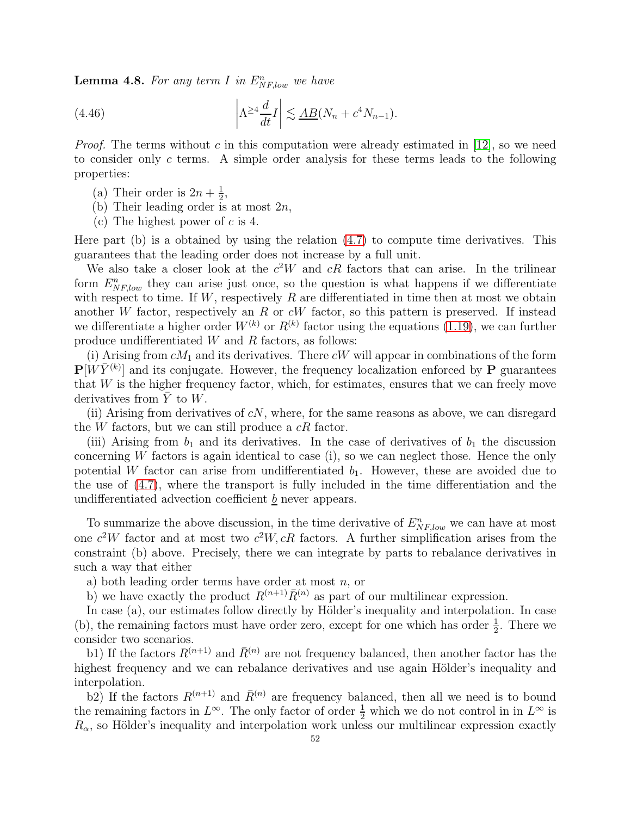**Lemma 4.8.** For any term I in  $E_{NF,low}^n$  we have

(4.46) 
$$
\left|\Lambda^{\geq 4}\frac{d}{dt}I\right| \lesssim \underline{AB}(N_n + c^4 N_{n-1}).
$$

*Proof.* The terms without c in this computation were already estimated in [\[12\]](#page-62-0), so we need to consider only c terms. A simple order analysis for these terms leads to the following properties:

- (a) Their order is  $2n + \frac{1}{2}$  $\frac{1}{2}$ ,
- (b) Their leading order is at most  $2n$ ,
- (c) The highest power of  $c$  is 4.

Here part (b) is a obtained by using the relation [\(4.7\)](#page-33-0) to compute time derivatives. This guarantees that the leading order does not increase by a full unit.

We also take a closer look at the  $c^2W$  and  $cR$  factors that can arise. In the trilinear form  $E_{NF,low}^n$  they can arise just once, so the question is what happens if we differentiate with respect to time. If  $W$ , respectively  $R$  are differentiated in time then at most we obtain another W factor, respectively an R or  $cW$  factor, so this pattern is preserved. If instead we differentiate a higher order  $W^{(k)}$  or  $R^{(k)}$  factor using the equations [\(1.19\)](#page-6-0), we can further produce undifferentiated  $W$  and  $R$  factors, as follows:

(i) Arising from  $cM_1$  and its derivatives. There  $cW$  will appear in combinations of the form  ${\bf P}[\widetilde{W} \bar{Y}^{(k)}]$  and its conjugate. However, the frequency localization enforced by P guarantees that  $W$  is the higher frequency factor, which, for estimates, ensures that we can freely move derivatives from  $Y$  to  $W$ .

(ii) Arising from derivatives of  $cN$ , where, for the same reasons as above, we can disregard the  $W$  factors, but we can still produce a  $cR$  factor.

(iii) Arising from  $b_1$  and its derivatives. In the case of derivatives of  $b_1$  the discussion concerning  $W$  factors is again identical to case (i), so we can neglect those. Hence the only potential W factor can arise from undifferentiated  $b_1$ . However, these are avoided due to the use of [\(4.7\)](#page-33-0), where the transport is fully included in the time differentiation and the undifferentiated advection coefficient b never appears.

To summarize the above discussion, in the time derivative of  $E_{NF,low}^n$  we can have at most one  $c^2W$  factor and at most two  $c^2W$ ,  $cR$  factors. A further simplification arises from the constraint (b) above. Precisely, there we can integrate by parts to rebalance derivatives in such a way that either

a) both leading order terms have order at most  $n$ , or

b) we have exactly the product  $R^{(n+1)}\bar{R}^{(n)}$  as part of our multilinear expression.

In case (a), our estimates follow directly by Hölder's inequality and interpolation. In case (b), the remaining factors must have order zero, except for one which has order  $\frac{1}{2}$ . There we consider two scenarios.

b1) If the factors  $R^{(n+1)}$  and  $\bar{R}^{(n)}$  are not frequency balanced, then another factor has the highest frequency and we can rebalance derivatives and use again Hölder's inequality and interpolation.

b2) If the factors  $R^{(n+1)}$  and  $\bar{R}^{(n)}$  are frequency balanced, then all we need is to bound the remaining factors in  $L^{\infty}$ . The only factor of order  $\frac{1}{2}$  which we do not control in in  $L^{\infty}$  is  $R_{\alpha}$ , so Hölder's inequality and interpolation work unless our multilinear expression exactly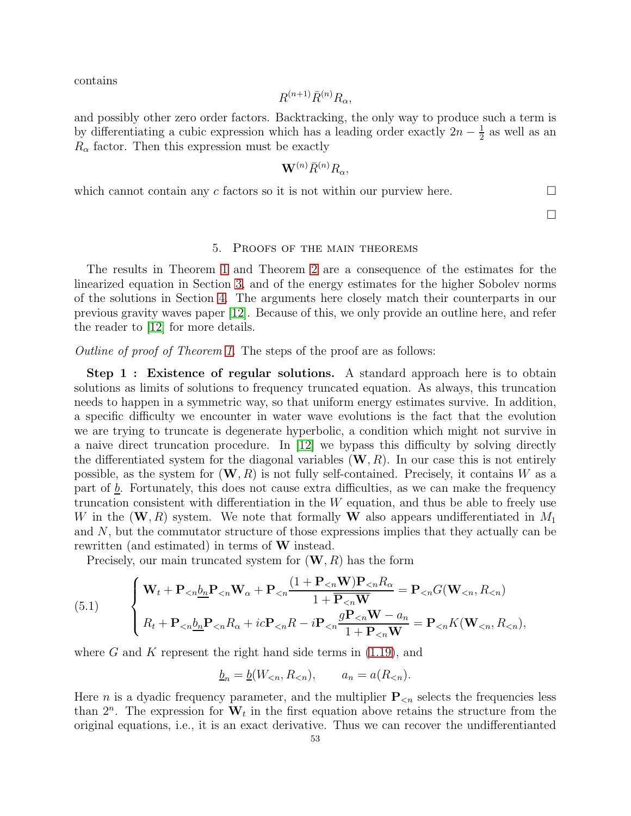contains

$$
R^{(n+1)}\bar{R}^{(n)}R_{\alpha},
$$

and possibly other zero order factors. Backtracking, the only way to produce such a term is by differentiating a cubic expression which has a leading order exactly  $2n - \frac{1}{2}$  $\frac{1}{2}$  as well as an  $R_{\alpha}$  factor. Then this expression must be exactly

$$
\mathbf{W}^{(n)}{\bar{R}^{(n)}}R_\alpha,
$$

which cannot contain any c factors so it is not within our purview here.  $\Box$ 

 $\Box$ 

### 5. Proofs of the main theorems

The results in Theorem [1](#page-7-0) and Theorem [2](#page-7-2) are a consequence of the estimates for the linearized equation in Section [3,](#page-16-0) and of the energy estimates for the higher Sobolev norms of the solutions in Section [4.](#page-29-0) The arguments here closely match their counterparts in our previous gravity waves paper [\[12\]](#page-62-0). Because of this, we only provide an outline here, and refer the reader to [\[12\]](#page-62-0) for more details.

Outline of proof of Theorem [1.](#page-7-0) The steps of the proof are as follows:

Step 1 : Existence of regular solutions. A standard approach here is to obtain solutions as limits of solutions to frequency truncated equation. As always, this truncation needs to happen in a symmetric way, so that uniform energy estimates survive. In addition, a specific difficulty we encounter in water wave evolutions is the fact that the evolution we are trying to truncate is degenerate hyperbolic, a condition which might not survive in a naive direct truncation procedure. In [\[12\]](#page-62-0) we bypass this difficulty by solving directly the differentiated system for the diagonal variables  $(\mathbf{W}, R)$ . In our case this is not entirely possible, as the system for  $(\mathbf{W}, R)$  is not fully self-contained. Precisely, it contains W as a part of b. Fortunately, this does not cause extra difficulties, as we can make the frequency truncation consistent with differentiation in the  $W$  equation, and thus be able to freely use W in the  $(\mathbf{W}, R)$  system. We note that formally W also appears undifferentiated in  $M_1$ and N, but the commutator structure of those expressions implies that they actually can be rewritten (and estimated) in terms of W instead.

Precisely, our main truncated system for  $(\mathbf{W}, R)$  has the form

(5.1) 
$$
\begin{cases} \mathbf{W}_{t} + \mathbf{P}_{
$$

where G and K represent the right hand side terms in  $(1.19)$ , and

$$
\underline{b}_n = \underline{b}(W_{<} R_{<} n), \qquad a_n = a(R_{<} n).
$$

Here n is a dyadic frequency parameter, and the multiplier  $P_{\leq n}$  selects the frequencies less than  $2^n$ . The expression for  $W_t$  in the first equation above retains the structure from the original equations, i.e., it is an exact derivative. Thus we can recover the undifferentianted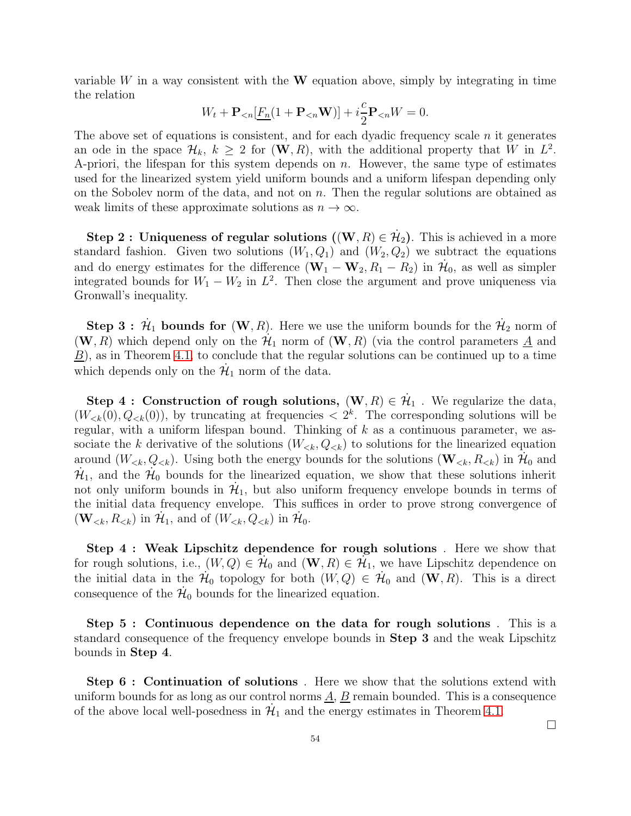variable  $W$  in a way consistent with the  $W$  equation above, simply by integrating in time the relation

$$
W_t + \mathbf{P}_{< n}[\underline{F_n}(1 + \mathbf{P}_{< n}\mathbf{W})] + i\frac{c}{2}\mathbf{P}_{< n}W = 0.
$$

The above set of equations is consistent, and for each dyadic frequency scale  $n$  it generates an ode in the space  $\mathcal{H}_k$ ,  $k \geq 2$  for  $(\mathbf{W}, R)$ , with the additional property that W in  $L^2$ . A-priori, the lifespan for this system depends on  $n$ . However, the same type of estimates used for the linearized system yield uniform bounds and a uniform lifespan depending only on the Sobolev norm of the data, and not on n. Then the regular solutions are obtained as weak limits of these approximate solutions as  $n \to \infty$ .

Step 2 : Uniqueness of regular solutions  $((W, R) \in \dot{\mathcal{H}}_2)$ . This is achieved in a more standard fashion. Given two solutions  $(W_1, Q_1)$  and  $(W_2, Q_2)$  we subtract the equations and do energy estimates for the difference  $(\mathbf{W}_1 - \mathbf{W}_2, R_1 - R_2)$  in  $\dot{\mathcal{H}}_0$ , as well as simpler integrated bounds for  $W_1 - W_2$  in  $L^2$ . Then close the argument and prove uniqueness via Gronwall's inequality.

Step 3:  $\dot{\mathcal{H}}_1$  bounds for  $(W, R)$ . Here we use the uniform bounds for the  $\dot{\mathcal{H}}_2$  norm of  $(\mathbf{W}, R)$  which depend only on the  $\dot{\mathcal{H}}_1$  norm of  $(\mathbf{W}, R)$  (via the control parameters  $\underline{A}$  and  $\underline{B}$ , as in Theorem [4.1,](#page-29-1) to conclude that the regular solutions can be continued up to a time which depends only on the  $\dot{\mathcal{H}}_1$  norm of the data.

Step 4: Construction of rough solutions,  $(W, R) \in \dot{\mathcal{H}}_1$ . We regularize the data,  $(W_{< k}(0), Q_{< k}(0))$ , by truncating at frequencies  $\langle 2^k \rangle$ . The corresponding solutions will be regular, with a uniform lifespan bound. Thinking of  $k$  as a continuous parameter, we associate the k derivative of the solutions  $(W_{\leq k}, Q_{\leq k})$  to solutions for the linearized equation around  $(W_{\leq k}, Q_{\leq k})$ . Using both the energy bounds for the solutions  $(\mathbf{W}_{\leq k}, R_{\leq k})$  in  $\mathcal{H}_0$  and  $\dot{\mathcal{H}}_1$ , and the  $\dot{\mathcal{H}}_0$  bounds for the linearized equation, we show that these solutions inherit not only uniform bounds in  $\dot{\mathcal{H}}_1$ , but also uniform frequency envelope bounds in terms of the initial data frequency envelope. This suffices in order to prove strong convergence of  $(\mathbf{W}_{\leq k}, R_{\leq k})$  in  $\mathcal{H}_1$ , and of  $(W_{\leq k}, Q_{\leq k})$  in  $\mathcal{H}_0$ .

Step 4 : Weak Lipschitz dependence for rough solutions . Here we show that for rough solutions, i.e.,  $(W, Q) \in \mathcal{H}_0$  and  $(\mathbf{W}, R) \in \mathcal{H}_1$ , we have Lipschitz dependence on the initial data in the  $\hat{\mathcal{H}}_0$  topology for both  $(W, Q) \in \hat{\mathcal{H}}_0$  and  $(\mathbf{W}, R)$ . This is a direct consequence of the  $\mathcal{H}_0$  bounds for the linearized equation.

Step 5 : Continuous dependence on the data for rough solutions . This is a standard consequence of the frequency envelope bounds in Step 3 and the weak Lipschitz bounds in Step 4.

Step 6 : Continuation of solutions . Here we show that the solutions extend with uniform bounds for as long as our control norms  $\underline{A}$ ,  $\underline{B}$  remain bounded. This is a consequence of the above local well-posedness in  $\mathcal{H}_1$  and the energy estimates in Theorem [4.1.](#page-29-1)

 $\Box$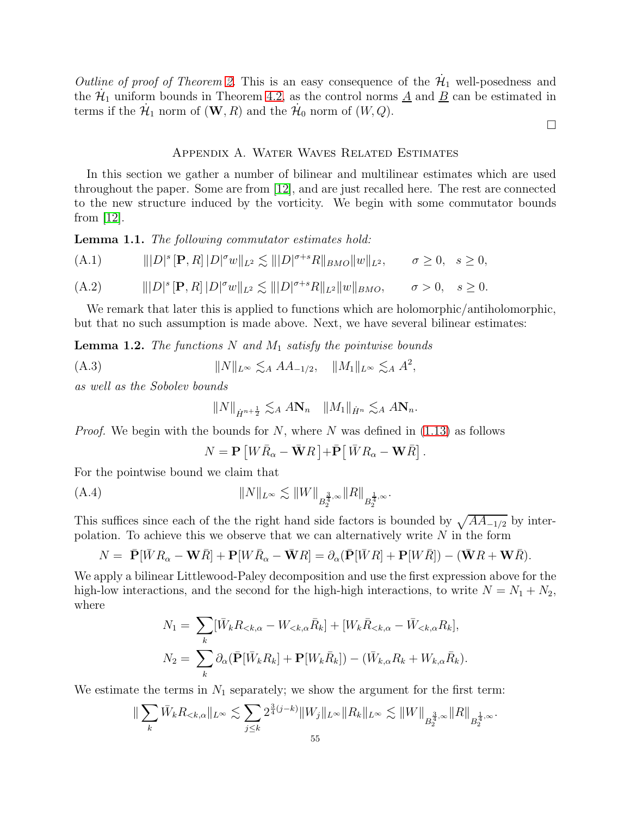Outline of proof of Theorem [2.](#page-7-2) This is an easy consequence of the  $\dot{\mathcal{H}}_1$  well-posedness and the  $\dot{\mathcal{H}}_1$  uniform bounds in Theorem [4.2,](#page-29-2) as the control norms  $\underline{A}$  and  $\underline{B}$  can be estimated in terms if the  $\dot{\mathcal{H}}_1$  norm of  $(\mathbf{W}, R)$  and the  $\dot{\mathcal{H}}_0$  norm of  $(W, Q)$ .

 $\Box$ 

## Appendix A. Water Waves Related Estimates

<span id="page-54-0"></span>In this section we gather a number of bilinear and multilinear estimates which are used throughout the paper. Some are from [\[12\]](#page-62-0), and are just recalled here. The rest are connected to the new structure induced by the vorticity. We begin with some commutator bounds from  $|12|$ .

<span id="page-54-2"></span>Lemma 1.1. The following commutator estimates hold:

(A.1) 
$$
\| |D|^s [\mathbf{P}, R] |D|^{\sigma} w \|_{L^2} \lesssim \| |D|^{\sigma+s} R \|_{BMO} \|w\|_{L^2}, \qquad \sigma \ge 0, \quad s \ge 0,
$$

(A.2) 
$$
\| |D|^s [\mathbf{P}, R] |D|^{\sigma} w \|_{L^2} \lesssim \| |D|^{\sigma+s} R \|_{L^2} \|w \|_{BMO}, \quad \sigma > 0, \quad s \ge 0.
$$

We remark that later this is applied to functions which are holomorphic/antiholomorphic, but that no such assumption is made above. Next, we have several bilinear estimates:

<span id="page-54-1"></span>**Lemma 1.2.** The functions N and  $M_1$  satisfy the pointwise bounds

(A.3) 
$$
||N||_{L^{\infty}} \lesssim_A AA_{-1/2}, \quad ||M_1||_{L^{\infty}} \lesssim_A A^2,
$$

as well as the Sobolev bounds

$$
||N||_{\dot{H}^{n+\frac{1}{2}}} \lesssim_A A\mathbf{N}_n \quad ||M_1||_{\dot{H}^n} \lesssim_A A\mathbf{N}_n.
$$

*Proof.* We begin with the bounds for N, where N was defined in  $(1.13)$  as follows

$$
N = \mathbf{P}\left[W\bar{R}_{\alpha} - \bar{\mathbf{W}}R\right] + \bar{\mathbf{P}}\left[\bar{W}R_{\alpha} - \mathbf{W}\bar{R}\right].
$$

For the pointwise bound we claim that

(A.4) 
$$
||N||_{L^{\infty}} \lesssim ||W||_{B^{\frac{3}{4},\infty}_{2}} ||R||_{B^{\frac{1}{4},\infty}_{2}}.
$$

This suffices since each of the the right hand side factors is bounded by  $\sqrt{AA_{-1/2}}$  by interpolation. To achieve this we observe that we can alternatively write  $N$  in the form

$$
N = \bar{\mathbf{P}}[\bar{W}R_{\alpha} - \mathbf{W}\bar{R}] + \mathbf{P}[W\bar{R}_{\alpha} - \bar{\mathbf{W}}R] = \partial_{\alpha}(\bar{\mathbf{P}}[\bar{W}R] + \mathbf{P}[W\bar{R}]) - (\bar{\mathbf{W}}R + \mathbf{W}\bar{R}).
$$

We apply a bilinear Littlewood-Paley decomposition and use the first expression above for the high-low interactions, and the second for the high-high interactions, to write  $N = N_1 + N_2$ , where

$$
N_1 = \sum_{k} [\bar{W}_k R_{< k, \alpha} - W_{< k, \alpha} \bar{R}_k] + [W_k \bar{R}_{< k, \alpha} - \bar{W}_{< k, \alpha} R_k],
$$
  

$$
N_2 = \sum_{k} \partial_{\alpha} (\bar{\mathbf{P}} [\bar{W}_k R_k] + \mathbf{P}[W_k \bar{R}_k]) - (\bar{W}_{k, \alpha} R_k + W_{k, \alpha} \bar{R}_k).
$$

We estimate the terms in  $N_1$  separately; we show the argument for the first term:

$$
\|\sum_{k}\bar{W}_{k}R_{
$$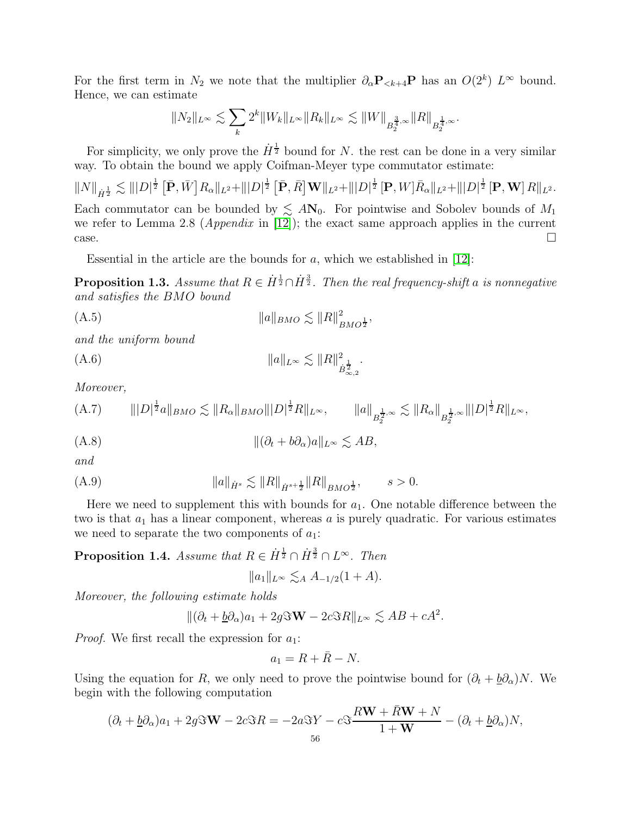For the first term in  $N_2$  we note that the multiplier  $\partial_{\alpha} \mathbf{P}_{< k+4} \mathbf{P}$  has an  $O(2^k) L^{\infty}$  bound. Hence, we can estimate

$$
\|N_2\|_{L^\infty} \lesssim \sum_k 2^k \|W_k\|_{L^\infty} \|R_k\|_{L^\infty} \lesssim \|W\|_{B^{\frac{3}{4},\infty}_2} \|R\|_{B^{\frac{1}{4},\infty}_2}.
$$

For simplicity, we only prove the  $\dot{H}^{\frac{1}{2}}$  bound for N. the rest can be done in a very similar way. To obtain the bound we apply Coifman-Meyer type commutator estimate:

$$
||N||_{\dot{H}^{\frac{1}{2}}} \lesssim |||D|^{\frac{1}{2}} \left[ \bar{\mathbf{P}}, \bar{W} \right] R_{\alpha} ||_{L^{2}} + |||D|^{\frac{1}{2}} \left[ \bar{\mathbf{P}}, \bar{R} \right] \mathbf{W} ||_{L^{2}} + |||D|^{\frac{1}{2}} \left[ \mathbf{P}, W \right] \bar{R}_{\alpha} ||_{L^{2}} + |||D|^{\frac{1}{2}} \left[ \mathbf{P}, \mathbf{W} \right] R ||_{L^{2}}.
$$

Each commutator can be bounded by  $\lesssim AN_0$ . For pointwise and Sobolev bounds of  $M_1$ we refer to Lemma 2.8 (*Appendix* in  $[12]$ ); the exact same approach applies in the current case.

Essential in the article are the bounds for  $a$ , which we established in [\[12\]](#page-62-0):

<span id="page-55-0"></span>**Proposition 1.3.** Assume that  $R \in \dot{H}^{\frac{1}{2}} \cap \dot{H}^{\frac{3}{2}}$ . Then the real frequency-shift a is nonnegative and satisfies the BMO bound

,

$$
(A.5) \t\t ||a||_{BMO} \lesssim ||R||_{BMO^{\frac{1}{2}}}^2
$$

and the uniform bound

(A.6) 
$$
||a||_{L^{\infty}} \lesssim ||R||_{\dot{B}^{\frac{1}{2}}_{\infty,2}}^2.
$$

Moreover,

$$
(A.7) \t\t\t\t||D|^{\frac{1}{2}}a||_{BMO} \lesssim ||R_{\alpha}||_{BMO} |||D|^{\frac{1}{2}}R||_{L^{\infty}}, \t\t\t||a||_{B^{\frac{1}{2},\infty}_{2}} \lesssim ||R_{\alpha}||_{B^{\frac{1}{2},\infty}_{2}} |||D|^{\frac{1}{2}}R||_{L^{\infty}},
$$

$$
||(\partial_t + b\partial_\alpha)a||_{L^\infty} \lesssim AB,
$$

and

(A.9) 
$$
||a||_{\dot{H}^s} \lesssim ||R||_{\dot{H}^{s+\frac{1}{2}}} ||R||_{BMO^{\frac{1}{2}}}, \qquad s > 0.
$$

Here we need to supplement this with bounds for  $a_1$ . One notable difference between the two is that  $a_1$  has a linear component, whereas  $a$  is purely quadratic. For various estimates we need to separate the two components of  $a_1$ :

<span id="page-55-1"></span>**Proposition 1.4.** Assume that  $R \in \dot{H}^{\frac{1}{2}} \cap \dot{H}^{\frac{3}{2}} \cap L^{\infty}$ . Then

<span id="page-55-2"></span>
$$
||a_1||_{L^{\infty}} \lesssim_A A_{-1/2}(1+A).
$$

Moreover, the following estimate holds

$$
\|(\partial_t + \underline{b}\partial_\alpha)a_1 + 2g\Im\mathbf{W} - 2c\Im R\|_{L^\infty} \lesssim AB + cA^2.
$$

*Proof.* We first recall the expression for  $a_1$ :

$$
a_1 = R + \bar{R} - N.
$$

Using the equation for R, we only need to prove the pointwise bound for  $(\partial_t + \underline{b}\partial_\alpha)N$ . We begin with the following computation

$$
(\partial_t + \underline{b}\partial_\alpha)a_1 + 2g\Im \mathbf{W} - 2c\Im R = -2a\Im Y - c\Im\frac{R\mathbf{W} + \bar{R}\mathbf{W} + N}{1 + \mathbf{W}} - (\partial_t + \underline{b}\partial_\alpha)N,
$$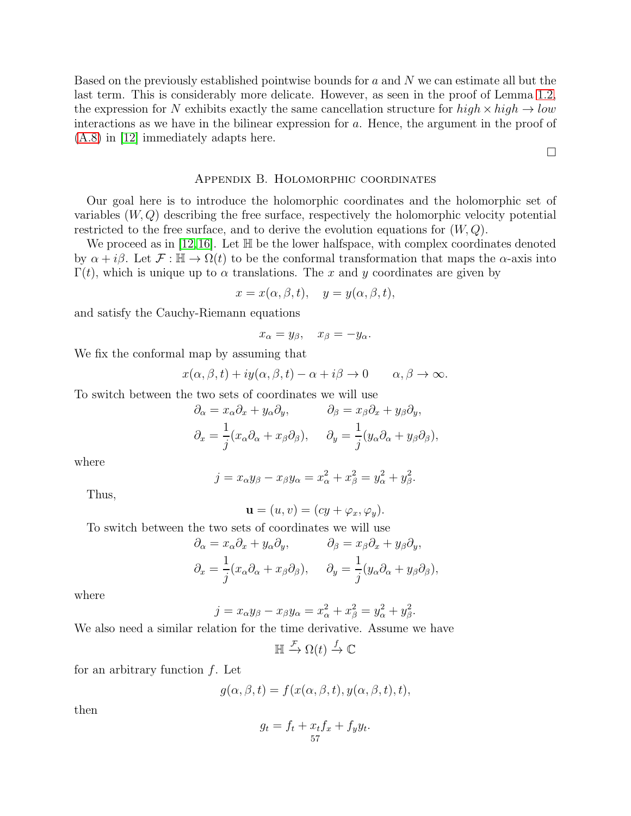Based on the previously established pointwise bounds for  $a$  and  $N$  we can estimate all but the last term. This is considerably more delicate. However, as seen in the proof of Lemma [1.2,](#page-54-1) the expression for N exhibits exactly the same cancellation structure for  $high \times high \rightarrow low$ interactions as we have in the bilinear expression for a. Hence, the argument in the proof of [\(A.8\)](#page-55-2) in [\[12\]](#page-62-0) immediately adapts here.

 $\Box$ 

### Appendix B. Holomorphic coordinates

<span id="page-56-0"></span>Our goal here is to introduce the holomorphic coordinates and the holomorphic set of variables  $(W, Q)$  describing the free surface, respectively the holomorphic velocity potential restricted to the free surface, and to derive the evolution equations for  $(W, Q)$ .

We proceed as in  $[12,16]$  $[12,16]$ . Let  $\mathbb H$  be the lower halfspace, with complex coordinates denoted by  $\alpha + i\beta$ . Let  $\mathcal{F} : \mathbb{H} \to \Omega(t)$  to be the conformal transformation that maps the  $\alpha$ -axis into  $\Gamma(t)$ , which is unique up to  $\alpha$  translations. The x and y coordinates are given by

$$
x = x(\alpha, \beta, t), \quad y = y(\alpha, \beta, t),
$$

and satisfy the Cauchy-Riemann equations

$$
x_{\alpha} = y_{\beta}, \quad x_{\beta} = -y_{\alpha}.
$$

We fix the conformal map by assuming that

$$
x(\alpha, \beta, t) + iy(\alpha, \beta, t) - \alpha + i\beta \to 0 \qquad \alpha, \beta \to \infty.
$$

To switch between the two sets of coordinates we will use

$$
\partial_{\alpha} = x_{\alpha}\partial_x + y_{\alpha}\partial_y, \qquad \partial_{\beta} = x_{\beta}\partial_x + y_{\beta}\partial_y, \n\partial_x = \frac{1}{j}(x_{\alpha}\partial_{\alpha} + x_{\beta}\partial_{\beta}), \qquad \partial_y = \frac{1}{j}(y_{\alpha}\partial_{\alpha} + y_{\beta}\partial_{\beta}),
$$

where

$$
j = x_{\alpha}y_{\beta} - x_{\beta}y_{\alpha} = x_{\alpha}^2 + x_{\beta}^2 = y_{\alpha}^2 + y_{\beta}^2.
$$

Thus,

$$
\mathbf{u} = (u, v) = (cy + \varphi_x, \varphi_y).
$$

To switch between the two sets of coordinates we will use

$$
\partial_{\alpha} = x_{\alpha}\partial_x + y_{\alpha}\partial_y, \qquad \partial_{\beta} = x_{\beta}\partial_x + y_{\beta}\partial_y, \n\partial_x = \frac{1}{j}(x_{\alpha}\partial_{\alpha} + x_{\beta}\partial_{\beta}), \qquad \partial_y = \frac{1}{j}(y_{\alpha}\partial_{\alpha} + y_{\beta}\partial_{\beta}),
$$

where

$$
j = x_{\alpha} y_{\beta} - x_{\beta} y_{\alpha} = x_{\alpha}^{2} + x_{\beta}^{2} = y_{\alpha}^{2} + y_{\beta}^{2}.
$$

We also need a similar relation for the time derivative. Assume we have

 $\mathbb{H} \xrightarrow{\mathcal{F}} \Omega(t) \xrightarrow{f} \mathbb{C}$ 

for an arbitrary function  $f$ . Let

$$
g(\alpha, \beta, t) = f(x(\alpha, \beta, t), y(\alpha, \beta, t), t),
$$

then

$$
g_t = f_t + x_t f_x + f_y y_t.
$$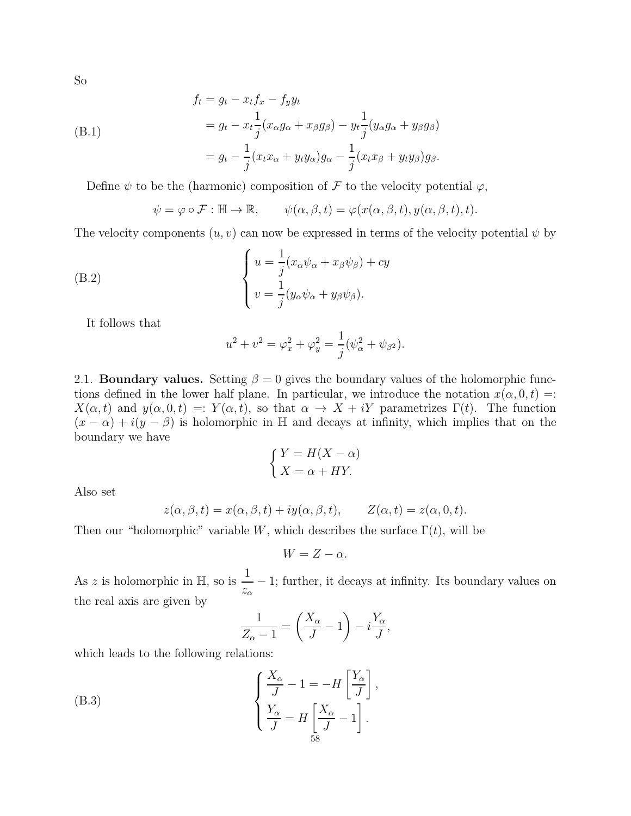So

(B.1)  
\n
$$
f_t = g_t - x_t f_x - f_y y_t
$$
\n
$$
= g_t - x_t \frac{1}{j} (x_\alpha g_\alpha + x_\beta g_\beta) - y_t \frac{1}{j} (y_\alpha g_\alpha + y_\beta g_\beta)
$$
\n
$$
= g_t - \frac{1}{j} (x_t x_\alpha + y_t y_\alpha) g_\alpha - \frac{1}{j} (x_t x_\beta + y_t y_\beta) g_\beta.
$$

Define  $\psi$  to be the (harmonic) composition of F to the velocity potential  $\varphi$ ,

<span id="page-57-2"></span>
$$
\psi = \varphi \circ \mathcal{F} : \mathbb{H} \to \mathbb{R}, \qquad \psi(\alpha, \beta, t) = \varphi(x(\alpha, \beta, t), y(\alpha, \beta, t), t).
$$

The velocity components  $(u, v)$  can now be expressed in terms of the velocity potential  $\psi$  by

(B.2) 
$$
\begin{cases} u = \frac{1}{j}(x_{\alpha}\psi_{\alpha} + x_{\beta}\psi_{\beta}) + cy \\ v = \frac{1}{j}(y_{\alpha}\psi_{\alpha} + y_{\beta}\psi_{\beta}). \end{cases}
$$

It follows that

<span id="page-57-0"></span>
$$
u^{2} + v^{2} = \varphi_{x}^{2} + \varphi_{y}^{2} = \frac{1}{j}(\psi_{\alpha}^{2} + \psi_{\beta^{2}}).
$$

2.1. **Boundary values.** Setting  $\beta = 0$  gives the boundary values of the holomorphic functions defined in the lower half plane. In particular, we introduce the notation  $x(\alpha, 0, t) =$ :  $X(\alpha, t)$  and  $y(\alpha, 0, t) =: Y(\alpha, t)$ , so that  $\alpha \to X + iY$  parametrizes  $\Gamma(t)$ . The function  $(x - \alpha) + i(y - \beta)$  is holomorphic in H and decays at infinity, which implies that on the boundary we have

$$
\begin{cases}\nY = H(X - \alpha) \\
X = \alpha + HY.\n\end{cases}
$$

Also set

$$
z(\alpha, \beta, t) = x(\alpha, \beta, t) + iy(\alpha, \beta, t), \qquad Z(\alpha, t) = z(\alpha, 0, t).
$$

Then our "holomorphic" variable W, which describes the surface  $\Gamma(t)$ , will be

$$
W = Z - \alpha.
$$

As z is holomorphic in  $\mathbb{H}$ , so is  $\frac{1}{1}$  $z_\alpha$ − 1; further, it decays at infinity. Its boundary values on the real axis are given by

<span id="page-57-1"></span>
$$
\frac{1}{Z_{\alpha}-1} = \left(\frac{X_{\alpha}}{J} - 1\right) - i\frac{Y_{\alpha}}{J},
$$

which leads to the following relations:

(B.3) 
$$
\begin{cases} \frac{X_{\alpha}}{J} - 1 = -H \left[ \frac{Y_{\alpha}}{J} \right], \\ \frac{Y_{\alpha}}{J} = H \left[ \frac{X_{\alpha}}{J} - 1 \right]. \end{cases}
$$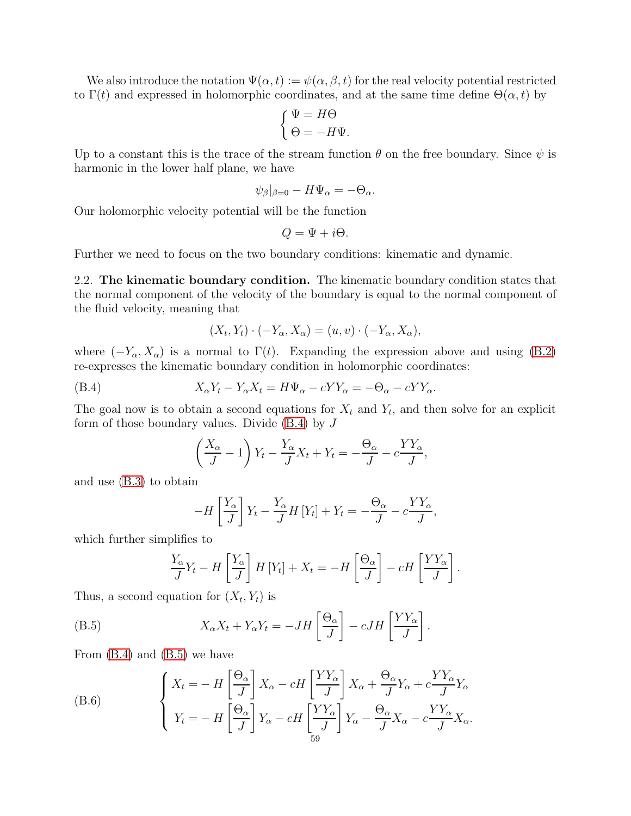We also introduce the notation  $\Psi(\alpha, t) := \psi(\alpha, \beta, t)$  for the real velocity potential restricted to  $\Gamma(t)$  and expressed in holomorphic coordinates, and at the same time define  $\Theta(\alpha, t)$  by

$$
\begin{cases} \Psi = H\Theta \\ \Theta = -H\Psi. \end{cases}
$$

Up to a constant this is the trace of the stream function  $\theta$  on the free boundary. Since  $\psi$  is harmonic in the lower half plane, we have

$$
\psi_{\beta}|_{\beta=0} - H\Psi_{\alpha} = -\Theta_{\alpha}.
$$

Our holomorphic velocity potential will be the function

$$
Q = \Psi + i\Theta.
$$

Further we need to focus on the two boundary conditions: kinematic and dynamic.

2.2. The kinematic boundary condition. The kinematic boundary condition states that the normal component of the velocity of the boundary is equal to the normal component of the fluid velocity, meaning that

$$
(X_t, Y_t) \cdot (-Y_\alpha, X_\alpha) = (u, v) \cdot (-Y_\alpha, X_\alpha),
$$

where  $(-Y_{\alpha}, X_{\alpha})$  is a normal to  $\Gamma(t)$ . Expanding the expression above and using [\(B.2\)](#page-57-0) re-expresses the kinematic boundary condition in holomorphic coordinates:

(B.4) 
$$
X_{\alpha}Y_t - Y_{\alpha}X_t = H\Psi_{\alpha} - cYY_{\alpha} = -\Theta_{\alpha} - cYY_{\alpha}.
$$

The goal now is to obtain a second equations for  $X_t$  and  $Y_t$ , and then solve for an explicit form of those boundary values. Divide  $(B.4)$  by J

<span id="page-58-0"></span>
$$
\left(\frac{X_{\alpha}}{J} - 1\right)Y_t - \frac{Y_{\alpha}}{J}X_t + Y_t = -\frac{\Theta_{\alpha}}{J} - c\frac{YY_{\alpha}}{J},
$$

and use [\(B.3\)](#page-57-1) to obtain

$$
-H\left[\frac{Y_{\alpha}}{J}\right]Y_t - \frac{Y_{\alpha}}{J}H\left[Y_t\right] + Y_t = -\frac{\Theta_{\alpha}}{J} - c\frac{YY_{\alpha}}{J},
$$

which further simplifies to

<span id="page-58-1"></span>
$$
\frac{Y_{\alpha}}{J}Y_t - H\left[\frac{Y_{\alpha}}{J}\right]H\left[Y_t\right] + X_t = -H\left[\frac{\Theta_{\alpha}}{J}\right] - cH\left[\frac{YY_{\alpha}}{J}\right].
$$

Thus, a second equation for  $(X_t, Y_t)$  is

(B.5) 
$$
X_{\alpha}X_t + Y_{\alpha}Y_t = -JH\left[\frac{\Theta_{\alpha}}{J}\right] - cJH\left[\frac{YY_{\alpha}}{J}\right].
$$

From [\(B.4\)](#page-58-0) and [\(B.5\)](#page-58-1) we have

<span id="page-58-2"></span>(B.6) 
$$
\begin{cases} X_t = -H \left[ \frac{\Theta_{\alpha}}{J} \right] X_{\alpha} - cH \left[ \frac{YY_{\alpha}}{J} \right] X_{\alpha} + \frac{\Theta_{\alpha}}{J} Y_{\alpha} + c \frac{YY_{\alpha}}{J} Y_{\alpha} \\ Y_t = -H \left[ \frac{\Theta_{\alpha}}{J} \right] Y_{\alpha} - cH \left[ \frac{YY_{\alpha}}{J} \right] Y_{\alpha} - \frac{\Theta_{\alpha}}{J} X_{\alpha} - c \frac{YY_{\alpha}}{J} X_{\alpha}. \end{cases}
$$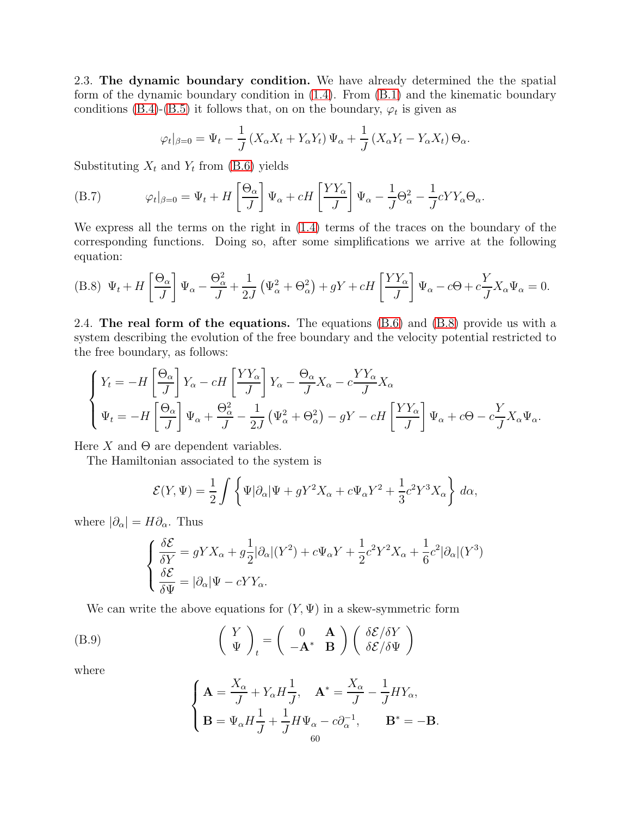2.3. The dynamic boundary condition. We have already determined the the spatial form of the dynamic boundary condition in [\(1.4\)](#page-2-1). From [\(B.1\)](#page-57-2) and the kinematic boundary conditions [\(B.4\)](#page-58-0)-[\(B.5\)](#page-58-1) it follows that, on on the boundary,  $\varphi_t$  is given as

$$
\varphi_t|_{\beta=0} = \Psi_t - \frac{1}{J} \left( X_\alpha X_t + Y_\alpha Y_t \right) \Psi_\alpha + \frac{1}{J} \left( X_\alpha Y_t - Y_\alpha X_t \right) \Theta_\alpha.
$$

Substituting  $X_t$  and  $Y_t$  from [\(B.6\)](#page-58-2) yields

(B.7) 
$$
\varphi_t|_{\beta=0} = \Psi_t + H \left[ \frac{\Theta_\alpha}{J} \right] \Psi_\alpha + cH \left[ \frac{YY_\alpha}{J} \right] \Psi_\alpha - \frac{1}{J} \Theta_\alpha^2 - \frac{1}{J} cYY_\alpha \Theta_\alpha.
$$

We express all the terms on the right in [\(1.4\)](#page-2-1) terms of the traces on the boundary of the corresponding functions. Doing so, after some simplifications we arrive at the following equation:

<span id="page-59-0"></span>(B.8) 
$$
\Psi_t + H\left[\frac{\Theta_\alpha}{J}\right] \Psi_\alpha - \frac{\Theta_\alpha^2}{J} + \frac{1}{2J} \left(\Psi_\alpha^2 + \Theta_\alpha^2\right) + gY + cH\left[\frac{YY_\alpha}{J}\right] \Psi_\alpha - c\Theta + c\frac{Y}{J}X_\alpha\Psi_\alpha = 0.
$$

2.4. The real form of the equations. The equations  $(B.6)$  and  $(B.8)$  provide us with a system describing the evolution of the free boundary and the velocity potential restricted to the free boundary, as follows:

$$
\begin{cases}\nY_t = -H \left[ \frac{\Theta_{\alpha}}{J} \right] Y_{\alpha} - cH \left[ \frac{YY_{\alpha}}{J} \right] Y_{\alpha} - \frac{\Theta_{\alpha}}{J} X_{\alpha} - c \frac{YY_{\alpha}}{J} X_{\alpha} \\
\Psi_t = -H \left[ \frac{\Theta_{\alpha}}{J} \right] \Psi_{\alpha} + \frac{\Theta_{\alpha}^2}{J} - \frac{1}{2J} \left( \Psi_{\alpha}^2 + \Theta_{\alpha}^2 \right) - gY - cH \left[ \frac{YY_{\alpha}}{J} \right] \Psi_{\alpha} + c\Theta - c \frac{Y}{J} X_{\alpha} \Psi_{\alpha}.\n\end{cases}
$$

Here X and  $\Theta$  are dependent variables.

The Hamiltonian associated to the system is

$$
\mathcal{E}(Y,\Psi) = \frac{1}{2} \int \left\{ \Psi | \partial_{\alpha} | \Psi + gY^2 X_{\alpha} + c\Psi_{\alpha} Y^2 + \frac{1}{3} c^2 Y^3 X_{\alpha} \right\} d\alpha,
$$

where  $|\partial_{\alpha}| = H \partial_{\alpha}$ . Thus

$$
\begin{cases}\n\frac{\delta \mathcal{E}}{\delta Y} = gY X_{\alpha} + g \frac{1}{2} |\partial_{\alpha}| (Y^2) + c \Psi_{\alpha} Y + \frac{1}{2} c^2 Y^2 X_{\alpha} + \frac{1}{6} c^2 |\partial_{\alpha}| (Y^3) \\
\frac{\delta \mathcal{E}}{\delta \Psi} = |\partial_{\alpha}| \Psi - c Y Y_{\alpha}.\n\end{cases}
$$

We can write the above equations for  $(Y, \Psi)$  in a skew-symmetric form

(B.9) 
$$
\begin{pmatrix} Y \\ \Psi \end{pmatrix}_t = \begin{pmatrix} 0 & \mathbf{A} \\ -\mathbf{A}^* & \mathbf{B} \end{pmatrix} \begin{pmatrix} \delta \mathcal{E} / \delta Y \\ \delta \mathcal{E} / \delta \Psi \end{pmatrix}
$$

where

$$
\begin{cases}\n\mathbf{A} = \frac{X_{\alpha}}{J} + Y_{\alpha}H\frac{1}{J}, \quad \mathbf{A}^* = \frac{X_{\alpha}}{J} - \frac{1}{J}HY_{\alpha}, \\
\mathbf{B} = \Psi_{\alpha}H\frac{1}{J} + \frac{1}{J}H\Psi_{\alpha} - c\partial_{\alpha}^{-1}, \quad \mathbf{B}^* = -\mathbf{B}.\n\end{cases}
$$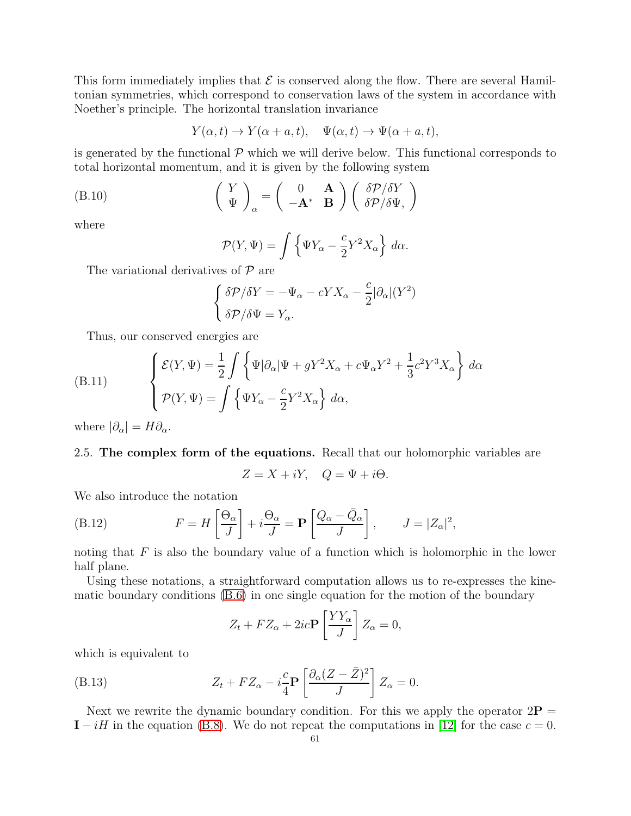This form immediately implies that  $\mathcal E$  is conserved along the flow. There are several Hamiltonian symmetries, which correspond to conservation laws of the system in accordance with Noether's principle. The horizontal translation invariance

$$
Y(\alpha, t) \to Y(\alpha + a, t), \quad \Psi(\alpha, t) \to \Psi(\alpha + a, t),
$$

is generated by the functional  $P$  which we will derive below. This functional corresponds to total horizontal momentum, and it is given by the following system

(B.10) 
$$
\begin{pmatrix} Y \\ \Psi \end{pmatrix}_{\alpha} = \begin{pmatrix} 0 & \mathbf{A} \\ -\mathbf{A}^* & \mathbf{B} \end{pmatrix} \begin{pmatrix} \delta \mathcal{P} / \delta Y \\ \delta \mathcal{P} / \delta \Psi, \end{pmatrix}
$$

where

$$
\mathcal{P}(Y,\Psi) = \int \left\{ \Psi Y_{\alpha} - \frac{c}{2} Y^2 X_{\alpha} \right\} d\alpha.
$$

The variational derivatives of  $P$  are

$$
\begin{cases} \delta \mathcal{P}/\delta Y = -\Psi_{\alpha} - cY X_{\alpha} - \frac{c}{2} |\partial_{\alpha}| (Y^2) \\ \delta \mathcal{P}/\delta \Psi = Y_{\alpha}. \end{cases}
$$

Thus, our conserved energies are

(B.11) 
$$
\begin{cases} \mathcal{E}(Y,\Psi) = \frac{1}{2} \int \left\{ \Psi | \partial_{\alpha} | \Psi + gY^2 X_{\alpha} + c\Psi_{\alpha} Y^2 + \frac{1}{3} c^2 Y^3 X_{\alpha} \right\} d\alpha \\ \mathcal{P}(Y,\Psi) = \int \left\{ \Psi Y_{\alpha} - \frac{c}{2} Y^2 X_{\alpha} \right\} d\alpha, \end{cases}
$$

where  $|\partial_{\alpha}| = H \partial_{\alpha}$ .

## 2.5. The complex form of the equations. Recall that our holomorphic variables are

$$
Z = X + iY, \quad Q = \Psi + i\Theta.
$$

We also introduce the notation

(B.12) 
$$
F = H\left[\frac{\Theta_{\alpha}}{J}\right] + i\frac{\Theta_{\alpha}}{J} = \mathbf{P}\left[\frac{Q_{\alpha} - \bar{Q}_{\alpha}}{J}\right], \qquad J = |Z_{\alpha}|^2,
$$

noting that  $F$  is also the boundary value of a function which is holomorphic in the lower half plane.

Using these notations, a straightforward computation allows us to re-expresses the kinematic boundary conditions [\(B.6\)](#page-58-2) in one single equation for the motion of the boundary

<span id="page-60-0"></span>
$$
Z_t + FZ_{\alpha} + 2ic\mathbf{P}\left[\frac{YY_{\alpha}}{J}\right]Z_{\alpha} = 0,
$$

which is equivalent to

(B.13) 
$$
Z_t + FZ_{\alpha} - i\frac{c}{4} \mathbf{P} \left[ \frac{\partial_{\alpha} (Z - \bar{Z})^2}{J} \right] Z_{\alpha} = 0.
$$

Next we rewrite the dynamic boundary condition. For this we apply the operator  $2P =$  $I - iH$  in the equation [\(B.8\)](#page-59-0). We do not repeat the computations in [\[12\]](#page-62-0) for the case  $c = 0$ .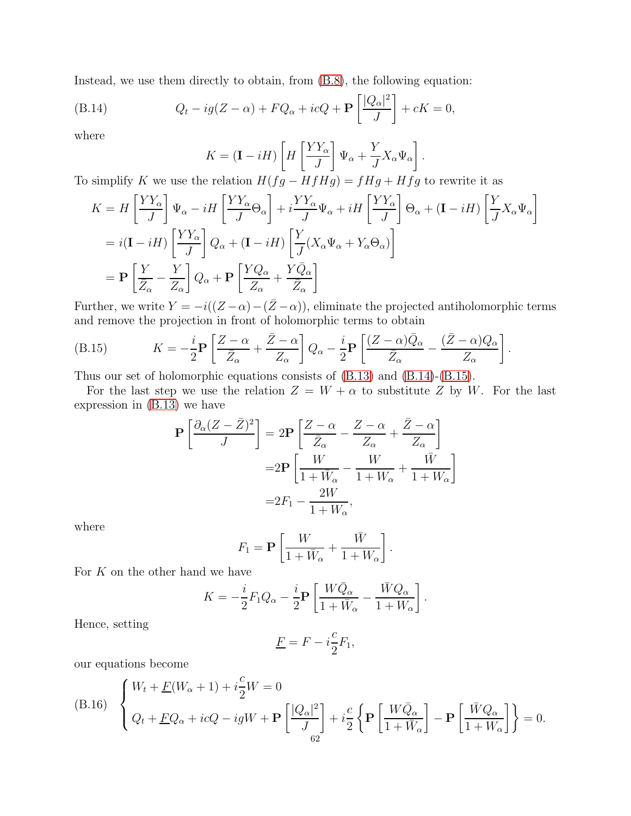Instead, we use them directly to obtain, from [\(B.8\)](#page-59-0), the following equation:

(B.14) 
$$
Q_t - ig(Z - \alpha) + FQ_\alpha + icQ + \mathbf{P}\left[\frac{|Q_\alpha|^2}{J}\right] + cK = 0,
$$

where

<span id="page-61-0"></span>
$$
K = (\mathbf{I} - iH) \left[ H \left[ \frac{YY_{\alpha}}{J} \right] \Psi_{\alpha} + \frac{Y}{J} X_{\alpha} \Psi_{\alpha} \right].
$$

To simplify K we use the relation  $H(fg - HfHg) = fHg + Hfg$  to rewrite it as

$$
K = H\left[\frac{YY_{\alpha}}{J}\right]\Psi_{\alpha} - iH\left[\frac{YY_{\alpha}}{J}\Theta_{\alpha}\right] + i\frac{YY_{\alpha}}{J}\Psi_{\alpha} + iH\left[\frac{YY_{\alpha}}{J}\right]\Theta_{\alpha} + (\mathbf{I} - iH)\left[\frac{Y}{J}X_{\alpha}\Psi_{\alpha}\right]
$$

$$
= i(\mathbf{I} - iH)\left[\frac{YY_{\alpha}}{J}\right]Q_{\alpha} + (\mathbf{I} - iH)\left[\frac{Y}{J}(X_{\alpha}\Psi_{\alpha} + Y_{\alpha}\Theta_{\alpha})\right]
$$

$$
= \mathbf{P}\left[\frac{Y}{\overline{Z}_{\alpha}} - \frac{Y}{Z_{\alpha}}\right]Q_{\alpha} + \mathbf{P}\left[\frac{YQ_{\alpha}}{Z_{\alpha}} + \frac{Y\overline{Q}_{\alpha}}{\overline{Z}_{\alpha}}\right]
$$

Further, we write  $Y = -i((Z - \alpha) - (\bar{Z} - \alpha))$ , eliminate the projected antiholomorphic terms and remove the projection in front of holomorphic terms to obtain

<span id="page-61-1"></span>(B.15) 
$$
K = -\frac{i}{2} \mathbf{P} \left[ \frac{Z - \alpha}{\bar{Z}_{\alpha}} + \frac{\bar{Z} - \alpha}{Z_{\alpha}} \right] Q_{\alpha} - \frac{i}{2} \mathbf{P} \left[ \frac{(Z - \alpha)\bar{Q}_{\alpha}}{\bar{Z}_{\alpha}} - \frac{(\bar{Z} - \alpha)Q_{\alpha}}{Z_{\alpha}} \right].
$$

Thus our set of holomorphic equations consists of [\(B.13\)](#page-60-0) and [\(B.14\)](#page-61-0)-[\(B.15\)](#page-61-1).

For the last step we use the relation  $Z = W + \alpha$  to substitute Z by W. For the last expression in [\(B.13\)](#page-60-0) we have

$$
\mathbf{P}\left[\frac{\partial_{\alpha}(Z-\bar{Z})^2}{J}\right] = 2\mathbf{P}\left[\frac{Z-\alpha}{\bar{Z}_{\alpha}} - \frac{Z-\alpha}{Z_{\alpha}} + \frac{\bar{Z}-\alpha}{Z_{\alpha}}\right]
$$

$$
= 2\mathbf{P}\left[\frac{W}{1+\bar{W}_{\alpha}} - \frac{W}{1+W_{\alpha}} + \frac{\bar{W}}{1+W_{\alpha}}\right]
$$

$$
= 2F_1 - \frac{2W}{1+W_{\alpha}},
$$

where

$$
F_1 = \mathbf{P} \left[ \frac{W}{1 + \bar{W}_{\alpha}} + \frac{\bar{W}}{1 + W_{\alpha}} \right].
$$

For  $K$  on the other hand we have

$$
K = -\frac{i}{2}F_1Q_\alpha - \frac{i}{2}\mathbf{P}\left[\frac{W\bar{Q}_\alpha}{1 + \bar{W}_\alpha} - \frac{\bar{W}Q_\alpha}{1 + W_\alpha}\right].
$$

Hence, setting

$$
\underline{F} = F - i\frac{c}{2}F_1,
$$

our equations become

(B.16) 
$$
\begin{cases} W_t + \underline{F}(W_\alpha + 1) + i\frac{c}{2}W = 0\\ Q_t + \underline{F}Q_\alpha + icQ - igW + \mathbf{P} \left[ \frac{|Q_\alpha|^2}{J} \right] + i\frac{c}{2} \left\{ \mathbf{P} \left[ \frac{W\bar{Q}_\alpha}{1 + \bar{W}_\alpha} \right] - \mathbf{P} \left[ \frac{\bar{W}Q_\alpha}{1 + W_\alpha} \right] \right\} = 0. \end{cases}
$$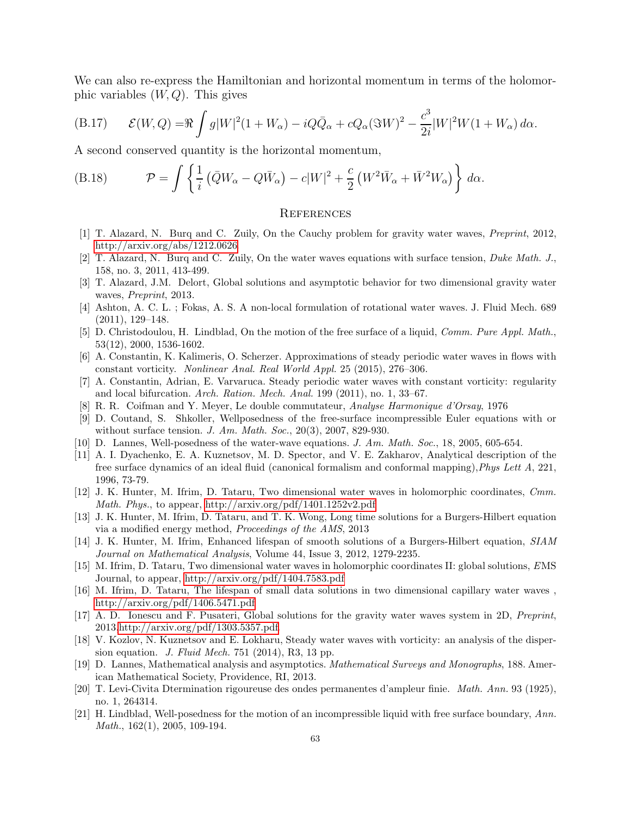We can also re-express the Hamiltonian and horizontal momentum in terms of the holomorphic variables  $(W, Q)$ . This gives

(B.17) 
$$
\mathcal{E}(W,Q) = \Re \int g|W|^2(1+W_\alpha) - iQ\bar{Q}_\alpha + cQ_\alpha(\Im W)^2 - \frac{c^3}{2i}|W|^2W(1+W_\alpha) d\alpha.
$$

A second conserved quantity is the horizontal momentum,

$$
(B.18) \t\t \mathcal{P} = \int \left\{ \frac{1}{i} \left( \bar{Q} W_{\alpha} - Q \bar{W}_{\alpha} \right) - c |W|^2 + \frac{c}{2} \left( W^2 \bar{W}_{\alpha} + \bar{W}^2 W_{\alpha} \right) \right\} d\alpha.
$$

#### **REFERENCES**

- <span id="page-62-11"></span>[1] T. Alazard, N. Burq and C. Zuily, On the Cauchy problem for gravity water waves, Preprint, 2012, http://arxiv.org/abs/1212.0626.
- [2] T. Alazard, N. Burq and C. Zuily, On the water waves equations with surface tension, Duke Math. J., 158, no. 3, 2011, 413-499.
- <span id="page-62-8"></span>[3] T. Alazard, J.M. Delort, Global solutions and asymptotic behavior for two dimensional gravity water waves, Preprint, 2013.
- [4] Ashton, A. C. L. ; Fokas, A. S. A non-local formulation of rotational water waves. J. Fluid Mech. 689 (2011), 129–148.
- [5] D. Christodoulou, H. Lindblad, On the motion of the free surface of a liquid, Comm. Pure Appl. Math., 53(12), 2000, 1536-1602.
- <span id="page-62-7"></span>[6] A. Constantin, K. Kalimeris, O. Scherzer. Approximations of steady periodic water waves in flows with constant vorticity. Nonlinear Anal. Real World Appl. 25 (2015), 276–306.
- <span id="page-62-5"></span>[7] A. Constantin, Adrian, E. Varvaruca. Steady periodic water waves with constant vorticity: regularity and local bifurcation. Arch. Ration. Mech. Anal. 199 (2011), no. 1, 33–67.
- <span id="page-62-13"></span><span id="page-62-2"></span>[8] R. R. Coifman and Y. Meyer, Le double commutateur, Analyse Harmonique d'Orsay, 1976
- [9] D. Coutand, S. Shkoller, Wellposedness of the free-surface incompressible Euler equations with or without surface tension. J. Am. Math. Soc., 20(3), 2007, 829-930.
- <span id="page-62-10"></span><span id="page-62-3"></span>[10] D. Lannes, Well-posedness of the water-wave equations. J. Am. Math. Soc., 18, 2005, 605-654.
- [11] A. I. Dyachenko, E. A. Kuznetsov, M. D. Spector, and V. E. Zakharov, Analytical description of the free surface dynamics of an ideal fluid (canonical formalism and conformal mapping),Phys Lett A, 221, 1996, 73-79.
- <span id="page-62-0"></span>[12] J. K. Hunter, M. Ifrim, D. Tataru, Two dimensional water waves in holomorphic coordinates, Cmm. Math. Phys., to appear, http://arxiv.org/pdf/1401.1252v2.pdf
- [13] J. K. Hunter, M. Ifrim, D. Tataru, and T. K. Wong, Long time solutions for a Burgers-Hilbert equation via a modified energy method, Proceedings of the AMS, 2013
- [14] J. K. Hunter, M. Ifrim, Enhanced lifespan of smooth solutions of a Burgers-Hilbert equation, SIAM Journal on Mathematical Analysis, Volume 44, Issue 3, 2012, 1279-2235.
- <span id="page-62-1"></span>[15] M. Ifrim, D. Tataru, Two dimensional water waves in holomorphic coordinates II: global solutions, EMS Journal, to appear, http://arxiv.org/pdf/1404.7583.pdf
- <span id="page-62-12"></span>[16] M. Ifrim, D. Tataru, The lifespan of small data solutions in two dimensional capillary water waves , http://arxiv.org/pdf/1406.5471.pdf
- [17] A. D. Ionescu and F. Pusateri, Global solutions for the gravity water waves system in 2D, Preprint, 2013,http://arxiv.org/pdf/1303.5357.pdf.
- <span id="page-62-6"></span>[18] V. Kozlov, N. Kuznetsov and E. Lokharu, Steady water waves with vorticity: an analysis of the dispersion equation. J. Fluid Mech.  $751$  (2014), R3, 13 pp.
- [19] D. Lannes, Mathematical analysis and asymptotics. Mathematical Surveys and Monographs, 188. American Mathematical Society, Providence, RI, 2013.
- <span id="page-62-9"></span>[20] T. Levi-Civita Dtermination rigoureuse des ondes permanentes d'ampleur finie. Math. Ann. 93 (1925), no. 1, 264314.
- <span id="page-62-4"></span>[21] H. Lindblad, Well-posedness for the motion of an incompressible liquid with free surface boundary, Ann. Math., 162(1), 2005, 109-194.